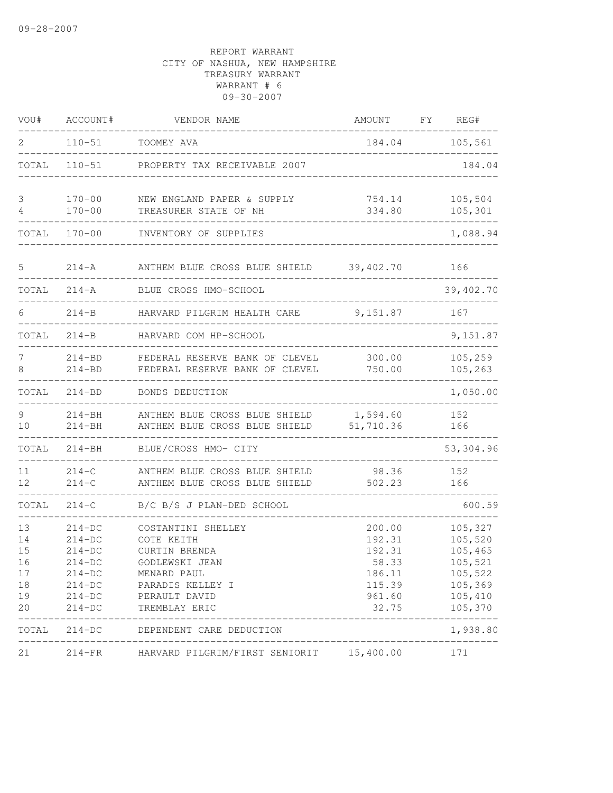| VOU#                                         | ACCOUNT#                                                                                     | VENDOR NAME                                                                                                                              | <b>AMOUNT</b>                                                              | FY | REG#                                                                                 |
|----------------------------------------------|----------------------------------------------------------------------------------------------|------------------------------------------------------------------------------------------------------------------------------------------|----------------------------------------------------------------------------|----|--------------------------------------------------------------------------------------|
| 2                                            | $110 - 51$                                                                                   | TOOMEY AVA                                                                                                                               |                                                                            |    | 184.04 105,561                                                                       |
| TOTAL                                        | $110 - 51$                                                                                   | PROPERTY TAX RECEIVABLE 2007                                                                                                             |                                                                            |    | 184.04                                                                               |
| 3<br>4                                       | $170 - 00$<br>$170 - 00$                                                                     | NEW ENGLAND PAPER & SUPPLY<br>TREASURER STATE OF NH                                                                                      | 754.14<br>334.80                                                           |    | 105,504<br>105,301                                                                   |
| TOTAL                                        | $170 - 00$                                                                                   | INVENTORY OF SUPPLIES                                                                                                                    |                                                                            |    | 1,088.94                                                                             |
| 5                                            | $214 - A$                                                                                    | ANTHEM BLUE CROSS BLUE SHIELD                                                                                                            | 39,402.70                                                                  |    | 166                                                                                  |
| TOTAL                                        | $214 - A$                                                                                    | BLUE CROSS HMO-SCHOOL                                                                                                                    |                                                                            |    | 39,402.70                                                                            |
| 6                                            | $214 - B$                                                                                    | HARVARD PILGRIM HEALTH CARE                                                                                                              | 9,151.87                                                                   |    | 167                                                                                  |
| TOTAL                                        | $214 - B$                                                                                    | HARVARD COM HP-SCHOOL                                                                                                                    |                                                                            |    | 9,151.87                                                                             |
| 7<br>8                                       | $214 - BD$<br>$214 - BD$                                                                     | FEDERAL RESERVE BANK OF CLEVEL<br>FEDERAL RESERVE BANK OF CLEVEL                                                                         | 300.00<br>750.00                                                           |    | 105,259<br>105,263                                                                   |
| TOTAL                                        | $214 - BD$                                                                                   | BONDS DEDUCTION                                                                                                                          |                                                                            |    | 1,050.00                                                                             |
| 9<br>10                                      | $214 - BH$<br>$214 - BH$                                                                     | ANTHEM BLUE CROSS BLUE SHIELD 1,594.60<br>ANTHEM BLUE CROSS BLUE SHIELD                                                                  | 51,710.36                                                                  |    | 152<br>166                                                                           |
| TOTAL                                        | $214 - BH$                                                                                   | BLUE/CROSS HMO- CITY                                                                                                                     |                                                                            |    | 53,304.96                                                                            |
| 11<br>12                                     | $214-C$<br>$214-C$                                                                           | ANTHEM BLUE CROSS BLUE SHIELD<br>ANTHEM BLUE CROSS BLUE SHIELD                                                                           | 98.36<br>502.23                                                            |    | 152<br>166                                                                           |
| TOTAL                                        | $214-C$                                                                                      | B/C B/S J PLAN-DED SCHOOL                                                                                                                |                                                                            |    | 600.59                                                                               |
| 13<br>14<br>15<br>16<br>17<br>18<br>19<br>20 | $214-DC$<br>$214-DC$<br>$214-DC$<br>$214-DC$<br>$214-DC$<br>$214-DC$<br>$214-DC$<br>$214-DC$ | COSTANTINI SHELLEY<br>COTE KEITH<br>CURTIN BRENDA<br>GODLEWSKI JEAN<br>MENARD PAUL<br>PARADIS KELLEY I<br>PERAULT DAVID<br>TREMBLAY ERIC | 200.00<br>192.31<br>192.31<br>58.33<br>186.11<br>115.39<br>961.60<br>32.75 |    | 105,327<br>105,520<br>105,465<br>105,521<br>105,522<br>105,369<br>105,410<br>105,370 |
| TOTAL                                        | $214-DC$                                                                                     | DEPENDENT CARE DEDUCTION                                                                                                                 |                                                                            |    | 1,938.80                                                                             |
| 21                                           |                                                                                              | 214-FR HARVARD PILGRIM/FIRST SENIORIT 15,400.00                                                                                          |                                                                            |    | 171                                                                                  |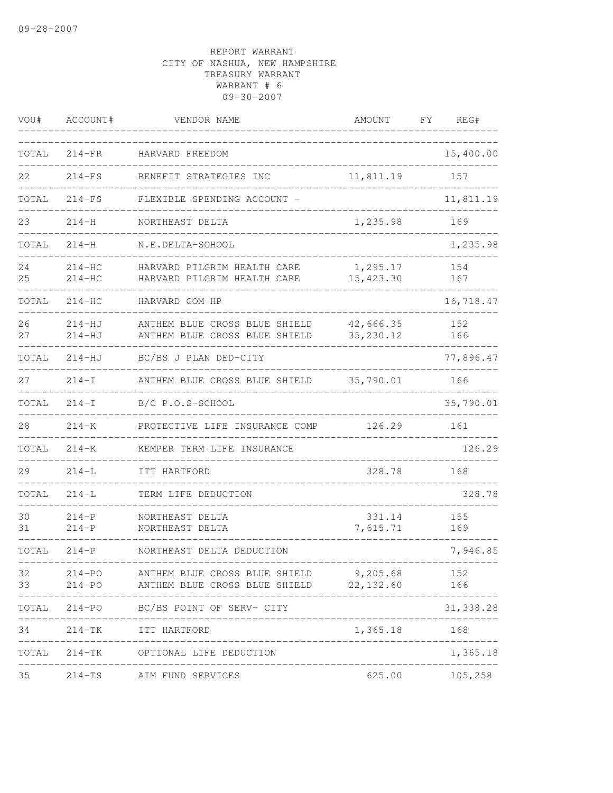| VOU#     | ACCOUNT#                 | VENDOR NAME                                                              | AMOUNT                 | FΥ | REG#       |
|----------|--------------------------|--------------------------------------------------------------------------|------------------------|----|------------|
| TOTAL    | $214-FR$                 | HARVARD FREEDOM                                                          |                        |    | 15,400.00  |
| 22       | $214-FS$                 | BENEFIT STRATEGIES INC                                                   | 11,811.19              |    | 157        |
| TOTAL    | $214-FS$                 | FLEXIBLE SPENDING ACCOUNT -                                              |                        |    | 11,811.19  |
| 23       | $214 - H$                | NORTHEAST DELTA                                                          | 1,235.98               |    | 169        |
| TOTAL    | $214 - H$                | N.E.DELTA-SCHOOL                                                         |                        |    | 1,235.98   |
| 24<br>25 | $214-HC$<br>$214-HC$     | HARVARD PILGRIM HEALTH CARE<br>HARVARD PILGRIM HEALTH CARE               | 1,295.17<br>15, 423.30 |    | 154<br>167 |
| TOTAL    | $214-HC$                 | HARVARD COM HP                                                           |                        |    | 16,718.47  |
| 26<br>27 | $214 - HJ$<br>214-HJ     | ANTHEM BLUE CROSS BLUE SHIELD<br>ANTHEM BLUE CROSS BLUE SHIELD           | 42,666.35<br>35,230.12 |    | 152<br>166 |
| TOTAL    | $214-HJ$                 | BC/BS J PLAN DED-CITY                                                    |                        |    | 77,896.47  |
| 27       | $214-I$                  | ANTHEM BLUE CROSS BLUE SHIELD                                            | 35,790.01              |    | 166        |
| TOTAL    | $214-I$                  | B/C P.O.S-SCHOOL                                                         |                        |    | 35,790.01  |
| 28       | $214 - K$                | PROTECTIVE LIFE INSURANCE COMP                                           | 126.29                 |    | 161        |
| TOTAL    | $214 - K$                | KEMPER TERM LIFE INSURANCE                                               |                        |    | 126.29     |
| 29       | $214 - L$                | ITT HARTFORD                                                             | 328.78                 |    | 168        |
| TOTAL    | $214 - L$                | TERM LIFE DEDUCTION                                                      |                        |    | 328.78     |
| 30<br>31 | $214-P$<br>$214-P$       | NORTHEAST DELTA<br>NORTHEAST DELTA                                       | 331.14<br>7,615.71     |    | 155<br>169 |
| TOTAL    | $214-P$                  | NORTHEAST DELTA DEDUCTION                                                |                        |    | 7,946.85   |
| 32<br>33 | $214 - PO$<br>$214 - PQ$ | ANTHEM BLUE CROSS BLUE SHIELD<br>ANTHEM BLUE CROSS BLUE SHIELD 22,132.60 | 9,205.68               |    | 152<br>166 |
|          |                          | TOTAL 214-PO BC/BS POINT OF SERV- CITY                                   |                        |    | 31, 338.28 |
| 34       |                          | 214-TK ITT HARTFORD<br>____________________________                      | 1,365.18 168           |    |            |
|          |                          | TOTAL 214-TK OPTIONAL LIFE DEDUCTION                                     |                        |    | 1,365.18   |
| 35       |                          | 214-TS AIM FUND SERVICES                                                 | 625.00                 |    | 105, 258   |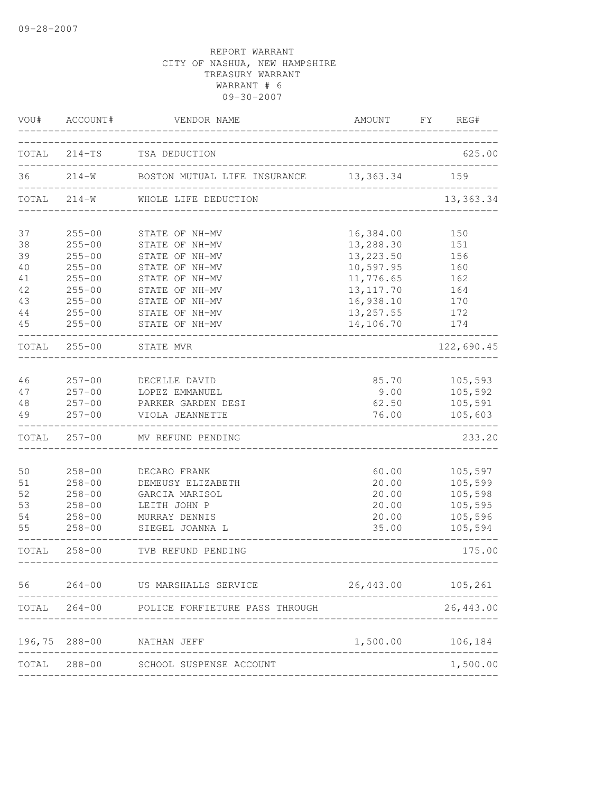| VOU#     | ACCOUNT#      | VENDOR NAME                                         | AMOUNT                            | FY REG#             |
|----------|---------------|-----------------------------------------------------|-----------------------------------|---------------------|
|          |               | TOTAL 214-TS TSA DEDUCTION                          |                                   | 625.00              |
| 36       |               | 214-W BOSTON MUTUAL LIFE INSURANCE 13,363.34        |                                   | 159                 |
|          | TOTAL 214-W   | WHOLE LIFE DEDUCTION                                | _________________________________ | 13,363.34           |
| 37       | $255 - 00$    | STATE OF NH-MV                                      | 16,384.00                         | 150                 |
| 38       | $255 - 00$    | STATE OF NH-MV                                      | 13,288.30                         | 151                 |
| 39       | $255 - 00$    | STATE OF NH-MV                                      | 13, 223.50                        | 156                 |
| 40       | $255 - 00$    | STATE OF NH-MV                                      | 10, 597.95                        | 160                 |
| 41       | $255 - 00$    | STATE OF NH-MV                                      | 11,776.65                         | 162                 |
| 42       | $255 - 00$    | STATE OF NH-MV                                      | 13, 117.70                        | 164                 |
| 43       | $255 - 00$    | STATE OF NH-MV                                      | 16,938.10                         | 170                 |
| 44       | $255 - 00$    | STATE OF NH-MV                                      | 13, 257.55                        | 172                 |
| 45       | $255 - 00$    | STATE OF NH-MV                                      | 14,106.70                         | 174                 |
|          | TOTAL 255-00  | STATE MVR                                           |                                   | 122,690.45          |
| 46       | $257 - 00$    | DECELLE DAVID                                       | 85.70                             | 105,593             |
| 47       | $257 - 00$    | LOPEZ EMMANUEL                                      | 9.00                              | 105,592             |
| 48       | $257 - 00$    | PARKER GARDEN DESI                                  | 62.50                             | 105,591             |
| 49       | $257 - 00$    | VIOLA JEANNETTE                                     | 76.00                             | 105,603             |
|          |               | TOTAL 257-00 MV REFUND PENDING                      |                                   | 233.20              |
|          | $258 - 00$    |                                                     |                                   |                     |
| 50<br>51 | $258 - 00$    | DECARO FRANK<br>DEMEUSY ELIZABETH                   | 60.00<br>20.00                    | 105,597<br>105,599  |
| 52       | $258 - 00$    | GARCIA MARISOL                                      | 20.00                             | 105,598             |
| 53       | $258 - 00$    | LEITH JOHN P                                        | 20.00                             | 105,595             |
| 54       | $258 - 00$    | MURRAY DENNIS                                       | 20.00                             | 105,596             |
| 55       | $258 - 00$    | SIEGEL JOANNA L                                     | 35.00                             | 105,594             |
|          | TOTAL 258-00  | TVB REFUND PENDING<br>----------------------------- |                                   | 175.00              |
|          |               | 56 264-00 US MARSHALLS SERVICE                      |                                   | 26, 443.00 105, 261 |
|          |               | TOTAL 264-00 POLICE FORFIETURE PASS THROUGH         |                                   | 26, 443.00          |
|          |               |                                                     |                                   |                     |
|          | 196,75 288-00 | NATHAN JEFF                                         | 1,500.00                          | 106,184             |
|          | TOTAL 288-00  | SCHOOL SUSPENSE ACCOUNT                             |                                   | 1,500.00            |
|          |               |                                                     |                                   |                     |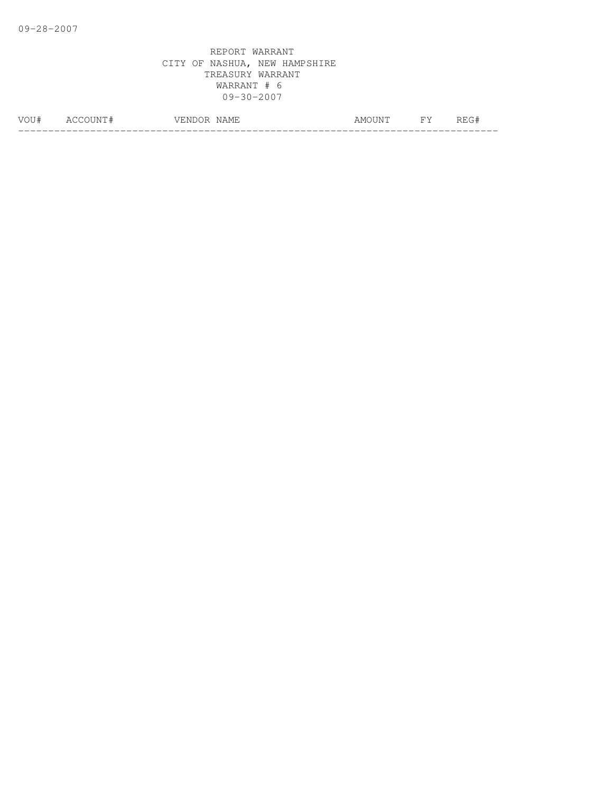| <b><i>MOLT</i></b> | $\mathbf{N}$<br>∸ | $\sim$ 1571<br>$\sim$ $\sim$<br>M<br>---<br>◡<br>. <u>. .</u> | \N/<br>1111 | ັ |
|--------------------|-------------------|---------------------------------------------------------------|-------------|---|
|                    |                   |                                                               |             |   |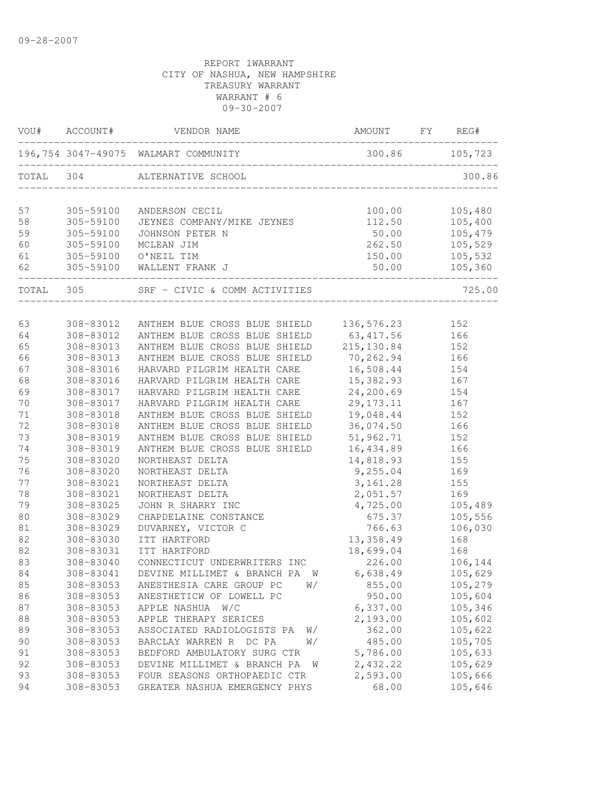| 196,754 3047-49075 WALMART COMMUNITY<br>300.86 105,723<br>304<br>ALTERNATIVE SCHOOL<br>300.86<br>100.00<br>105,480<br>305-59100<br>ANDERSON CECIL<br>JEYNES COMPANY/MIKE JEYNES<br>112.50<br>105,400<br>305-59100<br>50.00<br>105,479<br>305-59100<br>JOHNSON PETER N<br>262.50<br>305-59100<br>105,529<br>MCLEAN JIM<br>305-59100 O'NEIL TIM<br>150.00<br>105,532<br>305-59100 WALLENT FRANK J<br>50.00<br>105, 360<br>TOTAL 305<br>SRF - CIVIC & COMM ACTIVITIES<br>725.00<br>63<br>308-83012<br>ANTHEM BLUE CROSS BLUE SHIELD 136,576.23<br>152<br>63, 417.56<br>ANTHEM BLUE CROSS BLUE SHIELD<br>64<br>308-83012<br>166<br>ANTHEM BLUE CROSS BLUE SHIELD<br>215, 130.84<br>65<br>308-83013<br>152<br>70,262.94<br>66<br>308-83013<br>ANTHEM BLUE CROSS BLUE SHIELD<br>166<br>67<br>HARVARD PILGRIM HEALTH CARE<br>16,508.44<br>308-83016<br>154<br>68<br>308-83016<br>HARVARD PILGRIM HEALTH CARE<br>15,382.93<br>167<br>69<br>24,200.69<br>308-83017<br>HARVARD PILGRIM HEALTH CARE<br>154<br>70<br>308-83017<br>29, 173. 11<br>167<br>HARVARD PILGRIM HEALTH CARE<br>19,048.44<br>71<br>308-83018<br>ANTHEM BLUE CROSS BLUE SHIELD<br>152<br>72<br>ANTHEM BLUE CROSS BLUE SHIELD<br>36,074.50<br>308-83018<br>166<br>73<br>ANTHEM BLUE CROSS BLUE SHIELD<br>51,962.71<br>308-83019<br>152<br>74<br>308-83019<br>ANTHEM BLUE CROSS BLUE SHIELD<br>16,434.89<br>166<br>75<br>308-83020<br>NORTHEAST DELTA<br>14,818.93<br>155<br>76<br>308-83020<br>9,255.04<br>NORTHEAST DELTA<br>169<br>77<br>308-83021<br>3,161.28<br>NORTHEAST DELTA<br>155<br>78<br>2,051.57<br>169<br>308-83021<br>NORTHEAST DELTA<br>79<br>4,725.00<br>105,489<br>308-83025<br>JOHN R SHARRY INC<br>80<br>308-83029<br>CHAPDELAINE CONSTANCE<br>675.37<br>105,556<br>766.63<br>308-83029<br>DUVARNEY, VICTOR C<br>106,030<br>81<br>82<br>13,358.49<br>308-83030<br>ITT HARTFORD<br>168<br>82<br>18,699.04<br>168<br>308-83031<br>ITT HARTFORD<br>83<br>CONNECTICUT UNDERWRITERS INC<br>226.00<br>308-83040<br>106,144<br>84<br>308-83041<br>6,638.49<br>105,629<br>DEVINE MILLIMET & BRANCH PA W<br>105,279<br>308-83053<br>855.00<br>85<br>ANESTHESIA CARE GROUP PC<br>W/<br>86<br>105,604<br>308-83053<br>ANESTHETICW OF LOWELL PC<br>950.00<br>6,337.00<br>105,346<br>87<br>308-83053<br>W/C<br>APPLE NASHUA<br>2,193.00<br>88<br>308-83053<br>APPLE THERAPY SERICES<br>105,602<br>362.00<br>105,622<br>308-83053<br>ASSOCIATED RADIOLOGISTS PA<br>89<br>W/<br>105,705<br>90<br>308-83053<br>BARCLAY WARREN R DC PA<br>485.00<br>W/<br>308-83053<br>BEDFORD AMBULATORY SURG CTR<br>5,786.00<br>105,633<br>91<br>92<br>308-83053<br>DEVINE MILLIMET & BRANCH PA<br>2,432.22<br>105,629<br>W<br>2,593.00<br>93<br>308-83053<br>FOUR SEASONS ORTHOPAEDIC CTR<br>105,666 | VOU#  | ACCOUNT#  | VENDOR NAME                   | AMOUNT | FY | REG#    |
|----------------------------------------------------------------------------------------------------------------------------------------------------------------------------------------------------------------------------------------------------------------------------------------------------------------------------------------------------------------------------------------------------------------------------------------------------------------------------------------------------------------------------------------------------------------------------------------------------------------------------------------------------------------------------------------------------------------------------------------------------------------------------------------------------------------------------------------------------------------------------------------------------------------------------------------------------------------------------------------------------------------------------------------------------------------------------------------------------------------------------------------------------------------------------------------------------------------------------------------------------------------------------------------------------------------------------------------------------------------------------------------------------------------------------------------------------------------------------------------------------------------------------------------------------------------------------------------------------------------------------------------------------------------------------------------------------------------------------------------------------------------------------------------------------------------------------------------------------------------------------------------------------------------------------------------------------------------------------------------------------------------------------------------------------------------------------------------------------------------------------------------------------------------------------------------------------------------------------------------------------------------------------------------------------------------------------------------------------------------------------------------------------------------------------------------------------------------------------------------------------------------------------------------------------------------------------------------------------------------------------------------------------------------------------------------------------------------------------------------------------|-------|-----------|-------------------------------|--------|----|---------|
|                                                                                                                                                                                                                                                                                                                                                                                                                                                                                                                                                                                                                                                                                                                                                                                                                                                                                                                                                                                                                                                                                                                                                                                                                                                                                                                                                                                                                                                                                                                                                                                                                                                                                                                                                                                                                                                                                                                                                                                                                                                                                                                                                                                                                                                                                                                                                                                                                                                                                                                                                                                                                                                                                                                                                    |       |           |                               |        |    |         |
|                                                                                                                                                                                                                                                                                                                                                                                                                                                                                                                                                                                                                                                                                                                                                                                                                                                                                                                                                                                                                                                                                                                                                                                                                                                                                                                                                                                                                                                                                                                                                                                                                                                                                                                                                                                                                                                                                                                                                                                                                                                                                                                                                                                                                                                                                                                                                                                                                                                                                                                                                                                                                                                                                                                                                    | TOTAL |           |                               |        |    |         |
|                                                                                                                                                                                                                                                                                                                                                                                                                                                                                                                                                                                                                                                                                                                                                                                                                                                                                                                                                                                                                                                                                                                                                                                                                                                                                                                                                                                                                                                                                                                                                                                                                                                                                                                                                                                                                                                                                                                                                                                                                                                                                                                                                                                                                                                                                                                                                                                                                                                                                                                                                                                                                                                                                                                                                    | 57    |           |                               |        |    |         |
|                                                                                                                                                                                                                                                                                                                                                                                                                                                                                                                                                                                                                                                                                                                                                                                                                                                                                                                                                                                                                                                                                                                                                                                                                                                                                                                                                                                                                                                                                                                                                                                                                                                                                                                                                                                                                                                                                                                                                                                                                                                                                                                                                                                                                                                                                                                                                                                                                                                                                                                                                                                                                                                                                                                                                    | 58    |           |                               |        |    |         |
|                                                                                                                                                                                                                                                                                                                                                                                                                                                                                                                                                                                                                                                                                                                                                                                                                                                                                                                                                                                                                                                                                                                                                                                                                                                                                                                                                                                                                                                                                                                                                                                                                                                                                                                                                                                                                                                                                                                                                                                                                                                                                                                                                                                                                                                                                                                                                                                                                                                                                                                                                                                                                                                                                                                                                    | 59    |           |                               |        |    |         |
|                                                                                                                                                                                                                                                                                                                                                                                                                                                                                                                                                                                                                                                                                                                                                                                                                                                                                                                                                                                                                                                                                                                                                                                                                                                                                                                                                                                                                                                                                                                                                                                                                                                                                                                                                                                                                                                                                                                                                                                                                                                                                                                                                                                                                                                                                                                                                                                                                                                                                                                                                                                                                                                                                                                                                    | 60    |           |                               |        |    |         |
|                                                                                                                                                                                                                                                                                                                                                                                                                                                                                                                                                                                                                                                                                                                                                                                                                                                                                                                                                                                                                                                                                                                                                                                                                                                                                                                                                                                                                                                                                                                                                                                                                                                                                                                                                                                                                                                                                                                                                                                                                                                                                                                                                                                                                                                                                                                                                                                                                                                                                                                                                                                                                                                                                                                                                    | 61    |           |                               |        |    |         |
|                                                                                                                                                                                                                                                                                                                                                                                                                                                                                                                                                                                                                                                                                                                                                                                                                                                                                                                                                                                                                                                                                                                                                                                                                                                                                                                                                                                                                                                                                                                                                                                                                                                                                                                                                                                                                                                                                                                                                                                                                                                                                                                                                                                                                                                                                                                                                                                                                                                                                                                                                                                                                                                                                                                                                    | 62    |           |                               |        |    |         |
|                                                                                                                                                                                                                                                                                                                                                                                                                                                                                                                                                                                                                                                                                                                                                                                                                                                                                                                                                                                                                                                                                                                                                                                                                                                                                                                                                                                                                                                                                                                                                                                                                                                                                                                                                                                                                                                                                                                                                                                                                                                                                                                                                                                                                                                                                                                                                                                                                                                                                                                                                                                                                                                                                                                                                    |       |           |                               |        |    |         |
|                                                                                                                                                                                                                                                                                                                                                                                                                                                                                                                                                                                                                                                                                                                                                                                                                                                                                                                                                                                                                                                                                                                                                                                                                                                                                                                                                                                                                                                                                                                                                                                                                                                                                                                                                                                                                                                                                                                                                                                                                                                                                                                                                                                                                                                                                                                                                                                                                                                                                                                                                                                                                                                                                                                                                    |       |           |                               |        |    |         |
|                                                                                                                                                                                                                                                                                                                                                                                                                                                                                                                                                                                                                                                                                                                                                                                                                                                                                                                                                                                                                                                                                                                                                                                                                                                                                                                                                                                                                                                                                                                                                                                                                                                                                                                                                                                                                                                                                                                                                                                                                                                                                                                                                                                                                                                                                                                                                                                                                                                                                                                                                                                                                                                                                                                                                    |       |           |                               |        |    |         |
|                                                                                                                                                                                                                                                                                                                                                                                                                                                                                                                                                                                                                                                                                                                                                                                                                                                                                                                                                                                                                                                                                                                                                                                                                                                                                                                                                                                                                                                                                                                                                                                                                                                                                                                                                                                                                                                                                                                                                                                                                                                                                                                                                                                                                                                                                                                                                                                                                                                                                                                                                                                                                                                                                                                                                    |       |           |                               |        |    |         |
|                                                                                                                                                                                                                                                                                                                                                                                                                                                                                                                                                                                                                                                                                                                                                                                                                                                                                                                                                                                                                                                                                                                                                                                                                                                                                                                                                                                                                                                                                                                                                                                                                                                                                                                                                                                                                                                                                                                                                                                                                                                                                                                                                                                                                                                                                                                                                                                                                                                                                                                                                                                                                                                                                                                                                    |       |           |                               |        |    |         |
|                                                                                                                                                                                                                                                                                                                                                                                                                                                                                                                                                                                                                                                                                                                                                                                                                                                                                                                                                                                                                                                                                                                                                                                                                                                                                                                                                                                                                                                                                                                                                                                                                                                                                                                                                                                                                                                                                                                                                                                                                                                                                                                                                                                                                                                                                                                                                                                                                                                                                                                                                                                                                                                                                                                                                    |       |           |                               |        |    |         |
|                                                                                                                                                                                                                                                                                                                                                                                                                                                                                                                                                                                                                                                                                                                                                                                                                                                                                                                                                                                                                                                                                                                                                                                                                                                                                                                                                                                                                                                                                                                                                                                                                                                                                                                                                                                                                                                                                                                                                                                                                                                                                                                                                                                                                                                                                                                                                                                                                                                                                                                                                                                                                                                                                                                                                    |       |           |                               |        |    |         |
|                                                                                                                                                                                                                                                                                                                                                                                                                                                                                                                                                                                                                                                                                                                                                                                                                                                                                                                                                                                                                                                                                                                                                                                                                                                                                                                                                                                                                                                                                                                                                                                                                                                                                                                                                                                                                                                                                                                                                                                                                                                                                                                                                                                                                                                                                                                                                                                                                                                                                                                                                                                                                                                                                                                                                    |       |           |                               |        |    |         |
|                                                                                                                                                                                                                                                                                                                                                                                                                                                                                                                                                                                                                                                                                                                                                                                                                                                                                                                                                                                                                                                                                                                                                                                                                                                                                                                                                                                                                                                                                                                                                                                                                                                                                                                                                                                                                                                                                                                                                                                                                                                                                                                                                                                                                                                                                                                                                                                                                                                                                                                                                                                                                                                                                                                                                    |       |           |                               |        |    |         |
|                                                                                                                                                                                                                                                                                                                                                                                                                                                                                                                                                                                                                                                                                                                                                                                                                                                                                                                                                                                                                                                                                                                                                                                                                                                                                                                                                                                                                                                                                                                                                                                                                                                                                                                                                                                                                                                                                                                                                                                                                                                                                                                                                                                                                                                                                                                                                                                                                                                                                                                                                                                                                                                                                                                                                    |       |           |                               |        |    |         |
|                                                                                                                                                                                                                                                                                                                                                                                                                                                                                                                                                                                                                                                                                                                                                                                                                                                                                                                                                                                                                                                                                                                                                                                                                                                                                                                                                                                                                                                                                                                                                                                                                                                                                                                                                                                                                                                                                                                                                                                                                                                                                                                                                                                                                                                                                                                                                                                                                                                                                                                                                                                                                                                                                                                                                    |       |           |                               |        |    |         |
|                                                                                                                                                                                                                                                                                                                                                                                                                                                                                                                                                                                                                                                                                                                                                                                                                                                                                                                                                                                                                                                                                                                                                                                                                                                                                                                                                                                                                                                                                                                                                                                                                                                                                                                                                                                                                                                                                                                                                                                                                                                                                                                                                                                                                                                                                                                                                                                                                                                                                                                                                                                                                                                                                                                                                    |       |           |                               |        |    |         |
|                                                                                                                                                                                                                                                                                                                                                                                                                                                                                                                                                                                                                                                                                                                                                                                                                                                                                                                                                                                                                                                                                                                                                                                                                                                                                                                                                                                                                                                                                                                                                                                                                                                                                                                                                                                                                                                                                                                                                                                                                                                                                                                                                                                                                                                                                                                                                                                                                                                                                                                                                                                                                                                                                                                                                    |       |           |                               |        |    |         |
|                                                                                                                                                                                                                                                                                                                                                                                                                                                                                                                                                                                                                                                                                                                                                                                                                                                                                                                                                                                                                                                                                                                                                                                                                                                                                                                                                                                                                                                                                                                                                                                                                                                                                                                                                                                                                                                                                                                                                                                                                                                                                                                                                                                                                                                                                                                                                                                                                                                                                                                                                                                                                                                                                                                                                    |       |           |                               |        |    |         |
|                                                                                                                                                                                                                                                                                                                                                                                                                                                                                                                                                                                                                                                                                                                                                                                                                                                                                                                                                                                                                                                                                                                                                                                                                                                                                                                                                                                                                                                                                                                                                                                                                                                                                                                                                                                                                                                                                                                                                                                                                                                                                                                                                                                                                                                                                                                                                                                                                                                                                                                                                                                                                                                                                                                                                    |       |           |                               |        |    |         |
|                                                                                                                                                                                                                                                                                                                                                                                                                                                                                                                                                                                                                                                                                                                                                                                                                                                                                                                                                                                                                                                                                                                                                                                                                                                                                                                                                                                                                                                                                                                                                                                                                                                                                                                                                                                                                                                                                                                                                                                                                                                                                                                                                                                                                                                                                                                                                                                                                                                                                                                                                                                                                                                                                                                                                    |       |           |                               |        |    |         |
|                                                                                                                                                                                                                                                                                                                                                                                                                                                                                                                                                                                                                                                                                                                                                                                                                                                                                                                                                                                                                                                                                                                                                                                                                                                                                                                                                                                                                                                                                                                                                                                                                                                                                                                                                                                                                                                                                                                                                                                                                                                                                                                                                                                                                                                                                                                                                                                                                                                                                                                                                                                                                                                                                                                                                    |       |           |                               |        |    |         |
|                                                                                                                                                                                                                                                                                                                                                                                                                                                                                                                                                                                                                                                                                                                                                                                                                                                                                                                                                                                                                                                                                                                                                                                                                                                                                                                                                                                                                                                                                                                                                                                                                                                                                                                                                                                                                                                                                                                                                                                                                                                                                                                                                                                                                                                                                                                                                                                                                                                                                                                                                                                                                                                                                                                                                    |       |           |                               |        |    |         |
|                                                                                                                                                                                                                                                                                                                                                                                                                                                                                                                                                                                                                                                                                                                                                                                                                                                                                                                                                                                                                                                                                                                                                                                                                                                                                                                                                                                                                                                                                                                                                                                                                                                                                                                                                                                                                                                                                                                                                                                                                                                                                                                                                                                                                                                                                                                                                                                                                                                                                                                                                                                                                                                                                                                                                    |       |           |                               |        |    |         |
|                                                                                                                                                                                                                                                                                                                                                                                                                                                                                                                                                                                                                                                                                                                                                                                                                                                                                                                                                                                                                                                                                                                                                                                                                                                                                                                                                                                                                                                                                                                                                                                                                                                                                                                                                                                                                                                                                                                                                                                                                                                                                                                                                                                                                                                                                                                                                                                                                                                                                                                                                                                                                                                                                                                                                    |       |           |                               |        |    |         |
|                                                                                                                                                                                                                                                                                                                                                                                                                                                                                                                                                                                                                                                                                                                                                                                                                                                                                                                                                                                                                                                                                                                                                                                                                                                                                                                                                                                                                                                                                                                                                                                                                                                                                                                                                                                                                                                                                                                                                                                                                                                                                                                                                                                                                                                                                                                                                                                                                                                                                                                                                                                                                                                                                                                                                    |       |           |                               |        |    |         |
|                                                                                                                                                                                                                                                                                                                                                                                                                                                                                                                                                                                                                                                                                                                                                                                                                                                                                                                                                                                                                                                                                                                                                                                                                                                                                                                                                                                                                                                                                                                                                                                                                                                                                                                                                                                                                                                                                                                                                                                                                                                                                                                                                                                                                                                                                                                                                                                                                                                                                                                                                                                                                                                                                                                                                    |       |           |                               |        |    |         |
|                                                                                                                                                                                                                                                                                                                                                                                                                                                                                                                                                                                                                                                                                                                                                                                                                                                                                                                                                                                                                                                                                                                                                                                                                                                                                                                                                                                                                                                                                                                                                                                                                                                                                                                                                                                                                                                                                                                                                                                                                                                                                                                                                                                                                                                                                                                                                                                                                                                                                                                                                                                                                                                                                                                                                    |       |           |                               |        |    |         |
|                                                                                                                                                                                                                                                                                                                                                                                                                                                                                                                                                                                                                                                                                                                                                                                                                                                                                                                                                                                                                                                                                                                                                                                                                                                                                                                                                                                                                                                                                                                                                                                                                                                                                                                                                                                                                                                                                                                                                                                                                                                                                                                                                                                                                                                                                                                                                                                                                                                                                                                                                                                                                                                                                                                                                    |       |           |                               |        |    |         |
|                                                                                                                                                                                                                                                                                                                                                                                                                                                                                                                                                                                                                                                                                                                                                                                                                                                                                                                                                                                                                                                                                                                                                                                                                                                                                                                                                                                                                                                                                                                                                                                                                                                                                                                                                                                                                                                                                                                                                                                                                                                                                                                                                                                                                                                                                                                                                                                                                                                                                                                                                                                                                                                                                                                                                    |       |           |                               |        |    |         |
|                                                                                                                                                                                                                                                                                                                                                                                                                                                                                                                                                                                                                                                                                                                                                                                                                                                                                                                                                                                                                                                                                                                                                                                                                                                                                                                                                                                                                                                                                                                                                                                                                                                                                                                                                                                                                                                                                                                                                                                                                                                                                                                                                                                                                                                                                                                                                                                                                                                                                                                                                                                                                                                                                                                                                    |       |           |                               |        |    |         |
|                                                                                                                                                                                                                                                                                                                                                                                                                                                                                                                                                                                                                                                                                                                                                                                                                                                                                                                                                                                                                                                                                                                                                                                                                                                                                                                                                                                                                                                                                                                                                                                                                                                                                                                                                                                                                                                                                                                                                                                                                                                                                                                                                                                                                                                                                                                                                                                                                                                                                                                                                                                                                                                                                                                                                    |       |           |                               |        |    |         |
|                                                                                                                                                                                                                                                                                                                                                                                                                                                                                                                                                                                                                                                                                                                                                                                                                                                                                                                                                                                                                                                                                                                                                                                                                                                                                                                                                                                                                                                                                                                                                                                                                                                                                                                                                                                                                                                                                                                                                                                                                                                                                                                                                                                                                                                                                                                                                                                                                                                                                                                                                                                                                                                                                                                                                    |       |           |                               |        |    |         |
|                                                                                                                                                                                                                                                                                                                                                                                                                                                                                                                                                                                                                                                                                                                                                                                                                                                                                                                                                                                                                                                                                                                                                                                                                                                                                                                                                                                                                                                                                                                                                                                                                                                                                                                                                                                                                                                                                                                                                                                                                                                                                                                                                                                                                                                                                                                                                                                                                                                                                                                                                                                                                                                                                                                                                    |       |           |                               |        |    |         |
|                                                                                                                                                                                                                                                                                                                                                                                                                                                                                                                                                                                                                                                                                                                                                                                                                                                                                                                                                                                                                                                                                                                                                                                                                                                                                                                                                                                                                                                                                                                                                                                                                                                                                                                                                                                                                                                                                                                                                                                                                                                                                                                                                                                                                                                                                                                                                                                                                                                                                                                                                                                                                                                                                                                                                    |       |           |                               |        |    |         |
|                                                                                                                                                                                                                                                                                                                                                                                                                                                                                                                                                                                                                                                                                                                                                                                                                                                                                                                                                                                                                                                                                                                                                                                                                                                                                                                                                                                                                                                                                                                                                                                                                                                                                                                                                                                                                                                                                                                                                                                                                                                                                                                                                                                                                                                                                                                                                                                                                                                                                                                                                                                                                                                                                                                                                    |       |           |                               |        |    |         |
|                                                                                                                                                                                                                                                                                                                                                                                                                                                                                                                                                                                                                                                                                                                                                                                                                                                                                                                                                                                                                                                                                                                                                                                                                                                                                                                                                                                                                                                                                                                                                                                                                                                                                                                                                                                                                                                                                                                                                                                                                                                                                                                                                                                                                                                                                                                                                                                                                                                                                                                                                                                                                                                                                                                                                    |       |           |                               |        |    |         |
|                                                                                                                                                                                                                                                                                                                                                                                                                                                                                                                                                                                                                                                                                                                                                                                                                                                                                                                                                                                                                                                                                                                                                                                                                                                                                                                                                                                                                                                                                                                                                                                                                                                                                                                                                                                                                                                                                                                                                                                                                                                                                                                                                                                                                                                                                                                                                                                                                                                                                                                                                                                                                                                                                                                                                    |       |           |                               |        |    |         |
|                                                                                                                                                                                                                                                                                                                                                                                                                                                                                                                                                                                                                                                                                                                                                                                                                                                                                                                                                                                                                                                                                                                                                                                                                                                                                                                                                                                                                                                                                                                                                                                                                                                                                                                                                                                                                                                                                                                                                                                                                                                                                                                                                                                                                                                                                                                                                                                                                                                                                                                                                                                                                                                                                                                                                    | 94    | 308-83053 | GREATER NASHUA EMERGENCY PHYS | 68.00  |    | 105,646 |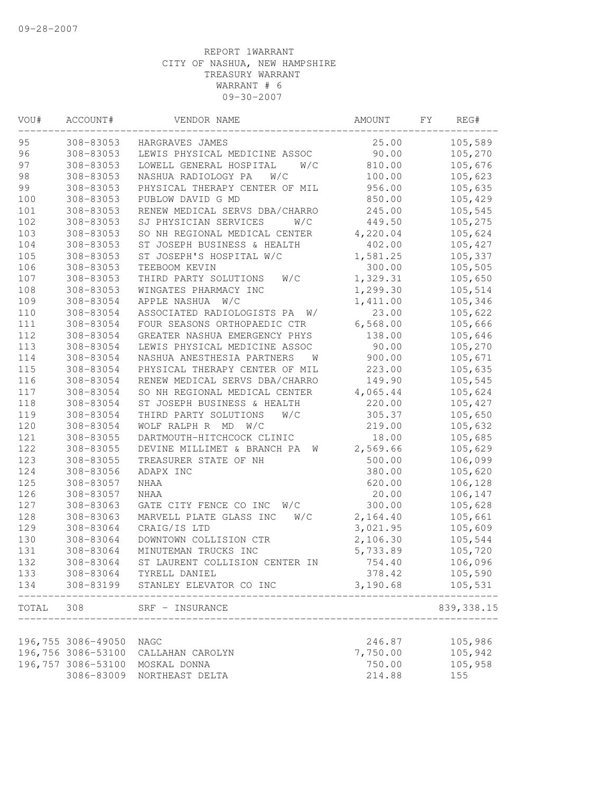| VOU#  | ACCOUNT#                         | VENDOR NAME                      | AMOUNT   | FΥ | REG#           |
|-------|----------------------------------|----------------------------------|----------|----|----------------|
| 95    | 308-83053                        | HARGRAVES JAMES                  | 25.00    |    | 105,589        |
| 96    | 308-83053                        | LEWIS PHYSICAL MEDICINE ASSOC    | 90.00    |    | 105,270        |
| 97    | 308-83053                        | LOWELL GENERAL HOSPITAL<br>W/C   | 810.00   |    | 105,676        |
| 98    | 308-83053                        | NASHUA RADIOLOGY PA<br>W/C       | 100.00   |    | 105,623        |
| 99    | 308-83053                        | PHYSICAL THERAPY CENTER OF MIL   | 956.00   |    | 105,635        |
| 100   | 308-83053                        | PUBLOW DAVID G MD                | 850.00   |    | 105,429        |
| 101   | 308-83053                        | RENEW MEDICAL SERVS DBA/CHARRO   | 245.00   |    | 105,545        |
| 102   | 308-83053                        | SJ PHYSICIAN SERVICES<br>W/C     | 449.50   |    | 105,275        |
| 103   | 308-83053                        | SO NH REGIONAL MEDICAL CENTER    | 4,220.04 |    | 105,624        |
| 104   | 308-83053                        | ST JOSEPH BUSINESS & HEALTH      | 402.00   |    | 105,427        |
| 105   | 308-83053                        | ST JOSEPH'S HOSPITAL W/C         | 1,581.25 |    | 105,337        |
| 106   | 308-83053                        | TEEBOOM KEVIN                    | 300.00   |    | 105,505        |
| 107   | 308-83053                        | THIRD PARTY SOLUTIONS<br>W/C     | 1,329.31 |    | 105,650        |
| 108   | 308-83053                        | WINGATES PHARMACY INC            | 1,299.30 |    | 105,514        |
| 109   | 308-83054                        | APPLE NASHUA<br>W/C              | 1,411.00 |    | 105,346        |
| 110   | 308-83054                        | ASSOCIATED RADIOLOGISTS PA<br>W/ | 23.00    |    | 105,622        |
| 111   | 308-83054                        | FOUR SEASONS ORTHOPAEDIC CTR     | 6,568.00 |    | 105,666        |
| 112   | 308-83054                        | GREATER NASHUA EMERGENCY PHYS    | 138.00   |    | 105,646        |
| 113   | 308-83054                        | LEWIS PHYSICAL MEDICINE ASSOC    | 90.00    |    | 105,270        |
| 114   | 308-83054                        | NASHUA ANESTHESIA PARTNERS<br>W  | 900.00   |    | 105,671        |
| 115   | 308-83054                        | PHYSICAL THERAPY CENTER OF MIL   | 223.00   |    | 105,635        |
| 116   | 308-83054                        | RENEW MEDICAL SERVS DBA/CHARRO   | 149.90   |    | 105,545        |
| 117   | 308-83054                        | SO NH REGIONAL MEDICAL CENTER    | 4,065.44 |    | 105,624        |
| 118   | 308-83054                        | ST JOSEPH BUSINESS & HEALTH      | 220.00   |    | 105,427        |
| 119   | 308-83054                        | THIRD PARTY SOLUTIONS<br>W/C     | 305.37   |    | 105,650        |
| 120   | 308-83054                        | WOLF RALPH R MD<br>W/C           | 219.00   |    | 105,632        |
| 121   | 308-83055                        | DARTMOUTH-HITCHCOCK CLINIC       | 18.00    |    | 105,685        |
| 122   | 308-83055                        | DEVINE MILLIMET & BRANCH PA<br>W | 2,569.66 |    | 105,629        |
| 123   | 308-83055                        | TREASURER STATE OF NH            | 500.00   |    | 106,099        |
| 124   | 308-83056                        | ADAPX INC                        | 380.00   |    | 105,620        |
| 125   | 308-83057                        | <b>NHAA</b>                      | 620.00   |    | 106,128        |
| 126   | 308-83057                        | NHAA                             | 20.00    |    | 106,147        |
| 127   | 308-83063                        | GATE CITY FENCE CO INC<br>W/C    | 300.00   |    | 105,628        |
| 128   | 308-83063                        | MARVELL PLATE GLASS INC<br>W/C   | 2,164.40 |    | 105,661        |
| 129   | 308-83064                        | CRAIG/IS LTD                     | 3,021.95 |    | 105,609        |
| 130   | 308-83064                        | DOWNTOWN COLLISION CTR           | 2,106.30 |    | 105,544        |
| 131   | 308-83064                        | MINUTEMAN TRUCKS INC             | 5,733.89 |    | 105,720        |
| 132   | 308-83064                        | ST LAURENT COLLISION CENTER IN   | 754.40   |    | 106,096        |
| 133   | 308-83064                        | TYRELL DANIEL                    | 378.42   |    | 105,590        |
| 134   | 308-83199                        | STANLEY ELEVATOR CO INC          | 3,190.68 |    | 105,531        |
| TOTAL | 308                              | SRF - INSURANCE                  |          |    | 839, 338.15    |
|       |                                  |                                  |          |    |                |
|       | 196,755 3086-49050               | NAGC                             | 246.87   |    | 105,986        |
|       | 196,756 3086-53100               | CALLAHAN CAROLYN                 | 7,750.00 |    | 105,942        |
|       | 196,757 3086-53100<br>3086-83009 | MOSKAL DONNA                     | 750.00   |    | 105,958<br>155 |
|       |                                  | NORTHEAST DELTA                  | 214.88   |    |                |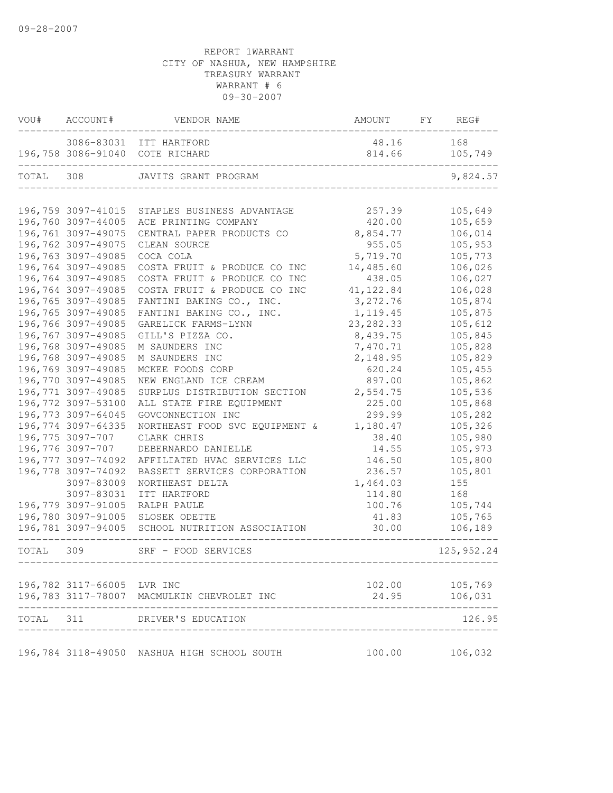| VOU#  | ACCOUNT#                         | VENDOR NAME                                 | AMOUNT          | FY | REG#           |
|-------|----------------------------------|---------------------------------------------|-----------------|----|----------------|
|       | 3086-83031<br>196,758 3086-91040 | ITT HARTFORD<br>COTE RICHARD                | 48.16<br>814.66 |    | 168<br>105,749 |
| TOTAL | 308                              | JAVITS GRANT PROGRAM                        |                 |    | 9,824.57       |
|       |                                  |                                             |                 |    |                |
|       | 196,759 3097-41015               | STAPLES BUSINESS ADVANTAGE                  | 257.39          |    | 105,649        |
|       | 196,760 3097-44005               | ACE PRINTING COMPANY                        | 420.00          |    | 105,659        |
|       | 196,761 3097-49075               | CENTRAL PAPER PRODUCTS CO                   | 8,854.77        |    | 106,014        |
|       | 196,762 3097-49075               | CLEAN SOURCE                                | 955.05          |    | 105,953        |
|       | 196,763 3097-49085               | COCA COLA                                   | 5,719.70        |    | 105,773        |
|       | 196,764 3097-49085               | COSTA FRUIT & PRODUCE CO INC                | 14,485.60       |    | 106,026        |
|       | 196,764 3097-49085               | COSTA FRUIT & PRODUCE CO INC                | 438.05          |    | 106,027        |
|       | 196,764 3097-49085               | COSTA FRUIT & PRODUCE CO INC                | 41, 122.84      |    | 106,028        |
|       | 196,765 3097-49085               | FANTINI BAKING CO., INC.                    | 3,272.76        |    | 105,874        |
|       | 196,765 3097-49085               | FANTINI BAKING CO., INC.                    | 1, 119.45       |    | 105,875        |
|       | 196,766 3097-49085               | GARELICK FARMS-LYNN                         | 23, 282.33      |    | 105,612        |
|       | 196,767 3097-49085               | GILL'S PIZZA CO.                            | 8,439.75        |    | 105,845        |
|       | 196,768 3097-49085               | M SAUNDERS INC                              | 7,470.71        |    | 105,828        |
|       | 196,768 3097-49085               | M SAUNDERS INC                              | 2,148.95        |    | 105,829        |
|       | 196,769 3097-49085               | MCKEE FOODS CORP                            | 620.24          |    | 105,455        |
|       | 196,770 3097-49085               | NEW ENGLAND ICE CREAM                       | 897.00          |    | 105,862        |
|       | 196,771 3097-49085               | SURPLUS DISTRIBUTION SECTION                | 2,554.75        |    | 105,536        |
|       | 196,772 3097-53100               | ALL STATE FIRE EQUIPMENT                    | 225.00          |    | 105,868        |
|       | 196,773 3097-64045               | GOVCONNECTION INC                           | 299.99          |    | 105,282        |
|       | 196,774 3097-64335               | NORTHEAST FOOD SVC EQUIPMENT &              | 1,180.47        |    | 105,326        |
|       | 196,775 3097-707                 | CLARK CHRIS                                 | 38.40           |    | 105,980        |
|       | 196,776 3097-707                 | DEBERNARDO DANIELLE                         | 14.55           |    | 105,973        |
|       | 196,777 3097-74092               | AFFILIATED HVAC SERVICES LLC                | 146.50          |    | 105,800        |
|       | 196,778 3097-74092               | BASSETT SERVICES CORPORATION                | 236.57          |    | 105,801        |
|       | 3097-83009                       | NORTHEAST DELTA                             | 1,464.03        |    | 155            |
|       | 3097-83031                       | ITT HARTFORD                                | 114.80          |    | 168            |
|       | 196,779 3097-91005               | RALPH PAULE                                 | 100.76          |    | 105,744        |
|       | 196,780 3097-91005               | SLOSEK ODETTE                               | 41.83           |    | 105,765        |
|       | 196,781 3097-94005               | SCHOOL NUTRITION ASSOCIATION                | 30.00           |    | 106,189        |
| TOTAL | 309                              | SRF - FOOD SERVICES                         |                 |    | 125, 952.24    |
|       |                                  |                                             |                 |    |                |
|       | 196,782 3117-66005 LVR INC       |                                             | 102.00          |    | 105,769        |
|       |                                  | 196,783 3117-78007 MACMULKIN CHEVROLET INC  | 24.95           |    | 106,031        |
| TOTAL | 311                              | DRIVER'S EDUCATION                          |                 |    | 126.95         |
|       |                                  |                                             |                 |    |                |
|       |                                  | 196,784 3118-49050 NASHUA HIGH SCHOOL SOUTH | 100.00          |    | 106,032        |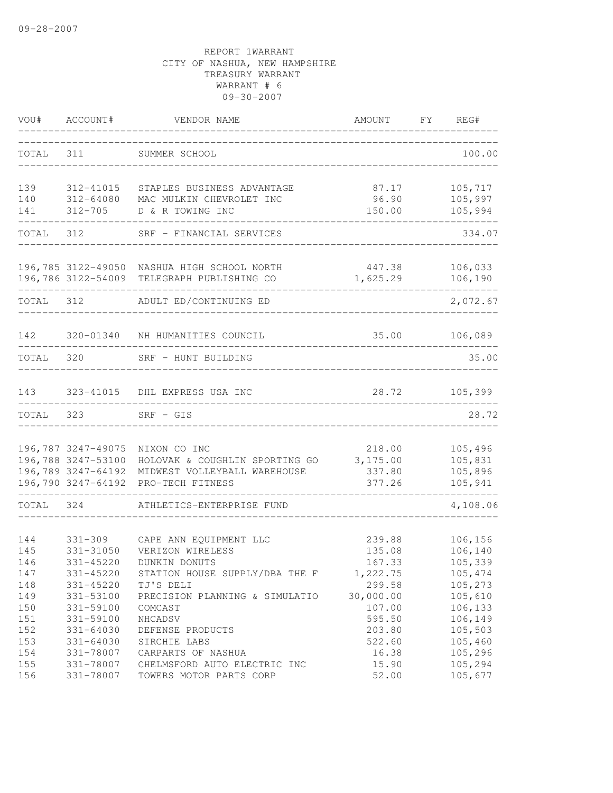| VOU#              | ACCOUNT#                                                       | VENDOR NAME                                                                                                           | AMOUNT                                 | FY | REG#                                     |
|-------------------|----------------------------------------------------------------|-----------------------------------------------------------------------------------------------------------------------|----------------------------------------|----|------------------------------------------|
| TOTAL             | 311                                                            | SUMMER SCHOOL                                                                                                         |                                        |    | 100.00                                   |
| 139               | 312-41015                                                      | STAPLES BUSINESS ADVANTAGE                                                                                            | 87.17                                  |    | 105,717                                  |
| 140<br>141        | 312-64080<br>312-705                                           | MAC MULKIN CHEVROLET INC<br>D & R TOWING INC                                                                          | 96.90<br>150.00                        |    | 105,997<br>105,994                       |
| TOTAL             | 312                                                            | SRF - FINANCIAL SERVICES                                                                                              |                                        |    | 334.07                                   |
|                   |                                                                | 196,785 3122-49050 NASHUA HIGH SCHOOL NORTH<br>196,786 3122-54009 TELEGRAPH PUBLISHING CO                             | 447.38<br>1,625.29                     |    | 106,033<br>106, 190                      |
| TOTAL 312         |                                                                | ADULT ED/CONTINUING ED                                                                                                |                                        |    | 2,072.67                                 |
| 142               |                                                                | 320-01340 NH HUMANITIES COUNCIL                                                                                       | 35.00                                  |    | 106,089                                  |
| TOTAL             | 320                                                            | SRF - HUNT BUILDING                                                                                                   |                                        |    | 35.00                                    |
| 143               |                                                                | 323-41015 DHL EXPRESS USA INC                                                                                         |                                        |    | 28.72 105,399                            |
| TOTAL 323         |                                                                | $SRF - GIS$                                                                                                           |                                        |    | 28.72                                    |
|                   | 196,787 3247-49075<br>196,788 3247-53100<br>196,789 3247-64192 | NIXON CO INC<br>HOLOVAK & COUGHLIN SPORTING GO<br>MIDWEST VOLLEYBALL WAREHOUSE<br>196,790 3247-64192 PRO-TECH FITNESS | 218.00<br>3,175.00<br>337.80<br>377.26 |    | 105,496<br>105,831<br>105,896<br>105,941 |
| TOTAL             | 324                                                            | ATHLETICS-ENTERPRISE FUND                                                                                             |                                        |    | 4,108.06                                 |
| 144               | $331 - 309$                                                    | CAPE ANN EQUIPMENT LLC                                                                                                | 239.88                                 |    | 106,156                                  |
| 145<br>146        | 331-31050<br>331-45220                                         | VERIZON WIRELESS<br>DUNKIN DONUTS                                                                                     | 135.08<br>167.33                       |    | 106,140<br>105,339                       |
| 147<br>148<br>149 | 331-45220<br>331-45220<br>331-53100                            | STATION HOUSE SUPPLY/DBA THE F<br>TJ'S DELI<br>PRECISION PLANNING & SIMULATIO                                         | 1,222.75<br>299.58<br>30,000.00        |    | 105,474<br>105,273<br>105,610            |
| 150<br>151<br>152 | 331-59100<br>331-59100<br>331-64030                            | COMCAST<br>NHCADSV<br>DEFENSE PRODUCTS                                                                                | 107.00<br>595.50<br>203.80             |    | 106,133<br>106,149<br>105,503            |
| 153<br>154<br>155 | 331-64030<br>331-78007<br>331-78007                            | SIRCHIE LABS<br>CARPARTS OF NASHUA<br>CHELMSFORD AUTO ELECTRIC INC                                                    | 522.60<br>16.38<br>15.90               |    | 105,460<br>105,296<br>105,294            |
| 156               | 331-78007                                                      | TOWERS MOTOR PARTS CORP                                                                                               | 52.00                                  |    | 105,677                                  |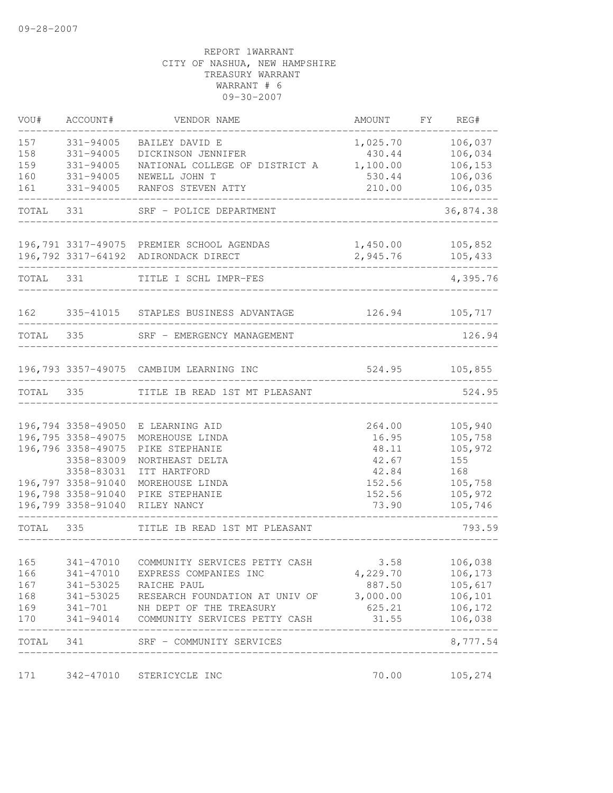| VOU#       | ACCOUNT#           | VENDOR NAME                                                                | AMOUNT FY REG#                     |                             |
|------------|--------------------|----------------------------------------------------------------------------|------------------------------------|-----------------------------|
| 157        | 331-94005          | BAILEY DAVID E                                                             | 1,025.70                           | 106,037                     |
| 158        | $331 - 94005$      | DICKINSON JENNIFER                                                         | 430.44                             | 106,034                     |
| 159        | 331-94005          | NATIONAL COLLEGE OF DISTRICT A                                             | 1,100.00                           | 106,153                     |
| 160        | 331-94005          | NEWELL JOHN T                                                              | 530.44                             | 106,036                     |
| 161        | 331-94005          | RANFOS STEVEN ATTY                                                         | 210.00                             | 106,035                     |
| TOTAL 331  |                    | SRF - POLICE DEPARTMENT                                                    |                                    | 36,874.38                   |
|            |                    | 196,791 3317-49075 PREMIER SCHOOL AGENDAS                                  | 1,450.00                           | 105,852                     |
|            |                    | 196,792 3317-64192 ADIRONDACK DIRECT                                       | 2,945.76                           | 105,433                     |
|            | TOTAL 331          | TITLE I SCHL IMPR-FES                                                      |                                    | 4,395.76                    |
|            |                    | 162 335-41015 STAPLES BUSINESS ADVANTAGE                                   | 126.94 105,717                     |                             |
| TOTAL 335  |                    | SRF - EMERGENCY MANAGEMENT                                                 | ________________________________   | 126.94                      |
|            |                    | 196,793 3357-49075 CAMBIUM LEARNING INC                                    | $524.95$ $105,855$                 |                             |
|            |                    | TOTAL 335 TITLE IB READ 1ST MT PLEASANT                                    | --------------                     | 524.95                      |
|            |                    |                                                                            |                                    |                             |
|            |                    | 196,794 3358-49050 E LEARNING AID                                          | 264.00                             | 105,940                     |
|            | 196,795 3358-49075 | MOREHOUSE LINDA                                                            | 16.95                              | 105,758                     |
|            | 196,796 3358-49075 | PIKE STEPHANIE                                                             | 48.11                              | 105,972                     |
|            | 3358-83009         | NORTHEAST DELTA                                                            | 42.67                              | 155                         |
|            | 3358-83031         | ITT HARTFORD                                                               | 42.84                              | 168                         |
|            | 196,797 3358-91040 | MOREHOUSE LINDA                                                            | 152.56                             | 105,758                     |
|            | 196,798 3358-91040 | PIKE STEPHANIE<br>196,799 3358-91040 RILEY NANCY                           | 152.56<br>73.90                    | 105,972<br>105,746          |
| TOTAL 335  |                    | TITLE IB READ 1ST MT PLEASANT                                              | ____________                       | 793.59                      |
|            |                    |                                                                            |                                    |                             |
| 165        |                    | 341-47010 COMMUNITY SERVICES PETTY CASH                                    | 3.58                               | 106,038                     |
| 166        |                    | 341-47010 EXPRESS COMPANIES INC                                            | 4,229.70                           | 106,173                     |
| 167        |                    | 341-53025 RAICHE PAUL                                                      | 887.50                             | 105,617                     |
| 168        |                    | 341-53025 RESEARCH FOUNDATION AT UNIV OF 3,000.00                          |                                    | 106,101                     |
| 169<br>170 |                    | 341-701 NH DEPT OF THE TREASURY<br>341-94014 COMMUNITY SERVICES PETTY CASH | 625.21<br>31.55                    | 106,172<br>106,038          |
|            |                    | TOTAL 341 SRF - COMMUNITY SERVICES                                         |                                    | ---------------<br>8,777.54 |
|            |                    |                                                                            | ---------------------------------- |                             |
| 171        |                    | 342-47010 STERICYCLE INC                                                   | 70.00                              | 105,274                     |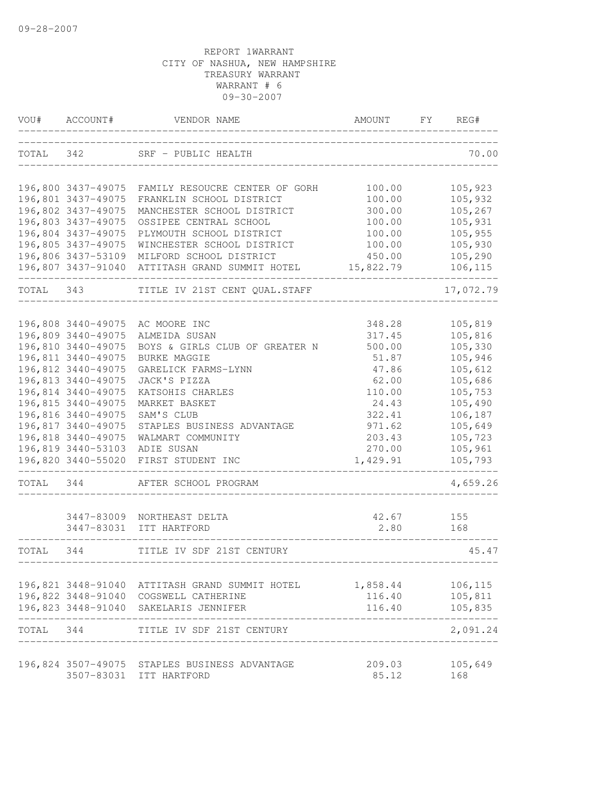| VOU#      | ACCOUNT#           | VENDOR NAME                                       | AMOUNT    | FY | REG#      |
|-----------|--------------------|---------------------------------------------------|-----------|----|-----------|
| TOTAL     | 342                | SRF - PUBLIC HEALTH                               |           |    | 70.00     |
|           |                    | 196,800 3437-49075 FAMILY RESOUCRE CENTER OF GORH | 100.00    |    | 105,923   |
|           | 196,801 3437-49075 | FRANKLIN SCHOOL DISTRICT                          | 100.00    |    | 105,932   |
|           | 196,802 3437-49075 | MANCHESTER SCHOOL DISTRICT                        | 300.00    |    | 105,267   |
|           | 196,803 3437-49075 | OSSIPEE CENTRAL SCHOOL                            | 100.00    |    | 105,931   |
|           | 196,804 3437-49075 | PLYMOUTH SCHOOL DISTRICT                          | 100.00    |    | 105,955   |
|           | 196,805 3437-49075 | WINCHESTER SCHOOL DISTRICT                        | 100.00    |    | 105,930   |
|           | 196,806 3437-53109 | MILFORD SCHOOL DISTRICT                           | 450.00    |    | 105,290   |
|           | 196,807 3437-91040 | ATTITASH GRAND SUMMIT HOTEL                       | 15,822.79 |    | 106,115   |
| TOTAL     | 343                | TITLE IV 21ST CENT QUAL.STAFF                     |           |    | 17,072.79 |
|           | 196,808 3440-49075 | AC MOORE INC                                      | 348.28    |    | 105,819   |
|           | 196,809 3440-49075 | ALMEIDA SUSAN                                     | 317.45    |    | 105,816   |
|           | 196,810 3440-49075 | BOYS & GIRLS CLUB OF GREATER N                    | 500.00    |    | 105,330   |
|           | 196,811 3440-49075 | <b>BURKE MAGGIE</b>                               | 51.87     |    | 105,946   |
|           | 196,812 3440-49075 | GARELICK FARMS-LYNN                               | 47.86     |    | 105,612   |
|           | 196,813 3440-49075 | JACK'S PIZZA                                      | 62.00     |    | 105,686   |
|           | 196,814 3440-49075 | KATSOHIS CHARLES                                  | 110.00    |    | 105,753   |
|           | 196,815 3440-49075 | MARKET BASKET                                     | 24.43     |    | 105,490   |
|           | 196,816 3440-49075 | SAM'S CLUB                                        | 322.41    |    | 106,187   |
|           | 196,817 3440-49075 | STAPLES BUSINESS ADVANTAGE                        | 971.62    |    | 105,649   |
|           | 196,818 3440-49075 | WALMART COMMUNITY                                 | 203.43    |    | 105,723   |
|           | 196,819 3440-53103 | ADIE SUSAN                                        | 270.00    |    | 105,961   |
|           | 196,820 3440-55020 | FIRST STUDENT INC                                 | 1,429.91  |    | 105,793   |
| TOTAL     | 344                | AFTER SCHOOL PROGRAM                              |           |    | 4,659.26  |
|           | 3447-83009         | NORTHEAST DELTA                                   | 42.67     |    | 155       |
|           | 3447-83031         | ITT HARTFORD                                      | 2.80      |    | 168       |
| TOTAL     | 344                | TITLE IV SDF 21ST CENTURY                         |           |    | 45.47     |
|           |                    | 196,821 3448-91040 ATTITASH GRAND SUMMIT HOTEL    | 1,858.44  |    | 106,115   |
|           |                    | 196,822 3448-91040 COGSWELL CATHERINE             | 116.40    |    | 105,811   |
|           |                    | 196,823 3448-91040 SAKELARIS JENNIFER             | 116.40    |    | 105,835   |
| TOTAL 344 |                    | TITLE IV SDF 21ST CENTURY                         |           |    | 2,091.24  |
|           |                    | 196,824 3507-49075 STAPLES BUSINESS ADVANTAGE     | 209.03    |    | 105,649   |
|           |                    | 3507-83031 ITT HARTFORD                           | 85.12     |    | 168       |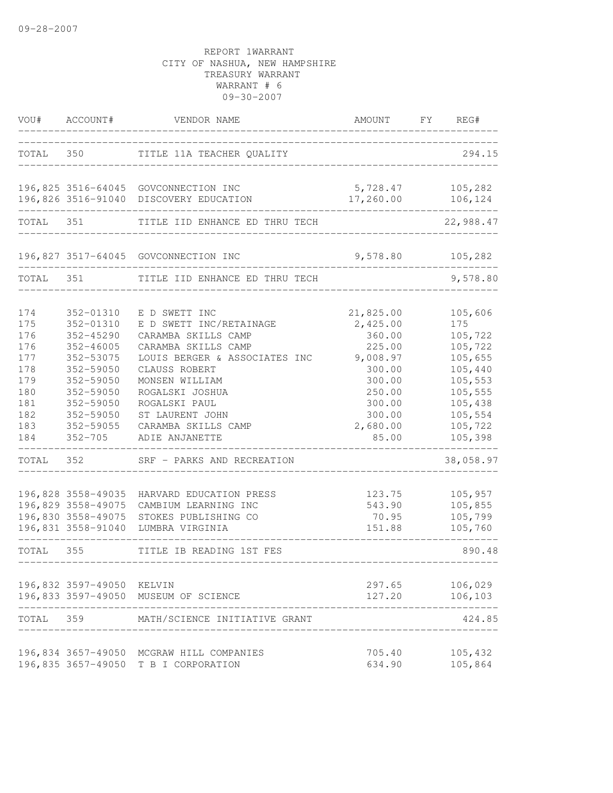| VOU#                                                                             | ACCOUNT#                                                                                                                                                       | VENDOR NAME                                                                                                                                                                                                                                                | AMOUNT                                                                                                                       | FY | REG#                                                                                                                         |
|----------------------------------------------------------------------------------|----------------------------------------------------------------------------------------------------------------------------------------------------------------|------------------------------------------------------------------------------------------------------------------------------------------------------------------------------------------------------------------------------------------------------------|------------------------------------------------------------------------------------------------------------------------------|----|------------------------------------------------------------------------------------------------------------------------------|
| TOTAL                                                                            | 350 000                                                                                                                                                        | TITLE 11A TEACHER QUALITY                                                                                                                                                                                                                                  |                                                                                                                              |    | 294.15                                                                                                                       |
|                                                                                  | 196,826 3516-91040                                                                                                                                             | 196,825 3516-64045 GOVCONNECTION INC<br>DISCOVERY EDUCATION                                                                                                                                                                                                | 5,728.47<br>17,260.00                                                                                                        |    | 105,282<br>106,124                                                                                                           |
| TOTAL                                                                            | 351                                                                                                                                                            | TITLE IID ENHANCE ED THRU TECH                                                                                                                                                                                                                             |                                                                                                                              |    | 22,988.47                                                                                                                    |
|                                                                                  |                                                                                                                                                                | 196,827 3517-64045 GOVCONNECTION INC                                                                                                                                                                                                                       | 9,578.80                                                                                                                     |    | 105,282                                                                                                                      |
| TOTAL                                                                            | 351                                                                                                                                                            | TITLE IID ENHANCE ED THRU TECH                                                                                                                                                                                                                             |                                                                                                                              |    | 9,578.80                                                                                                                     |
| 174<br>175<br>176<br>176<br>177<br>178<br>179<br>180<br>181<br>182<br>183<br>184 | 352-01310<br>352-01310<br>352-45290<br>$352 - 46005$<br>352-53075<br>352-59050<br>352-59050<br>352-59050<br>352-59050<br>352-59050<br>352-59055<br>$352 - 705$ | E D SWETT INC<br>E D SWETT INC/RETAINAGE<br>CARAMBA SKILLS CAMP<br>CARAMBA SKILLS CAMP<br>LOUIS BERGER & ASSOCIATES INC<br>CLAUSS ROBERT<br>MONSEN WILLIAM<br>ROGALSKI JOSHUA<br>ROGALSKI PAUL<br>ST LAURENT JOHN<br>CARAMBA SKILLS CAMP<br>ADIE ANJANETTE | 21,825.00<br>2,425.00<br>360.00<br>225.00<br>9,008.97<br>300.00<br>300.00<br>250.00<br>300.00<br>300.00<br>2,680.00<br>85.00 |    | 105,606<br>175<br>105,722<br>105,722<br>105,655<br>105,440<br>105,553<br>105,555<br>105,438<br>105,554<br>105,722<br>105,398 |
| TOTAL                                                                            | 352                                                                                                                                                            | SRF - PARKS AND RECREATION                                                                                                                                                                                                                                 |                                                                                                                              |    | 38,058.97                                                                                                                    |
|                                                                                  | 196,828 3558-49035<br>196,829 3558-49075<br>196,830 3558-49075<br>196,831 3558-91040                                                                           | HARVARD EDUCATION PRESS<br>CAMBIUM LEARNING INC<br>STOKES PUBLISHING CO<br>LUMBRA VIRGINIA                                                                                                                                                                 | 123.75<br>543.90<br>70.95<br>151.88                                                                                          |    | 105,957<br>105,855<br>105,799<br>105,760                                                                                     |
| TOTAL                                                                            | 355                                                                                                                                                            | TITLE IB READING 1ST FES                                                                                                                                                                                                                                   |                                                                                                                              |    | 890.48                                                                                                                       |
|                                                                                  | 196,832 3597-49050 KELVIN                                                                                                                                      | 196,833 3597-49050 MUSEUM OF SCIENCE                                                                                                                                                                                                                       | 297.65<br>127.20                                                                                                             |    | 106,029<br>106,103                                                                                                           |
| TOTAL                                                                            | 359                                                                                                                                                            | MATH/SCIENCE INITIATIVE GRANT                                                                                                                                                                                                                              |                                                                                                                              |    | 424.85                                                                                                                       |
|                                                                                  |                                                                                                                                                                | 196,834 3657-49050 MCGRAW HILL COMPANIES<br>196,835 3657-49050 T B I CORPORATION                                                                                                                                                                           | 705.40<br>634.90                                                                                                             |    | 105,432<br>105,864                                                                                                           |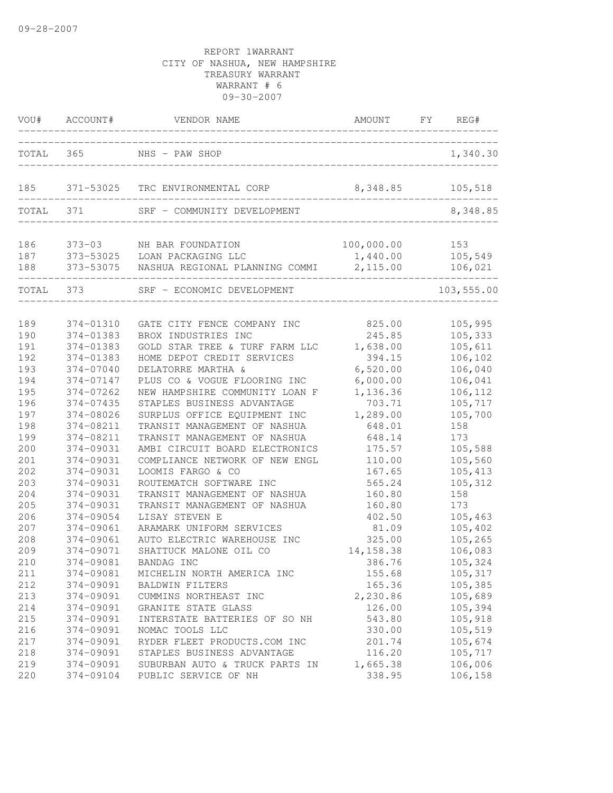| VOU#       | ACCOUNT#               | VENDOR NAME                                                                       | AMOUNT             | FY | REG#               |
|------------|------------------------|-----------------------------------------------------------------------------------|--------------------|----|--------------------|
|            | TOTAL 365              | NHS - PAW SHOP                                                                    |                    |    | 1,340.30           |
| 185        |                        | 371-53025 TRC ENVIRONMENTAL CORP                                                  | 8,348.85           |    | 105,518            |
| TOTAL      | 371                    | SRF - COMMUNITY DEVELOPMENT                                                       |                    |    | 8,348.85           |
| 186        |                        | 373-03 NH BAR FOUNDATION                                                          | 100,000.00         |    | 153                |
| 187<br>188 |                        | 373-53025 LOAN PACKAGING LLC<br>373-53075 NASHUA REGIONAL PLANNING COMMI 2,115.00 | 1,440.00           |    | 105,549<br>106,021 |
| TOTAL 373  |                        | SRF - ECONOMIC DEVELOPMENT                                                        |                    |    | 103,555.00         |
| 189        | 374-01310              | GATE CITY FENCE COMPANY INC                                                       | 825.00             |    | 105,995            |
| 190        | 374-01383              | BROX INDUSTRIES INC                                                               | 245.85             |    | 105,333            |
| 191        | 374-01383              | GOLD STAR TREE & TURF FARM LLC                                                    | 1,638.00           |    | 105,611            |
| 192        | 374-01383              | HOME DEPOT CREDIT SERVICES                                                        | 394.15             |    | 106,102            |
| 193        | 374-07040              | DELATORRE MARTHA &                                                                | 6,520.00           |    | 106,040            |
| 194        | 374-07147              | PLUS CO & VOGUE FLOORING INC                                                      | 6,000.00           |    | 106,041            |
| 195        | 374-07262<br>374-07435 | NEW HAMPSHIRE COMMUNITY LOAN F                                                    | 1,136.36           |    | 106,112            |
| 196<br>197 | 374-08026              | STAPLES BUSINESS ADVANTAGE                                                        | 703.71<br>1,289.00 |    | 105,717            |
| 198        | 374-08211              | SURPLUS OFFICE EQUIPMENT INC<br>TRANSIT MANAGEMENT OF NASHUA                      | 648.01             |    | 105,700<br>158     |
| 199        | 374-08211              | TRANSIT MANAGEMENT OF NASHUA                                                      | 648.14             |    | 173                |
| 200        | 374-09031              | AMBI CIRCUIT BOARD ELECTRONICS                                                    | 175.57             |    | 105,588            |
| 201        | 374-09031              | COMPLIANCE NETWORK OF NEW ENGL                                                    | 110.00             |    | 105,560            |
| 202        | 374-09031              | LOOMIS FARGO & CO                                                                 | 167.65             |    | 105,413            |
| 203        | 374-09031              | ROUTEMATCH SOFTWARE INC                                                           | 565.24             |    | 105,312            |
| 204        | 374-09031              | TRANSIT MANAGEMENT OF NASHUA                                                      | 160.80             |    | 158                |
| 205        | 374-09031              | TRANSIT MANAGEMENT OF NASHUA                                                      | 160.80             |    | 173                |
| 206        | 374-09054              | LISAY STEVEN E                                                                    | 402.50             |    | 105,463            |
| 207        | 374-09061              | ARAMARK UNIFORM SERVICES                                                          | 81.09              |    | 105,402            |
| 208        | 374-09061              | AUTO ELECTRIC WAREHOUSE INC                                                       | 325.00             |    | 105,265            |
| 209        | 374-09071              | SHATTUCK MALONE OIL CO                                                            | 14, 158.38         |    | 106,083            |
| 210        | 374-09081              | BANDAG INC                                                                        | 386.76             |    | 105,324            |
| 211        | 374-09081              | MICHELIN NORTH AMERICA INC                                                        | 155.68             |    | 105,317            |
| 212        | 374-09091              | BALDWIN FILTERS                                                                   | 165.36             |    | 105,385            |
| 213        | 374-09091              | CUMMINS NORTHEAST INC                                                             | 2,230.86           |    | 105,689            |
| 214        | 374-09091              | GRANITE STATE GLASS                                                               | 126.00             |    | 105,394            |
| 215        | 374-09091              | INTERSTATE BATTERIES OF SO NH                                                     | 543.80             |    | 105,918            |
| 216        | 374-09091              | NOMAC TOOLS LLC                                                                   | 330.00             |    | 105,519            |
| 217        | 374-09091              | RYDER FLEET PRODUCTS.COM INC                                                      | 201.74             |    | 105,674            |
| 218        | 374-09091              | STAPLES BUSINESS ADVANTAGE                                                        | 116.20             |    | 105,717            |
| 219        | 374-09091              | SUBURBAN AUTO & TRUCK PARTS IN                                                    | 1,665.38           |    | 106,006            |
| 220        | 374-09104              | PUBLIC SERVICE OF NH                                                              | 338.95             |    | 106,158            |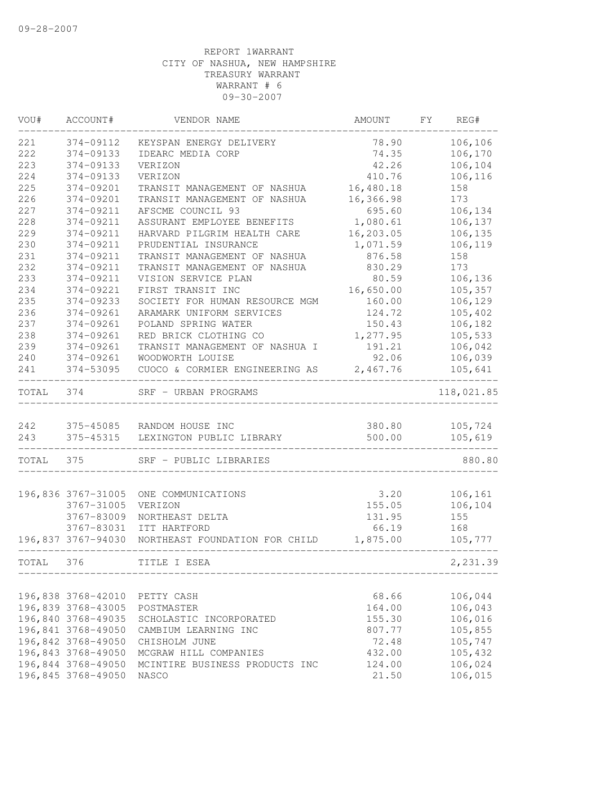| WOU#  | ACCOUNT#                 | VENDOR NAME                    | AMOUNT    | FY | REG#       |
|-------|--------------------------|--------------------------------|-----------|----|------------|
| 221   | 374-09112                | KEYSPAN ENERGY DELIVERY        | 78.90     |    | 106,106    |
| 222   | 374-09133                | IDEARC MEDIA CORP              | 74.35     |    | 106,170    |
| 223   | 374-09133                | VERIZON                        | 42.26     |    | 106,104    |
| 224   | 374-09133                | VERIZON                        | 410.76    |    | 106,116    |
| 225   | 374-09201                | TRANSIT MANAGEMENT OF NASHUA   | 16,480.18 |    | 158        |
| 226   | 374-09201                | TRANSIT MANAGEMENT OF NASHUA   | 16,366.98 |    | 173        |
| 227   | 374-09211                | AFSCME COUNCIL 93              | 695.60    |    | 106,134    |
| 228   | 374-09211                | ASSURANT EMPLOYEE BENEFITS     | 1,080.61  |    | 106,137    |
| 229   | 374-09211                | HARVARD PILGRIM HEALTH CARE    | 16,203.05 |    | 106,135    |
| 230   | 374-09211                | PRUDENTIAL INSURANCE           | 1,071.59  |    | 106,119    |
| 231   | 374-09211                | TRANSIT MANAGEMENT OF NASHUA   | 876.58    |    | 158        |
| 232   | 374-09211                | TRANSIT MANAGEMENT OF NASHUA   | 830.29    |    | 173        |
| 233   | 374-09211                | VISION SERVICE PLAN            | 80.59     |    | 106,136    |
| 234   | 374-09221                | FIRST TRANSIT INC              | 16,650.00 |    | 105,357    |
| 235   | 374-09233                | SOCIETY FOR HUMAN RESOURCE MGM | 160.00    |    | 106,129    |
| 236   | 374-09261                | ARAMARK UNIFORM SERVICES       | 124.72    |    | 105,402    |
| 237   | 374-09261                | POLAND SPRING WATER            | 150.43    |    | 106,182    |
| 238   | 374-09261                | RED BRICK CLOTHING CO          | 1,277.95  |    | 105,533    |
| 239   | 374-09261                | TRANSIT MANAGEMENT OF NASHUA I | 191.21    |    | 106,042    |
| 240   | 374-09261                | WOODWORTH LOUISE               | 92.06     |    | 106,039    |
| 241   | 374-53095                | CUOCO & CORMIER ENGINEERING AS | 2,467.76  |    | 105,641    |
| TOTAL | 374                      | SRF - URBAN PROGRAMS           |           |    | 118,021.85 |
|       |                          |                                |           |    |            |
| 242   |                          | 375-45085 RANDOM HOUSE INC     | 380.80    |    | 105,724    |
| 243   | 375-45315<br>___________ | LEXINGTON PUBLIC LIBRARY       | 500.00    |    | 105,619    |
| TOTAL | 375                      | SRF - PUBLIC LIBRARIES         |           |    | 880.80     |
|       |                          |                                |           |    |            |
|       | 196,836 3767-31005       | ONE COMMUNICATIONS             | 3.20      |    | 106,161    |
|       | 3767-31005               | VERIZON                        | 155.05    |    | 106,104    |
|       | 3767-83009               | NORTHEAST DELTA                | 131.95    |    | 155        |
|       | 3767-83031               | ITT HARTFORD                   | 66.19     |    | 168        |
|       | 196,837 3767-94030       | NORTHEAST FOUNDATION FOR CHILD | 1,875.00  |    | 105,777    |
| TOTAL | 376                      | TITLE I ESEA                   |           |    | 2,231.39   |
|       |                          |                                |           |    |            |
|       | 196,838 3768-42010       | PETTY CASH                     | 68.66     |    | 106,044    |
|       | 196,839 3768-43005       | POSTMASTER                     | 164.00    |    | 106,043    |
|       | 196,840 3768-49035       | SCHOLASTIC INCORPORATED        | 155.30    |    | 106,016    |
|       | 196,841 3768-49050       | CAMBIUM LEARNING INC           | 807.77    |    | 105,855    |
|       | 196,842 3768-49050       | CHISHOLM JUNE                  | 72.48     |    | 105,747    |
|       | 196,843 3768-49050       | MCGRAW HILL COMPANIES          | 432.00    |    | 105,432    |
|       | 196,844 3768-49050       | MCINTIRE BUSINESS PRODUCTS INC | 124.00    |    | 106,024    |
|       | 196,845 3768-49050       | NASCO                          | 21.50     |    | 106,015    |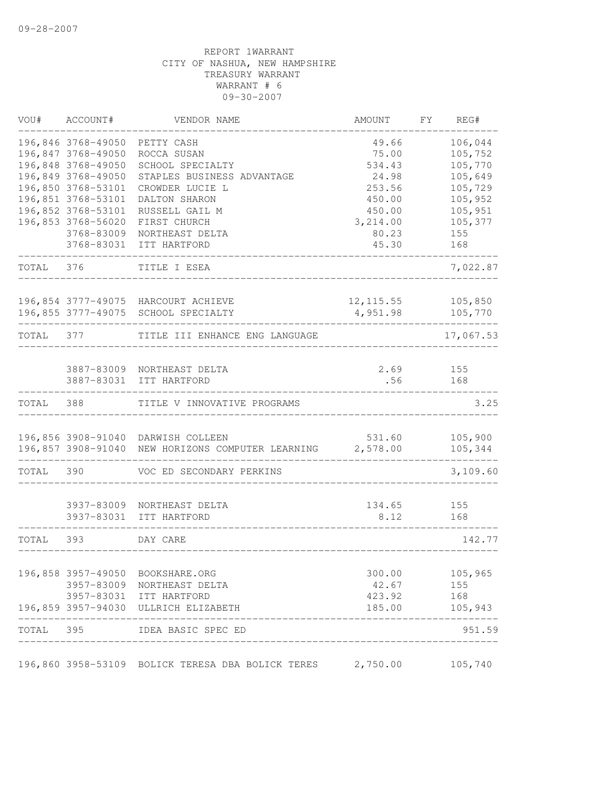| VOU#      | ACCOUNT#           | VENDOR NAME                                                                             | AMOUNT     | FΥ | REG#               |
|-----------|--------------------|-----------------------------------------------------------------------------------------|------------|----|--------------------|
|           | 196,846 3768-49050 | PETTY CASH                                                                              | 49.66      |    | 106,044            |
|           | 196,847 3768-49050 | ROCCA SUSAN                                                                             | 75.00      |    | 105,752            |
|           | 196,848 3768-49050 | SCHOOL SPECIALTY                                                                        | 534.43     |    | 105,770            |
|           | 196,849 3768-49050 | STAPLES BUSINESS ADVANTAGE                                                              | 24.98      |    | 105,649            |
|           | 196,850 3768-53101 | CROWDER LUCIE L                                                                         | 253.56     |    | 105,729            |
|           | 196,851 3768-53101 | DALTON SHARON                                                                           | 450.00     |    | 105,952            |
|           | 196,852 3768-53101 | RUSSELL GAIL M                                                                          | 450.00     |    | 105,951            |
|           | 196,853 3768-56020 | FIRST CHURCH                                                                            | 3,214.00   |    | 105,377            |
|           | 3768-83009         | NORTHEAST DELTA                                                                         | 80.23      |    | 155                |
|           | 3768-83031         | ITT HARTFORD                                                                            | 45.30      |    | 168                |
| TOTAL     | 376                | TITLE I ESEA                                                                            |            |    | 7,022.87           |
|           |                    | 196,854 3777-49075 HARCOURT ACHIEVE                                                     | 12, 115.55 |    | 105,850            |
|           |                    | 196,855 3777-49075 SCHOOL SPECIALTY                                                     | 4,951.98   |    | 105,770            |
| TOTAL     | 377                | TITLE III ENHANCE ENG LANGUAGE                                                          |            |    | 17,067.53          |
|           |                    |                                                                                         |            |    |                    |
|           |                    | 3887-83009 NORTHEAST DELTA                                                              | 2.69       |    | 155                |
|           | 3887-83031         | ITT HARTFORD                                                                            | .56        |    | 168                |
| TOTAL     | 388                | TITLE V INNOVATIVE PROGRAMS                                                             |            |    | 3.25               |
|           |                    |                                                                                         | 531.60     |    |                    |
|           |                    | 196,856 3908-91040 DARWISH COLLEEN<br>196,857 3908-91040 NEW HORIZONS COMPUTER LEARNING | 2,578.00   |    | 105,900<br>105,344 |
|           |                    |                                                                                         |            |    |                    |
| TOTAL     | 390                | VOC ED SECONDARY PERKINS                                                                |            |    | 3,109.60           |
|           | 3937-83009         | NORTHEAST DELTA                                                                         | 134.65     |    | 155                |
|           | 3937-83031         | ITT HARTFORD                                                                            | 8.12       |    | 168                |
|           |                    |                                                                                         |            |    |                    |
| TOTAL     | 393                | DAY CARE                                                                                |            |    | 142.77             |
|           | 196,858 3957-49050 | BOOKSHARE.ORG                                                                           | 300.00     |    | 105,965            |
|           |                    | 3957-83009 NORTHEAST DELTA                                                              | 42.67      |    | 155                |
|           |                    | 3957-83031 ITT HARTFORD                                                                 | 423.92     |    | 168                |
|           |                    | 196,859 3957-94030 ULLRICH ELIZABETH                                                    | 185.00     |    | 105,943            |
| TOTAL 395 |                    | IDEA BASIC SPEC ED                                                                      |            |    | 951.59             |
|           |                    |                                                                                         |            |    |                    |
|           |                    | 196,860 3958-53109 BOLICK TERESA DBA BOLICK TERES                                       | 2,750.00   |    | 105,740            |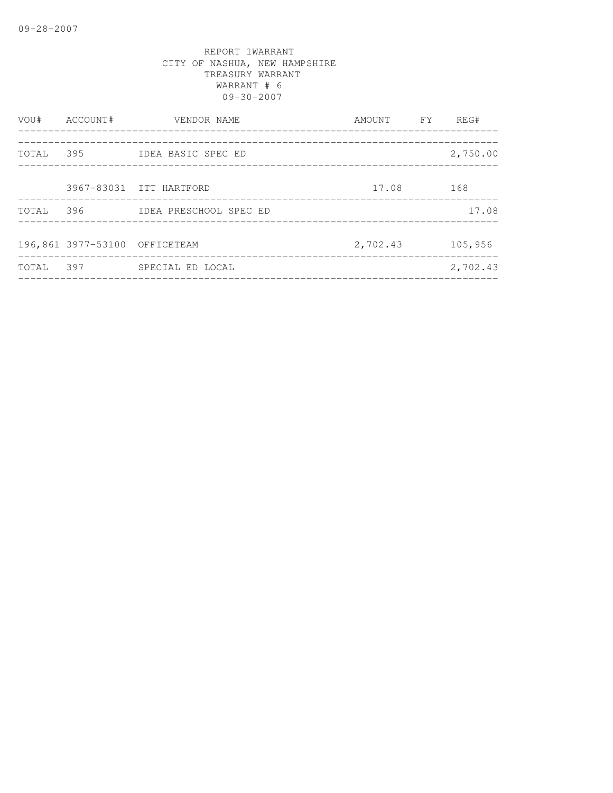| VOU#      | ACCOUNT#                      | VENDOR NAME             | AMOUNT FY | REG#     |
|-----------|-------------------------------|-------------------------|-----------|----------|
| TOTAL 395 |                               | IDEA BASIC SPEC ED      |           | 2,750.00 |
|           |                               | 3967-83031 ITT HARTFORD | 17.08     | 168      |
| TOTAL     | 396                           | IDEA PRESCHOOL SPEC ED  |           | 17.08    |
|           | 196,861 3977-53100 OFFICETEAM |                         | 2,702.43  | 105,956  |
| TOTAL     | 397                           | SPECIAL ED LOCAL        |           | 2,702.43 |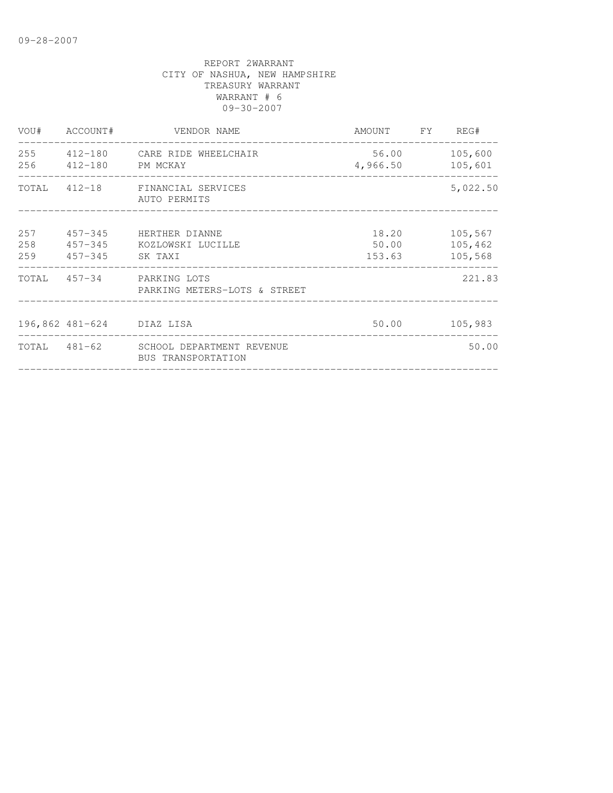|            | VOU# ACCOUNT#                      | VENDOR NAME                                                  | AMOUNT FY                | REG#                          |
|------------|------------------------------------|--------------------------------------------------------------|--------------------------|-------------------------------|
| 255<br>256 | 412-180 PM MCKAY                   | 412-180 CARE RIDE WHEELCHAIR                                 | 56.00<br>4,966.50        | 105,600<br>105,601            |
| TOTAL      |                                    | 412-18 FINANCIAL SERVICES<br>AUTO PERMITS                    |                          | 5,022.50                      |
| 257<br>258 | $457 - 345$<br>259 457-345 SK TAXI | HERTHER DIANNE<br>457-345 KOZLOWSKI LUCILLE                  | 18.20<br>50.00<br>153.63 | 105,567<br>105,462<br>105,568 |
|            |                                    | TOTAL 457-34 PARKING LOTS<br>PARKING METERS-LOTS & STREET    |                          | 221.83                        |
|            | 196,862 481-624 DIAZ LISA          |                                                              | 50.00                    | 105,983                       |
|            |                                    | TOTAL 481-62 SCHOOL DEPARTMENT REVENUE<br>BUS TRANSPORTATION |                          | 50.00                         |
|            |                                    |                                                              |                          |                               |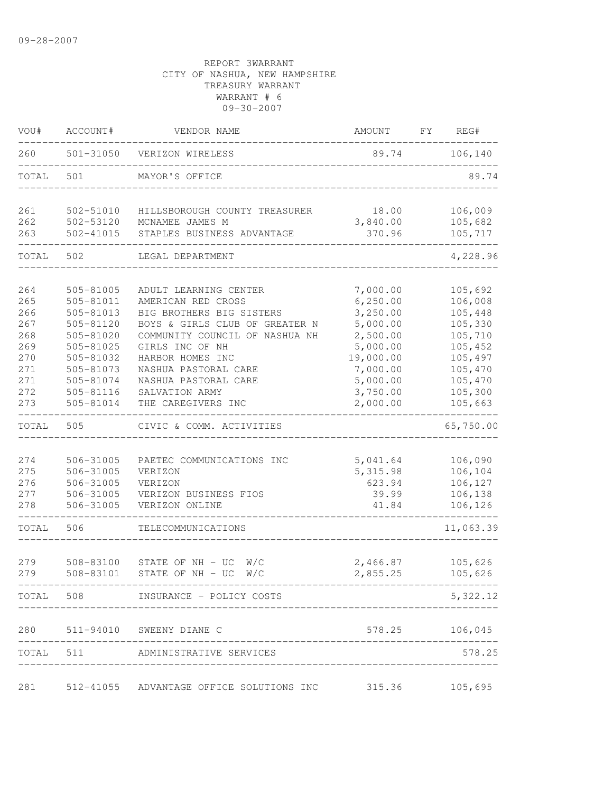| VOU#  | ACCOUNT#  | VENDOR NAME                                        | AMOUNT    | FY<br>REG# |
|-------|-----------|----------------------------------------------------|-----------|------------|
| 260   |           | 501-31050 VERIZON WIRELESS                         | 89.74     | 106, 140   |
| TOTAL | 501       | MAYOR'S OFFICE                                     |           | 89.74      |
| 261   | 502-51010 | HILLSBOROUGH COUNTY TREASURER                      | 18.00     | 106,009    |
| 262   | 502-53120 | MCNAMEE JAMES M                                    | 3,840.00  | 105,682    |
| 263   | 502-41015 | STAPLES BUSINESS ADVANTAGE                         | 370.96    | 105,717    |
| TOTAL | 502       | LEGAL DEPARTMENT                                   |           | 4,228.96   |
| 264   | 505-81005 | ADULT LEARNING CENTER                              | 7,000.00  | 105,692    |
| 265   | 505-81011 | AMERICAN RED CROSS                                 | 6, 250.00 | 106,008    |
| 266   | 505-81013 | BIG BROTHERS BIG SISTERS                           | 3,250.00  | 105,448    |
| 267   | 505-81120 | BOYS & GIRLS CLUB OF GREATER N                     | 5,000.00  | 105,330    |
| 268   | 505-81020 | COMMUNITY COUNCIL OF NASHUA NH                     | 2,500.00  | 105,710    |
| 269   | 505-81025 | GIRLS INC OF NH                                    | 5,000.00  | 105,452    |
| 270   | 505-81032 | HARBOR HOMES INC                                   | 19,000.00 | 105,497    |
| 271   | 505-81073 | NASHUA PASTORAL CARE                               | 7,000.00  | 105,470    |
| 271   | 505-81074 | NASHUA PASTORAL CARE                               | 5,000.00  | 105,470    |
| 272   | 505-81116 | SALVATION ARMY                                     | 3,750.00  | 105,300    |
| 273   | 505-81014 | THE CAREGIVERS INC                                 | 2,000.00  | 105,663    |
| TOTAL | 505       | CIVIC & COMM. ACTIVITIES                           |           | 65,750.00  |
|       |           |                                                    |           |            |
| 274   | 506-31005 | PAETEC COMMUNICATIONS INC                          | 5,041.64  | 106,090    |
| 275   | 506-31005 | VERIZON                                            | 5, 315.98 | 106,104    |
| 276   | 506-31005 | VERIZON                                            | 623.94    | 106,127    |
| 277   | 506-31005 | VERIZON BUSINESS FIOS                              | 39.99     | 106,138    |
| 278   | 506-31005 | VERIZON ONLINE                                     | 41.84     | 106,126    |
| TOTAL | 506       | TELECOMMUNICATIONS                                 |           | 11,063.39  |
| 279   | 508-83100 | STATE OF NH - UC<br>W/C                            | 2,466.87  | 105,626    |
| 279   | 508-83101 | STATE OF $NH - UC$ W/C                             | 2,855.25  | 105,626    |
|       |           | ------------<br>TOTAL 508 INSURANCE - POLICY COSTS |           | 5,322.12   |
| 280   |           | 511-94010 SWEENY DIANE C                           | 578.25    | 106,045    |
|       |           |                                                    |           |            |
|       |           | TOTAL 511 ADMINISTRATIVE SERVICES                  |           | 578.25     |
| 281   |           | 512-41055 ADVANTAGE OFFICE SOLUTIONS INC 315.36    |           | 105,695    |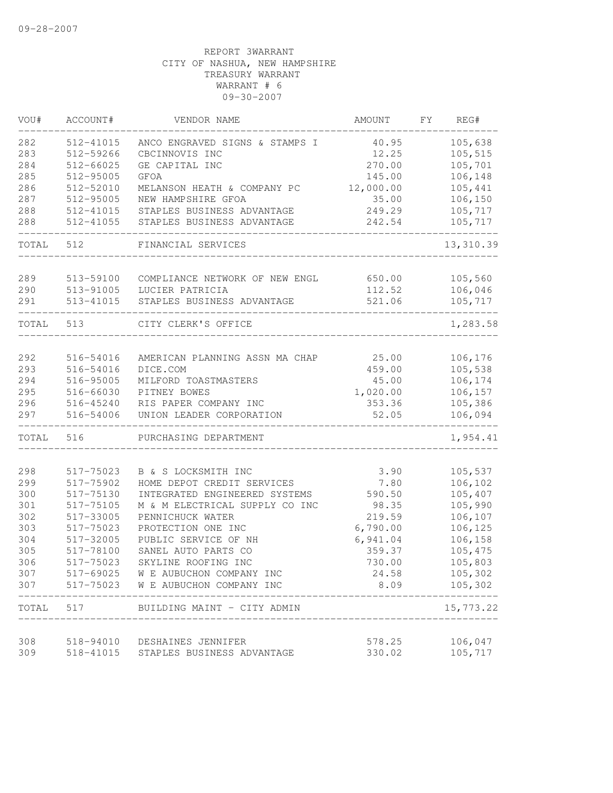| VOU#       | ACCOUNT#               | VENDOR NAME                                                              | AMOUNT          | FY | REG#                     |
|------------|------------------------|--------------------------------------------------------------------------|-----------------|----|--------------------------|
| 282        | 512-41015              | ANCO ENGRAVED SIGNS & STAMPS I                                           | 40.95           |    | 105,638                  |
| 283        | 512-59266              | CBCINNOVIS INC                                                           | 12.25           |    | 105,515                  |
| 284        | 512-66025              | GE CAPITAL INC                                                           | 270.00          |    | 105,701                  |
| 285        | 512-95005              | <b>GFOA</b>                                                              | 145.00          |    | 106,148                  |
| 286        | 512-52010              | MELANSON HEATH & COMPANY PC                                              | 12,000.00       |    | 105,441                  |
| 287        | 512-95005              | NEW HAMPSHIRE GFOA                                                       | 35.00           |    | 106,150                  |
| 288        | 512-41015              | STAPLES BUSINESS ADVANTAGE                                               | 249.29          |    | 105,717                  |
| 288        | 512-41055              | STAPLES BUSINESS ADVANTAGE                                               | 242.54          |    | 105,717                  |
| TOTAL      | 512                    | FINANCIAL SERVICES                                                       |                 |    | 13,310.39                |
|            |                        |                                                                          |                 |    | 105,560                  |
| 289        | 513-59100              | COMPLIANCE NETWORK OF NEW ENGL                                           | 650.00          |    |                          |
| 290        | 513-91005              | LUCIER PATRICIA                                                          | 112.52          |    | 106,046                  |
| 291        | 513-41015              | STAPLES BUSINESS ADVANTAGE                                               | 521.06          |    | 105,717                  |
| TOTAL      | 513                    | CITY CLERK'S OFFICE                                                      |                 |    | 1,283.58                 |
| 292        | 516-54016              | AMERICAN PLANNING ASSN MA CHAP                                           | 25.00           |    | 106,176                  |
| 293        | 516-54016              | DICE.COM                                                                 | 459.00          |    | 105,538                  |
| 294        | 516-95005              | MILFORD TOASTMASTERS                                                     | 45.00           |    | 106,174                  |
| 295        | 516-66030              | PITNEY BOWES                                                             | 1,020.00        |    | 106,157                  |
| 296        | 516-45240              | RIS PAPER COMPANY INC                                                    | 353.36          |    | 105,386                  |
| 297        | 516-54006              | UNION LEADER CORPORATION                                                 | 52.05           |    | 106,094                  |
| TOTAL      | 516                    | PURCHASING DEPARTMENT                                                    |                 |    | 1,954.41                 |
| 298        | 517-75023              | B & S LOCKSMITH INC                                                      |                 |    |                          |
| 299        | 517-75902              | HOME DEPOT CREDIT SERVICES                                               | 3.90            |    | 105,537                  |
| 300        |                        | INTEGRATED ENGINEERED SYSTEMS                                            | 7.80            |    | 106,102                  |
| 301        | 517-75130              |                                                                          | 590.50          |    | 105,407                  |
| 302        | 517-75105<br>517-33005 | M & M ELECTRICAL SUPPLY CO INC<br>PENNICHUCK WATER                       | 98.35<br>219.59 |    | 105,990                  |
|            | 517-75023              | PROTECTION ONE INC                                                       |                 |    | 106,107                  |
| 303        |                        | PUBLIC SERVICE OF NH                                                     | 6,790.00        |    | 106,125                  |
| 304        | 517-32005              |                                                                          | 6,941.04        |    | 106,158                  |
| 305        | 517-78100              | SANEL AUTO PARTS CO                                                      | 359.37          |    | 105,475                  |
| 306        | 517-75023              | SKYLINE ROOFING INC                                                      | 730.00          |    | 105,803                  |
| 307<br>307 |                        | 517-69025 W E AUBUCHON COMPANY INC<br>517-75023 W E AUBUCHON COMPANY INC | 24.58<br>8.09   |    | 105,302<br>105,302       |
| TOTAL      | 517                    | BUILDING MAINT - CITY ADMIN                                              |                 |    | $- - - - -$<br>15,773.22 |
|            |                        |                                                                          |                 |    |                          |
| 308        | 518-94010              | DESHAINES JENNIFER                                                       | 578.25          |    | 106,047                  |
| 309        | 518-41015              | STAPLES BUSINESS ADVANTAGE                                               | 330.02          |    | 105,717                  |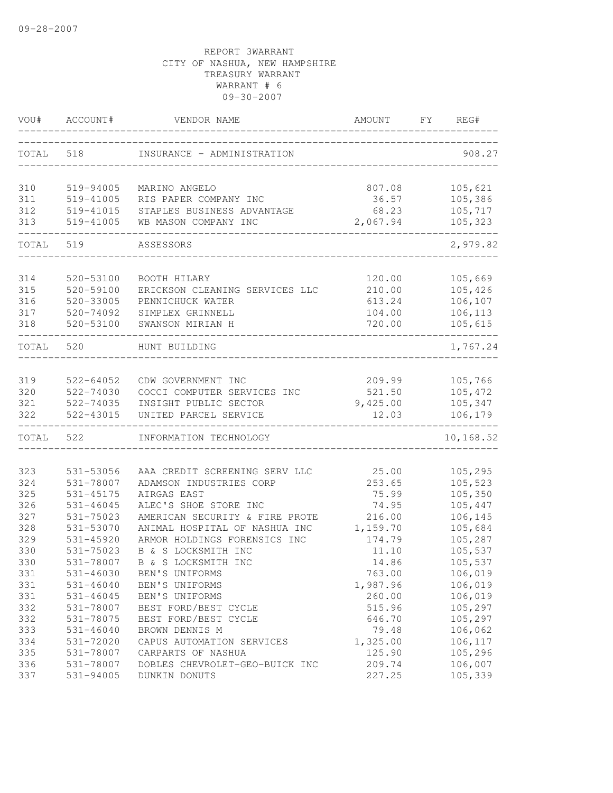| VOU#       | ACCOUNT#               | VENDOR NAME                                              | AMOUNT           | FY.<br>REG#        |
|------------|------------------------|----------------------------------------------------------|------------------|--------------------|
| TOTAL      | 518                    | INSURANCE - ADMINISTRATION                               |                  | 908.27             |
| 310        | 519-94005              | MARINO ANGELO                                            | 807.08           | 105,621            |
| 311        | 519-41005              | RIS PAPER COMPANY INC                                    | 36.57            | 105,386            |
| 312        | 519-41015              | STAPLES BUSINESS ADVANTAGE                               | 68.23            | 105,717            |
| 313        | 519-41005              | WB MASON COMPANY INC                                     | 2,067.94         | 105,323            |
| TOTAL      | 519                    | ASSESSORS                                                |                  | 2,979.82           |
| 314        | 520-53100              | BOOTH HILARY                                             | 120.00           | 105,669            |
| 315        | 520-59100              | ERICKSON CLEANING SERVICES LLC                           | 210.00           | 105,426            |
| 316        | 520-33005              | PENNICHUCK WATER                                         | 613.24           | 106,107            |
| 317        | 520-74092              | SIMPLEX GRINNELL                                         | 104.00           | 106,113            |
| 318        | 520-53100              | SWANSON MIRIAN H                                         | 720.00           | 105,615            |
| TOTAL      | 520                    | HUNT BUILDING                                            |                  | 1,767.24           |
|            |                        | CDW GOVERNMENT INC                                       |                  |                    |
| 319<br>320 | 522-64052<br>522-74030 | COCCI COMPUTER SERVICES INC                              | 209.99<br>521.50 | 105,766<br>105,472 |
| 321        | 522-74035              | INSIGHT PUBLIC SECTOR                                    | 9,425.00         | 105,347            |
| 322        | 522-43015              | UNITED PARCEL SERVICE                                    | 12.03            | 106,179            |
| TOTAL      | 522                    | INFORMATION TECHNOLOGY                                   |                  | 10,168.52          |
|            |                        |                                                          |                  |                    |
| 323<br>324 | 531-53056<br>531-78007 | AAA CREDIT SCREENING SERV LLC<br>ADAMSON INDUSTRIES CORP | 25.00<br>253.65  | 105,295<br>105,523 |
| 325        | 531-45175              | AIRGAS EAST                                              | 75.99            | 105,350            |
| 326        | $531 - 46045$          | ALEC'S SHOE STORE INC                                    | 74.95            | 105,447            |
| 327        | 531-75023              | AMERICAN SECURITY & FIRE PROTE                           | 216.00           | 106,145            |
| 328        | 531-53070              | ANIMAL HOSPITAL OF NASHUA INC                            | 1,159.70         | 105,684            |
| 329        | $531 - 45920$          | ARMOR HOLDINGS FORENSICS INC                             | 174.79           | 105,287            |
| 330        | 531-75023              | B & S LOCKSMITH INC                                      | 11.10            | 105,537            |
| 330        | 531-78007              | B & S LOCKSMITH INC                                      | 14.86            | 105,537            |
| 331        | 531-46030              | BEN'S UNIFORMS                                           | 763.00           | 106,019            |
| 331        | $531 - 46040$          | BEN'S UNIFORMS                                           | 1,987.96         | 106,019            |
| 331        | $531 - 46045$          | BEN'S UNIFORMS                                           | 260.00           | 106,019            |
| 332        | 531-78007              | BEST FORD/BEST CYCLE                                     | 515.96           | 105,297            |
| 332        | 531-78075              | BEST FORD/BEST CYCLE                                     | 646.70           | 105,297            |
| 333        | $531 - 46040$          | BROWN DENNIS M                                           | 79.48            | 106,062            |
| 334        | 531-72020              | CAPUS AUTOMATION SERVICES                                | 1,325.00         | 106,117            |
| 335        | 531-78007              | CARPARTS OF NASHUA                                       | 125.90           | 105,296            |
| 336        | 531-78007              | DOBLES CHEVROLET-GEO-BUICK INC                           | 209.74           | 106,007            |
| 337        | 531-94005              | DUNKIN DONUTS                                            | 227.25           | 105,339            |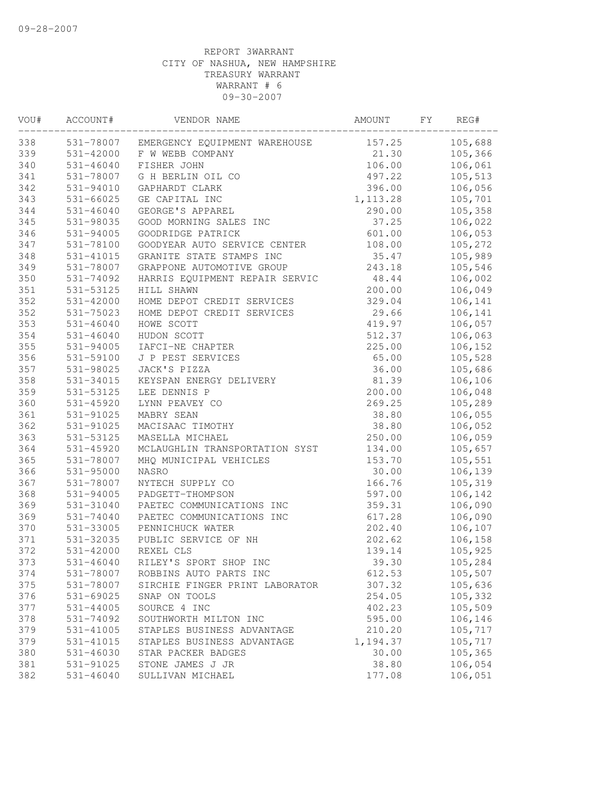| VOU# | ACCOUNT#      | VENDOR NAME                    | AMOUNT    | FΥ | REG#    |
|------|---------------|--------------------------------|-----------|----|---------|
| 338  | 531-78007     | EMERGENCY EQUIPMENT WAREHOUSE  | 157.25    |    | 105,688 |
| 339  | 531-42000     | F W WEBB COMPANY               | 21.30     |    | 105,366 |
| 340  | $531 - 46040$ | FISHER JOHN                    | 106.00    |    | 106,061 |
| 341  | 531-78007     | G H BERLIN OIL CO              | 497.22    |    | 105,513 |
| 342  | 531-94010     | GAPHARDT CLARK                 | 396.00    |    | 106,056 |
| 343  | $531 - 66025$ | GE CAPITAL INC                 | 1, 113.28 |    | 105,701 |
| 344  | $531 - 46040$ | GEORGE'S APPAREL               | 290.00    |    | 105,358 |
| 345  | 531-98035     | GOOD MORNING SALES INC         | 37.25     |    | 106,022 |
| 346  | 531-94005     | GOODRIDGE PATRICK              | 601.00    |    | 106,053 |
| 347  | 531-78100     | GOODYEAR AUTO SERVICE CENTER   | 108.00    |    | 105,272 |
| 348  | 531-41015     | GRANITE STATE STAMPS INC       | 35.47     |    | 105,989 |
| 349  | 531-78007     | GRAPPONE AUTOMOTIVE GROUP      | 243.18    |    | 105,546 |
| 350  | 531-74092     | HARRIS EQUIPMENT REPAIR SERVIC | 48.44     |    | 106,002 |
| 351  | 531-53125     | HILL SHAWN                     | 200.00    |    | 106,049 |
| 352  | 531-42000     | HOME DEPOT CREDIT SERVICES     | 329.04    |    | 106,141 |
| 352  | 531-75023     | HOME DEPOT CREDIT SERVICES     | 29.66     |    | 106,141 |
| 353  | $531 - 46040$ | HOWE SCOTT                     | 419.97    |    | 106,057 |
| 354  | $531 - 46040$ | HUDON SCOTT                    | 512.37    |    | 106,063 |
| 355  | 531-94005     | IAFCI-NE CHAPTER               | 225.00    |    | 106,152 |
| 356  | 531-59100     | J P PEST SERVICES              | 65.00     |    | 105,528 |
| 357  | 531-98025     | JACK'S PIZZA                   | 36.00     |    | 105,686 |
| 358  | 531-34015     | KEYSPAN ENERGY DELIVERY        | 81.39     |    | 106,106 |
| 359  | 531-53125     | LEE DENNIS P                   | 200.00    |    | 106,048 |
| 360  | 531-45920     | LYNN PEAVEY CO                 | 269.25    |    | 105,289 |
| 361  | 531-91025     | MABRY SEAN                     | 38.80     |    | 106,055 |
| 362  | 531-91025     | MACISAAC TIMOTHY               | 38.80     |    | 106,052 |
| 363  | 531-53125     | MASELLA MICHAEL                | 250.00    |    | 106,059 |
| 364  | 531-45920     | MCLAUGHLIN TRANSPORTATION SYST | 134.00    |    | 105,657 |
| 365  | 531-78007     | MHQ MUNICIPAL VEHICLES         | 153.70    |    | 105,551 |
| 366  | 531-95000     | NASRO                          | 30.00     |    | 106,139 |
| 367  | 531-78007     | NYTECH SUPPLY CO               | 166.76    |    | 105,319 |
| 368  | 531-94005     | PADGETT-THOMPSON               | 597.00    |    | 106,142 |
| 369  | 531-31040     | PAETEC COMMUNICATIONS INC      | 359.31    |    | 106,090 |
| 369  | 531-74040     | PAETEC COMMUNICATIONS INC      | 617.28    |    | 106,090 |
| 370  | 531-33005     | PENNICHUCK WATER               | 202.40    |    | 106,107 |
| 371  | 531-32035     | PUBLIC SERVICE OF NH           | 202.62    |    | 106,158 |
| 372  | 531-42000     | REXEL CLS                      | 139.14    |    | 105,925 |
| 373  | 531-46040     | RILEY'S SPORT SHOP INC         | 39.30     |    | 105,284 |
| 374  | 531-78007     | ROBBINS AUTO PARTS INC         | 612.53    |    | 105,507 |
| 375  | 531-78007     | SIRCHIE FINGER PRINT LABORATOR | 307.32    |    | 105,636 |
| 376  | 531-69025     | SNAP ON TOOLS                  | 254.05    |    | 105,332 |
| 377  | $531 - 44005$ | SOURCE 4 INC                   | 402.23    |    | 105,509 |
| 378  | 531-74092     | SOUTHWORTH MILTON INC          | 595.00    |    | 106,146 |
| 379  | 531-41005     | STAPLES BUSINESS ADVANTAGE     | 210.20    |    | 105,717 |
| 379  | 531-41015     | STAPLES BUSINESS ADVANTAGE     | 1,194.37  |    | 105,717 |
| 380  | 531-46030     | STAR PACKER BADGES             | 30.00     |    | 105,365 |
| 381  | 531-91025     | STONE JAMES J JR               | 38.80     |    | 106,054 |
| 382  | $531 - 46040$ | SULLIVAN MICHAEL               | 177.08    |    | 106,051 |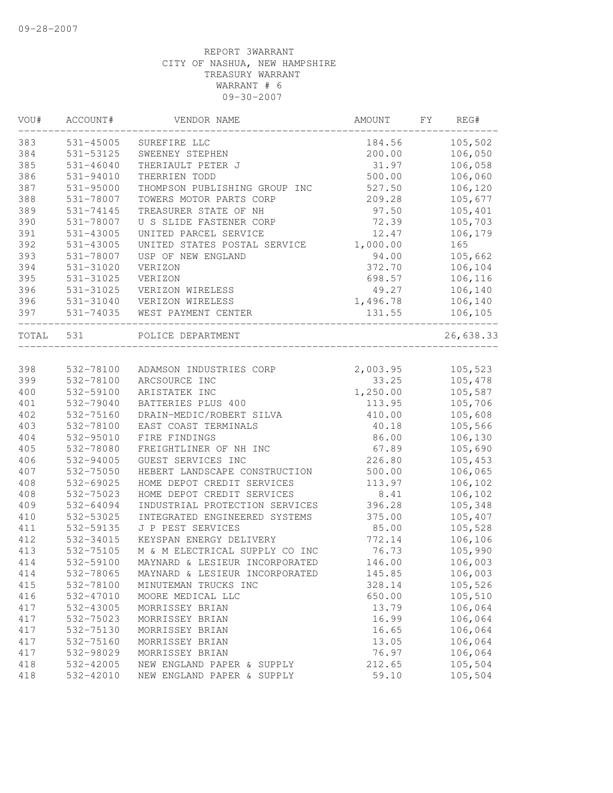| VOU#  | ACCOUNT#      | VENDOR NAME                    | AMOUNT   | FΥ | REG#      |
|-------|---------------|--------------------------------|----------|----|-----------|
| 383   | 531-45005     | SUREFIRE LLC                   | 184.56   |    | 105,502   |
| 384   | 531-53125     | SWEENEY STEPHEN                | 200.00   |    | 106,050   |
| 385   | $531 - 46040$ | THERIAULT PETER J              | 31.97    |    | 106,058   |
| 386   | 531-94010     | THERRIEN TODD                  | 500.00   |    | 106,060   |
| 387   | 531-95000     | THOMPSON PUBLISHING GROUP INC  | 527.50   |    | 106,120   |
| 388   | 531-78007     | TOWERS MOTOR PARTS CORP        | 209.28   |    | 105,677   |
| 389   | 531-74145     | TREASURER STATE OF NH          | 97.50    |    | 105,401   |
| 390   | 531-78007     | U S SLIDE FASTENER CORP        | 72.39    |    | 105,703   |
| 391   | 531-43005     | UNITED PARCEL SERVICE          | 12.47    |    | 106,179   |
| 392   | 531-43005     | UNITED STATES POSTAL SERVICE   | 1,000.00 |    | 165       |
| 393   | 531-78007     | USP OF NEW ENGLAND             | 94.00    |    | 105,662   |
| 394   | 531-31020     | VERIZON                        | 372.70   |    | 106,104   |
| 395   | 531-31025     | VERIZON                        | 698.57   |    | 106,116   |
| 396   | 531-31025     | VERIZON WIRELESS               | 49.27    |    | 106,140   |
| 396   | 531-31040     | VERIZON WIRELESS               | 1,496.78 |    | 106,140   |
| 397   | 531-74035     | WEST PAYMENT CENTER            | 131.55   |    | 106,105   |
| TOTAL | 531           | POLICE DEPARTMENT              |          |    | 26,638.33 |
|       |               |                                |          |    |           |
| 398   | 532-78100     | ADAMSON INDUSTRIES CORP        | 2,003.95 |    | 105,523   |
| 399   | 532-78100     | ARCSOURCE INC                  | 33.25    |    | 105,478   |
| 400   | 532-59100     | ARISTATEK INC                  | 1,250.00 |    | 105,587   |
| 401   | 532-79040     | BATTERIES PLUS 400             | 113.95   |    | 105,706   |
| 402   | 532-75160     | DRAIN-MEDIC/ROBERT SILVA       | 410.00   |    | 105,608   |
| 403   | 532-78100     | EAST COAST TERMINALS           | 40.18    |    | 105,566   |
| 404   | 532-95010     | FIRE FINDINGS                  | 86.00    |    | 106,130   |
| 405   | 532-78080     | FREIGHTLINER OF NH INC         | 67.89    |    | 105,690   |
| 406   | 532-94005     | GUEST SERVICES INC             | 226.80   |    | 105,453   |
| 407   | 532-75050     | HEBERT LANDSCAPE CONSTRUCTION  | 500.00   |    | 106,065   |
| 408   | 532-69025     | HOME DEPOT CREDIT SERVICES     | 113.97   |    | 106,102   |
| 408   | 532-75023     | HOME DEPOT CREDIT SERVICES     | 8.41     |    | 106,102   |
| 409   | 532-64094     | INDUSTRIAL PROTECTION SERVICES | 396.28   |    | 105,348   |
| 410   | 532-53025     | INTEGRATED ENGINEERED SYSTEMS  | 375.00   |    | 105,407   |
| 411   | 532-59135     | J P PEST SERVICES              | 85.00    |    | 105,528   |
| 412   | 532-34015     | KEYSPAN ENERGY DELIVERY        | 772.14   |    | 106,106   |
| 413   | 532-75105     | M & M ELECTRICAL SUPPLY CO INC | 76.73    |    | 105,990   |
| 414   | 532-59100     | MAYNARD & LESIEUR INCORPORATED | 146.00   |    | 106,003   |
| 414   | 532-78065     | MAYNARD & LESIEUR INCORPORATED | 145.85   |    | 106,003   |
| 415   | 532-78100     | MINUTEMAN TRUCKS INC           | 328.14   |    | 105,526   |
| 416   | 532-47010     | MOORE MEDICAL LLC              | 650.00   |    | 105,510   |
| 417   | 532-43005     | MORRISSEY BRIAN                | 13.79    |    | 106,064   |
| 417   | 532-75023     | MORRISSEY BRIAN                | 16.99    |    | 106,064   |
| 417   | 532-75130     | MORRISSEY BRIAN                | 16.65    |    | 106,064   |
| 417   | 532-75160     | MORRISSEY BRIAN                | 13.05    |    | 106,064   |
| 417   | 532-98029     | MORRISSEY BRIAN                | 76.97    |    | 106,064   |
| 418   | 532-42005     | NEW ENGLAND PAPER & SUPPLY     | 212.65   |    | 105,504   |
| 418   | 532-42010     | NEW ENGLAND PAPER & SUPPLY     | 59.10    |    | 105,504   |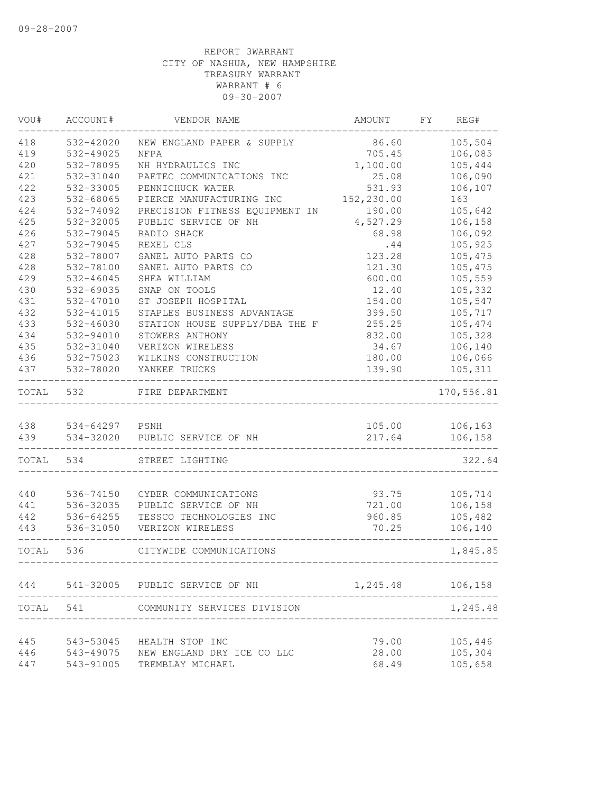| VOU#  | ACCOUNT#       | VENDOR NAME                    | AMOUNT                | FY | REG#               |
|-------|----------------|--------------------------------|-----------------------|----|--------------------|
| 418   | 532-42020      | NEW ENGLAND PAPER & SUPPLY     | 86.60                 |    | 105,504            |
| 419   | 532-49025      | <b>NFPA</b>                    | 705.45                |    | 106,085            |
| 420   | 532-78095      | NH HYDRAULICS INC              | 1,100.00              |    | 105,444            |
| 421   | 532-31040      | PAETEC COMMUNICATIONS INC      | 25.08                 |    | 106,090            |
| 422   | 532-33005      | PENNICHUCK WATER               | 531.93                |    | 106,107            |
| 423   | 532-68065      | PIERCE MANUFACTURING INC       | 152,230.00            |    | 163                |
| 424   | 532-74092      | PRECISION FITNESS EQUIPMENT IN | 190.00                |    | 105,642            |
| 425   | 532-32005      | PUBLIC SERVICE OF NH           | 4,527.29              |    | 106,158            |
| 426   | 532-79045      | RADIO SHACK                    | 68.98                 |    | 106,092            |
| 427   | 532-79045      | REXEL CLS                      | .44                   |    | 105,925            |
| 428   | 532-78007      | SANEL AUTO PARTS CO            | 123.28                |    | 105,475            |
| 428   | 532-78100      | SANEL AUTO PARTS CO            | 121.30                |    | 105,475            |
| 429   | 532-46045      | SHEA WILLIAM                   | 600.00                |    | 105,559            |
| 430   | 532-69035      | SNAP ON TOOLS                  | 12.40                 |    | 105,332            |
| 431   | 532-47010      | ST JOSEPH HOSPITAL             | 154.00                |    | 105,547            |
| 432   | 532-41015      | STAPLES BUSINESS ADVANTAGE     | 399.50                |    | 105,717            |
| 433   | 532-46030      | STATION HOUSE SUPPLY/DBA THE F | 255.25                |    | 105,474            |
| 434   | 532-94010      | STOWERS ANTHONY                | 832.00                |    | 105,328            |
| 435   | 532-31040      | VERIZON WIRELESS               | 34.67                 |    | 106,140            |
| 436   | 532-75023      | WILKINS CONSTRUCTION           | 180.00                |    | 106,066            |
| 437   | 532-78020      | YANKEE TRUCKS                  | 139.90                |    | 105,311            |
| TOTAL | 532            | FIRE DEPARTMENT                |                       |    | 170,556.81         |
|       |                |                                |                       |    |                    |
| 438   | 534-64297 PSNH |                                | 105.00                |    | 106, 163           |
| 439   | 534-32020      | PUBLIC SERVICE OF NH           | 217.64                |    | 106, 158           |
| TOTAL | 534            | STREET LIGHTING                |                       |    | 322.64             |
| 440   | 536-74150      | CYBER COMMUNICATIONS           | 93.75                 |    | 105,714            |
| 441   | 536-32035      | PUBLIC SERVICE OF NH           | 721.00                |    | 106,158            |
| 442   | 536-64255      | TESSCO TECHNOLOGIES INC        | 960.85                |    | 105,482            |
| 443   | 536-31050      | VERIZON WIRELESS               | 70.25                 |    | 106,140            |
| TOTAL | 536            | CITYWIDE COMMUNICATIONS        | _____________________ |    | 1,845.85           |
|       |                |                                |                       |    |                    |
| 444   |                | 541-32005 PUBLIC SERVICE OF NH | 1,245.48              |    | 106,158            |
| TOTAL | 541            | COMMUNITY SERVICES DIVISION    |                       |    | 1,245.48           |
|       |                |                                |                       |    |                    |
| 445   | 543-53045      | HEALTH STOP INC                | 79.00                 |    | 105,446            |
| 446   | 543-49075      | NEW ENGLAND DRY ICE CO LLC     | 28.00                 |    | 105,304<br>105,658 |
| 447   | 543-91005      | TREMBLAY MICHAEL               | 68.49                 |    |                    |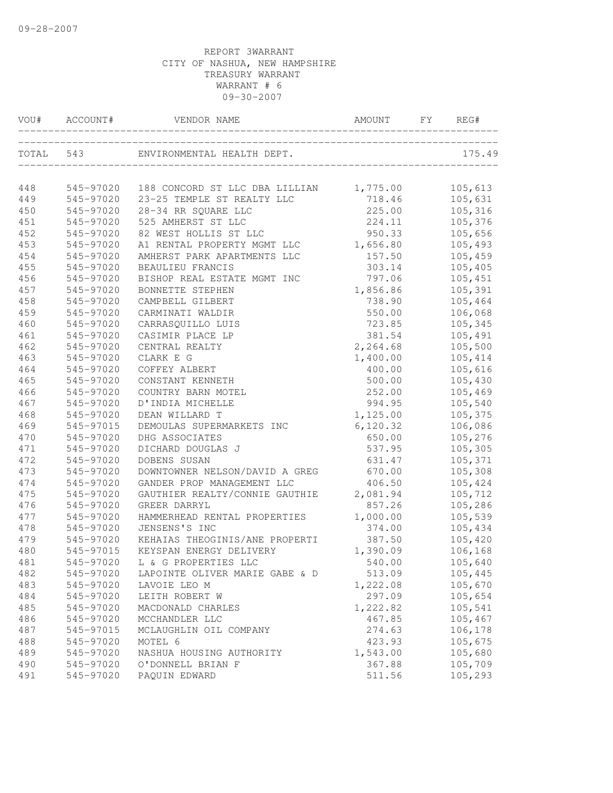| VOU#      | ACCOUNT#  | VENDOR NAME                    | AMOUNT    | FY | REG#    |
|-----------|-----------|--------------------------------|-----------|----|---------|
| TOTAL 543 |           | ENVIRONMENTAL HEALTH DEPT.     |           |    | 175.49  |
| 448       | 545-97020 | 188 CONCORD ST LLC DBA LILLIAN | 1,775.00  |    | 105,613 |
| 449       | 545-97020 | 23-25 TEMPLE ST REALTY LLC     | 718.46    |    | 105,631 |
| 450       | 545-97020 | 28-34 RR SQUARE LLC            | 225.00    |    | 105,316 |
| 451       | 545-97020 | 525 AMHERST ST LLC             | 224.11    |    | 105,376 |
| 452       | 545-97020 | 82 WEST HOLLIS ST LLC          | 950.33    |    | 105,656 |
| 453       | 545-97020 | A1 RENTAL PROPERTY MGMT LLC    | 1,656.80  |    | 105,493 |
| 454       | 545-97020 | AMHERST PARK APARTMENTS LLC    | 157.50    |    | 105,459 |
| 455       | 545-97020 | BEAULIEU FRANCIS               | 303.14    |    | 105,405 |
| 456       | 545-97020 | BISHOP REAL ESTATE MGMT INC    | 797.06    |    | 105,451 |
| 457       | 545-97020 | BONNETTE STEPHEN               | 1,856.86  |    | 105,391 |
| 458       | 545-97020 | CAMPBELL GILBERT               | 738.90    |    | 105,464 |
| 459       | 545-97020 | CARMINATI WALDIR               | 550.00    |    | 106,068 |
| 460       | 545-97020 | CARRASQUILLO LUIS              | 723.85    |    | 105,345 |
| 461       | 545-97020 | CASIMIR PLACE LP               | 381.54    |    | 105,491 |
| 462       | 545-97020 | CENTRAL REALTY                 | 2,264.68  |    | 105,500 |
| 463       | 545-97020 | CLARK E G                      | 1,400.00  |    | 105,414 |
| 464       | 545-97020 | COFFEY ALBERT                  | 400.00    |    | 105,616 |
| 465       | 545-97020 | CONSTANT KENNETH               | 500.00    |    | 105,430 |
| 466       | 545-97020 | COUNTRY BARN MOTEL             | 252.00    |    | 105,469 |
| 467       | 545-97020 | D'INDIA MICHELLE               | 994.95    |    | 105,540 |
| 468       | 545-97020 | DEAN WILLARD T                 | 1,125.00  |    | 105,375 |
| 469       | 545-97015 | DEMOULAS SUPERMARKETS INC      | 6, 120.32 |    | 106,086 |
| 470       | 545-97020 | DHG ASSOCIATES                 | 650.00    |    | 105,276 |
| 471       | 545-97020 | DICHARD DOUGLAS J              | 537.95    |    | 105,305 |
| 472       | 545-97020 | DOBENS SUSAN                   | 631.47    |    | 105,371 |
| 473       | 545-97020 | DOWNTOWNER NELSON/DAVID A GREG | 670.00    |    | 105,308 |
| 474       | 545-97020 | GANDER PROP MANAGEMENT LLC     | 406.50    |    | 105,424 |
| 475       | 545-97020 | GAUTHIER REALTY/CONNIE GAUTHIE | 2,081.94  |    | 105,712 |
| 476       | 545-97020 | GREER DARRYL                   | 857.26    |    | 105,286 |
| 477       | 545-97020 | HAMMERHEAD RENTAL PROPERTIES   | 1,000.00  |    | 105,539 |
| 478       | 545-97020 | JENSENS'S INC                  | 374.00    |    | 105,434 |
| 479       | 545-97020 | KEHAIAS THEOGINIS/ANE PROPERTI | 387.50    |    | 105,420 |
| 480       | 545-97015 | KEYSPAN ENERGY DELIVERY        | 1,390.09  |    | 106,168 |
| 481       |           | 545-97020 L & G PROPERTIES LLC | 540.00    |    | 105,640 |
| 482       | 545-97020 | LAPOINTE OLIVER MARIE GABE & D | 513.09    |    | 105,445 |
| 483       | 545-97020 | LAVOIE LEO M                   | 1,222.08  |    | 105,670 |
| 484       | 545-97020 | LEITH ROBERT W                 | 297.09    |    | 105,654 |
| 485       | 545-97020 | MACDONALD CHARLES              | 1,222.82  |    | 105,541 |
| 486       | 545-97020 | MCCHANDLER LLC                 | 467.85    |    | 105,467 |
| 487       | 545-97015 | MCLAUGHLIN OIL COMPANY         | 274.63    |    | 106,178 |
| 488       | 545-97020 | MOTEL 6                        | 423.93    |    | 105,675 |
| 489       | 545-97020 | NASHUA HOUSING AUTHORITY       | 1,543.00  |    | 105,680 |
| 490       | 545-97020 | O'DONNELL BRIAN F              | 367.88    |    | 105,709 |
| 491       | 545-97020 | PAQUIN EDWARD                  | 511.56    |    | 105,293 |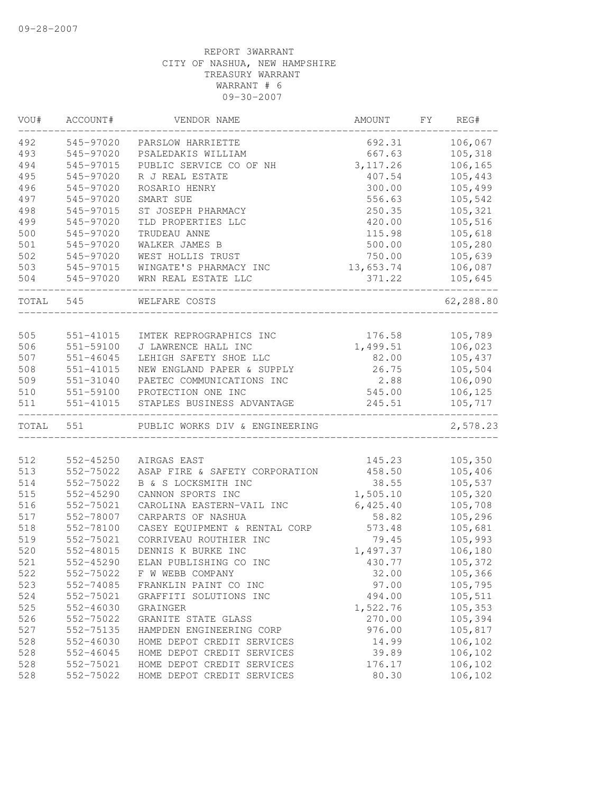| VOU#  | ACCOUNT#      | VENDOR NAME                    | AMOUNT    | FΥ | REG#      |
|-------|---------------|--------------------------------|-----------|----|-----------|
| 492   | 545-97020     | PARSLOW HARRIETTE              | 692.31    |    | 106,067   |
| 493   | 545-97020     | PSALEDAKIS WILLIAM             | 667.63    |    | 105,318   |
| 494   | 545-97015     | PUBLIC SERVICE CO OF NH        | 3, 117.26 |    | 106,165   |
| 495   | 545-97020     | R J REAL ESTATE                | 407.54    |    | 105,443   |
| 496   | 545-97020     | ROSARIO HENRY                  | 300.00    |    | 105,499   |
| 497   | 545-97020     | SMART SUE                      | 556.63    |    | 105,542   |
| 498   | 545-97015     | ST JOSEPH PHARMACY             | 250.35    |    | 105,321   |
| 499   | 545-97020     | TLD PROPERTIES LLC             | 420.00    |    | 105,516   |
| 500   | 545-97020     | TRUDEAU ANNE                   | 115.98    |    | 105,618   |
| 501   | 545-97020     | WALKER JAMES B                 | 500.00    |    | 105,280   |
| 502   | 545-97020     | WEST HOLLIS TRUST              | 750.00    |    | 105,639   |
| 503   | 545-97015     | WINGATE'S PHARMACY INC         | 13,653.74 |    | 106,087   |
| 504   | 545-97020     | WRN REAL ESTATE LLC            | 371.22    |    | 105,645   |
| TOTAL | 545           | WELFARE COSTS                  |           |    | 62,288.80 |
|       |               |                                |           |    |           |
| 505   | 551-41015     | IMTEK REPROGRAPHICS INC        | 176.58    |    | 105,789   |
| 506   | 551-59100     | J LAWRENCE HALL INC            | 1,499.51  |    | 106,023   |
| 507   | $551 - 46045$ | LEHIGH SAFETY SHOE LLC         | 82.00     |    | 105,437   |
| 508   | $551 - 41015$ | NEW ENGLAND PAPER & SUPPLY     | 26.75     |    | 105,504   |
| 509   | 551-31040     | PAETEC COMMUNICATIONS INC      | 2.88      |    | 106,090   |
| $510$ | 551-59100     | PROTECTION ONE INC             | 545.00    |    | 106,125   |
| 511   | 551-41015     | STAPLES BUSINESS ADVANTAGE     | 245.51    |    | 105,717   |
| TOTAL | 551           | PUBLIC WORKS DIV & ENGINEERING |           |    | 2,578.23  |
|       |               |                                |           |    |           |
| 512   | 552-45250     | AIRGAS EAST                    | 145.23    |    | 105,350   |
| 513   | 552-75022     | ASAP FIRE & SAFETY CORPORATION | 458.50    |    | 105,406   |
| 514   | 552-75022     | B & S LOCKSMITH INC            | 38.55     |    | 105,537   |
| 515   | 552-45290     | CANNON SPORTS INC              | 1,505.10  |    | 105,320   |
| 516   | 552-75021     | CAROLINA EASTERN-VAIL INC      | 6,425.40  |    | 105,708   |
| 517   | 552-78007     | CARPARTS OF NASHUA             | 58.82     |    | 105,296   |
| 518   | 552-78100     | CASEY EQUIPMENT & RENTAL CORP  | 573.48    |    | 105,681   |
| 519   | 552-75021     | CORRIVEAU ROUTHIER INC         | 79.45     |    | 105,993   |
| 520   | 552-48015     | DENNIS K BURKE INC             | 1,497.37  |    | 106,180   |
| 521   | $552 - 45290$ | ELAN PUBLISHING CO INC         | 430.77    |    | 105,372   |
| 522   | 552-75022     | F W WEBB COMPANY               | 32.00     |    | 105,366   |
| 523   | 552-74085     | FRANKLIN PAINT CO INC          | 97.00     |    | 105,795   |
| 524   | 552-75021     | GRAFFITI SOLUTIONS INC         | 494.00    |    | 105,511   |
| 525   | 552-46030     | GRAINGER                       | 1,522.76  |    | 105,353   |
| 526   | 552-75022     | GRANITE STATE GLASS            | 270.00    |    | 105,394   |
| 527   | 552-75135     | HAMPDEN ENGINEERING CORP       | 976.00    |    | 105,817   |
| 528   | 552-46030     | HOME DEPOT CREDIT SERVICES     | 14.99     |    | 106,102   |
| 528   | 552-46045     | HOME DEPOT CREDIT SERVICES     | 39.89     |    | 106,102   |
| 528   | 552-75021     | HOME DEPOT CREDIT SERVICES     | 176.17    |    | 106,102   |
| 528   | 552-75022     | HOME DEPOT CREDIT SERVICES     | 80.30     |    | 106,102   |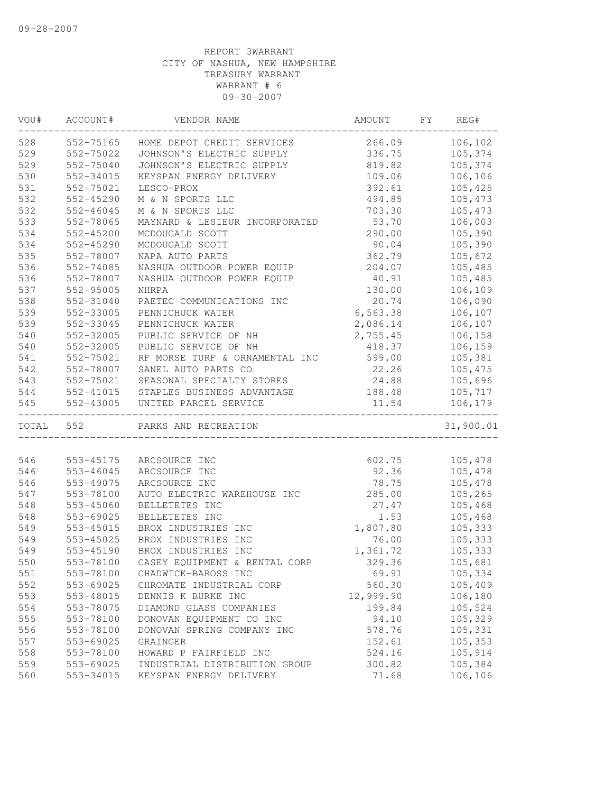| VOU#      | ACCOUNT#      | VENDOR NAME                                   | AMOUNT    | FY | REG#      |
|-----------|---------------|-----------------------------------------------|-----------|----|-----------|
| 528       | 552-75165     | HOME DEPOT CREDIT SERVICES                    | 266.09    |    | 106,102   |
| 529       | 552-75022     | JOHNSON'S ELECTRIC SUPPLY                     | 336.75    |    | 105,374   |
| 529       | 552-75040     | JOHNSON'S ELECTRIC SUPPLY                     | 819.82    |    | 105,374   |
| 530       | 552-34015     | KEYSPAN ENERGY DELIVERY                       | 109.06    |    | 106,106   |
| 531       | 552-75021     | LESCO-PROX                                    | 392.61    |    | 105,425   |
| 532       | 552-45290     | M & N SPORTS LLC                              | 494.85    |    | 105,473   |
| 532       | 552-46045     | M & N SPORTS LLC                              | 703.30    |    | 105,473   |
| 533       | 552-78065     | MAYNARD & LESIEUR INCORPORATED                | 53.70     |    | 106,003   |
| 534       | 552-45200     | MCDOUGALD SCOTT                               | 290.00    |    | 105,390   |
| 534       | $552 - 45290$ | MCDOUGALD SCOTT                               | 90.04     |    | 105,390   |
| 535       | 552-78007     | NAPA AUTO PARTS                               | 362.79    |    | 105,672   |
| 536       | 552-74085     | NASHUA OUTDOOR POWER EQUIP                    | 204.07    |    | 105,485   |
| 536       | 552-78007     | NASHUA OUTDOOR POWER EQUIP                    | 40.91     |    | 105,485   |
| 537       | 552-95005     | <b>NHRPA</b>                                  | 130.00    |    | 106,109   |
| 538       | 552-31040     | PAETEC COMMUNICATIONS INC                     | 20.74     |    | 106,090   |
| 539       | 552-33005     | PENNICHUCK WATER                              | 6,563.38  |    | 106,107   |
| 539       | 552-33045     | PENNICHUCK WATER                              | 2,086.14  |    | 106,107   |
| 540       | 552-32005     | PUBLIC SERVICE OF NH                          | 2,755.45  |    | 106,158   |
| 540       | 552-32005     | PUBLIC SERVICE OF NH                          | 418.37    |    | 106,159   |
| 541       | 552-75021     | RF MORSE TURF & ORNAMENTAL INC                | 599.00    |    | 105,381   |
| 542       | 552-78007     | SANEL AUTO PARTS CO                           | 22.26     |    | 105,475   |
| 543       | 552-75021     | SEASONAL SPECIALTY STORES                     | 24.88     |    | 105,696   |
| 544       |               | 552-41015 STAPLES BUSINESS ADVANTAGE          | 188.48    |    | 105,717   |
| 545       | 552-43005     | UNITED PARCEL SERVICE<br>-------------------- | 11.54     |    | 106,179   |
| TOTAL 552 |               | PARKS AND RECREATION                          |           |    | 31,900.01 |
|           |               |                                               |           |    |           |
| 546       | 553-45175     | ARCSOURCE INC                                 | 602.75    |    | 105,478   |
| 546       | 553-46045     | ARCSOURCE INC                                 | 92.36     |    | 105,478   |
| 546       | 553-49075     | ARCSOURCE INC                                 | 78.75     |    | 105,478   |
| 547       | 553-78100     | AUTO ELECTRIC WAREHOUSE INC                   | 285.00    |    | 105,265   |
| 548       | 553-45060     | BELLETETES INC                                | 27.47     |    | 105,468   |
| 548       | 553-69025     | BELLETETES INC                                | 1.53      |    | 105,468   |
| 549       | 553-45015     | BROX INDUSTRIES INC                           | 1,807.80  |    | 105,333   |
| 549       | 553-45025     | BROX INDUSTRIES INC                           | 76.00     |    | 105,333   |
| 549       | 553-45190     | BROX INDUSTRIES INC                           | 1,361.72  |    | 105,333   |
| 550       | 553-78100     | CASEY EOUIPMENT & RENTAL CORP                 | 329.36    |    | 105,681   |
| 551       | 553-78100     | CHADWICK-BAROSS INC                           | 69.91     |    | 105,334   |
| 552       | 553-69025     | CHROMATE INDUSTRIAL CORP                      | 560.30    |    | 105,409   |
| 553       | 553-48015     | DENNIS K BURKE INC                            | 12,999.90 |    | 106,180   |
| 554       | 553-78075     | DIAMOND GLASS COMPANIES                       | 199.84    |    | 105,524   |
| 555       | 553-78100     | DONOVAN EQUIPMENT CO INC                      | 94.10     |    | 105,329   |
| 556       | 553-78100     | DONOVAN SPRING COMPANY INC                    | 578.76    |    | 105,331   |
| 557       | 553-69025     | GRAINGER                                      | 152.61    |    | 105,353   |
| 558       | 553-78100     | HOWARD P FAIRFIELD INC                        | 524.16    |    | 105,914   |
| 559       | 553-69025     | INDUSTRIAL DISTRIBUTION GROUP                 | 300.82    |    | 105,384   |
| 560       | 553-34015     | KEYSPAN ENERGY DELIVERY                       | 71.68     |    | 106,106   |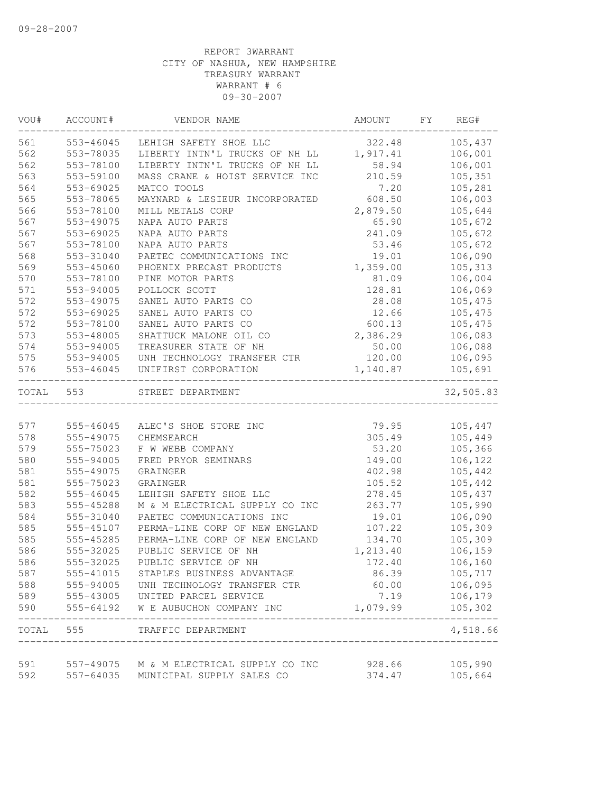| VOU#      | ACCOUNT#  | VENDOR NAME                              | AMOUNT   | FY | REG#      |
|-----------|-----------|------------------------------------------|----------|----|-----------|
| 561       | 553-46045 | LEHIGH SAFETY SHOE LLC                   | 322.48   |    | 105,437   |
| 562       | 553-78035 | LIBERTY INTN'L TRUCKS OF NH LL           | 1,917.41 |    | 106,001   |
| 562       | 553-78100 | LIBERTY INTN'L TRUCKS OF NH LL           | 58.94    |    | 106,001   |
| 563       | 553-59100 | MASS CRANE & HOIST SERVICE INC           | 210.59   |    | 105,351   |
| 564       | 553-69025 | MATCO TOOLS                              | 7.20     |    | 105,281   |
| 565       | 553-78065 | MAYNARD & LESIEUR INCORPORATED           | 608.50   |    | 106,003   |
| 566       | 553-78100 | MILL METALS CORP                         | 2,879.50 |    | 105,644   |
| 567       | 553-49075 | NAPA AUTO PARTS                          | 65.90    |    | 105,672   |
| 567       | 553-69025 | NAPA AUTO PARTS                          | 241.09   |    | 105,672   |
| 567       | 553-78100 | NAPA AUTO PARTS                          | 53.46    |    | 105,672   |
| 568       | 553-31040 | PAETEC COMMUNICATIONS INC                | 19.01    |    | 106,090   |
| 569       | 553-45060 | PHOENIX PRECAST PRODUCTS                 | 1,359.00 |    | 105,313   |
| 570       | 553-78100 | PINE MOTOR PARTS                         | 81.09    |    | 106,004   |
| 571       | 553-94005 | POLLOCK SCOTT                            | 128.81   |    | 106,069   |
| 572       | 553-49075 | SANEL AUTO PARTS CO                      | 28.08    |    | 105,475   |
| 572       | 553-69025 | SANEL AUTO PARTS CO                      | 12.66    |    | 105,475   |
| 572       | 553-78100 | SANEL AUTO PARTS CO                      | 600.13   |    | 105,475   |
| 573       | 553-48005 | SHATTUCK MALONE OIL CO                   | 2,386.29 |    | 106,083   |
| 574       | 553-94005 | TREASURER STATE OF NH                    | 50.00    |    | 106,088   |
| 575       | 553-94005 | UNH TECHNOLOGY TRANSFER CTR              | 120.00   |    | 106,095   |
| 576       | 553-46045 | UNIFIRST CORPORATION                     | 1,140.87 |    | 105,691   |
| TOTAL     | 553       | STREET DEPARTMENT                        |          |    | 32,505.83 |
|           |           |                                          |          |    |           |
| 577       | 555-46045 | ALEC'S SHOE STORE INC                    | 79.95    |    | 105,447   |
| 578       | 555-49075 | CHEMSEARCH                               | 305.49   |    | 105,449   |
| 579       | 555-75023 | F W WEBB COMPANY                         | 53.20    |    | 105,366   |
| 580       | 555-94005 | FRED PRYOR SEMINARS                      | 149.00   |    | 106,122   |
| 581       | 555-49075 | GRAINGER                                 | 402.98   |    | 105,442   |
| 581       | 555-75023 | GRAINGER                                 | 105.52   |    | 105,442   |
| 582       | 555-46045 | LEHIGH SAFETY SHOE LLC                   | 278.45   |    | 105,437   |
| 583       | 555-45288 | M & M ELECTRICAL SUPPLY CO INC           | 263.77   |    | 105,990   |
| 584       | 555-31040 | PAETEC COMMUNICATIONS INC                | 19.01    |    | 106,090   |
| 585       | 555-45107 | PERMA-LINE CORP OF NEW ENGLAND           | 107.22   |    | 105,309   |
| 585       | 555-45285 | PERMA-LINE CORP OF NEW ENGLAND           | 134.70   |    | 105,309   |
| 586       | 555-32025 | PUBLIC SERVICE OF NH                     | 1,213.40 |    | 106,159   |
| 586       | 555-32025 | PUBLIC SERVICE OF NH                     | 172.40   |    | 106, 160  |
| 587       | 555-41015 | STAPLES BUSINESS ADVANTAGE               | 86.39    |    | 105,717   |
| 588       |           | 555-94005 UNH TECHNOLOGY TRANSFER CTR    | 60.00    |    | 106,095   |
| 589       |           | 555-43005 UNITED PARCEL SERVICE          | 7.19     |    | 106,179   |
| 590       | 555-64192 | W E AUBUCHON COMPANY INC                 | 1,079.99 |    | 105,302   |
| TOTAL 555 |           | TRAFFIC DEPARTMENT                       |          |    | 4,518.66  |
|           |           |                                          |          |    |           |
| 591       |           | 557-49075 M & M ELECTRICAL SUPPLY CO INC | 928.66   |    | 105,990   |
| 592       | 557-64035 | MUNICIPAL SUPPLY SALES CO                | 374.47   |    | 105,664   |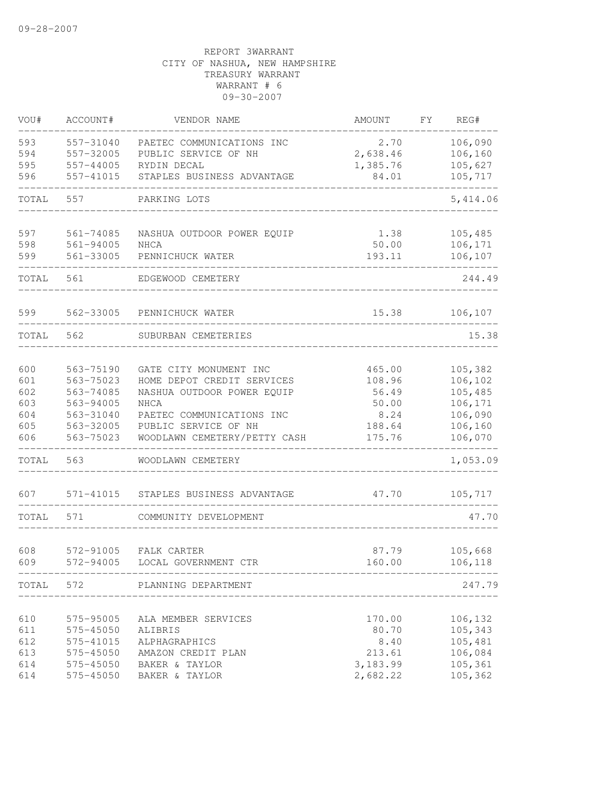| VOU#       | ACCOUNT#               | VENDOR NAME                                          | AMOUNT           | FΥ | REG#               |
|------------|------------------------|------------------------------------------------------|------------------|----|--------------------|
| 593        | 557-31040              | PAETEC COMMUNICATIONS INC                            | 2.70             |    | 106,090            |
| 594        | 557-32005              | PUBLIC SERVICE OF NH                                 | 2,638.46         |    | 106,160            |
| 595        | 557-44005              | RYDIN DECAL                                          | 1,385.76         |    | 105,627            |
| 596        | 557-41015              | STAPLES BUSINESS ADVANTAGE                           | 84.01            |    | 105,717            |
| TOTAL      | 557                    | PARKING LOTS                                         |                  |    | 5,414.06           |
| 597        | 561-74085              | NASHUA OUTDOOR POWER EQUIP                           | 1.38             |    | 105,485            |
| 598        | 561-94005              | NHCA                                                 | 50.00            |    | 106,171            |
| 599        | 561-33005              | PENNICHUCK WATER                                     | 193.11           |    | 106,107            |
| TOTAL      | 561                    | EDGEWOOD CEMETERY                                    |                  |    | 244.49             |
| 599        | 562-33005              | PENNICHUCK WATER                                     | 15.38            |    | 106, 107           |
| TOTAL      | 562                    | SUBURBAN CEMETERIES                                  |                  |    | 15.38              |
|            |                        |                                                      |                  |    |                    |
| 600        | 563-75190              | GATE CITY MONUMENT INC                               | 465.00           |    | 105,382            |
| 601        | 563-75023              | HOME DEPOT CREDIT SERVICES                           | 108.96           |    | 106,102            |
| 602        | 563-74085              | NASHUA OUTDOOR POWER EQUIP                           | 56.49            |    | 105,485            |
| 603        | 563-94005              | <b>NHCA</b>                                          | 50.00            |    | 106,171            |
| 604        | 563-31040              | PAETEC COMMUNICATIONS INC                            | 8.24             |    | 106,090            |
| 605<br>606 | 563-32005<br>563-75023 | PUBLIC SERVICE OF NH<br>WOODLAWN CEMETERY/PETTY CASH | 188.64<br>175.76 |    | 106,160<br>106,070 |
| TOTAL      | 563                    | WOODLAWN CEMETERY                                    |                  |    | 1,053.09           |
| 607        | 571-41015              | STAPLES BUSINESS ADVANTAGE                           | 47.70            |    | 105,717            |
| TOTAL      | 571                    | COMMUNITY DEVELOPMENT                                |                  |    | 47.70              |
| 608        | 572-91005              | FALK CARTER                                          | 87.79            |    | 105,668            |
| 609        | 572-94005              | LOCAL GOVERNMENT CTR                                 | 160.00           |    | 106,118            |
|            |                        | TOTAL 572 PLANNING DEPARTMENT                        |                  |    | 247.79             |
|            |                        |                                                      |                  |    |                    |
| 610        | 575-95005              | ALA MEMBER SERVICES                                  | 170.00           |    | 106,132            |
| 611        | 575-45050              | ALIBRIS                                              | 80.70            |    | 105,343            |
| 612        | 575-41015              | ALPHAGRAPHICS                                        | 8.40             |    | 105,481            |
| 613        | 575-45050              | AMAZON CREDIT PLAN                                   | 213.61           |    | 106,084            |
| 614        | 575-45050              | BAKER & TAYLOR                                       | 3,183.99         |    | 105,361            |
| 614        | 575-45050              | BAKER & TAYLOR                                       | 2,682.22         |    | 105,362            |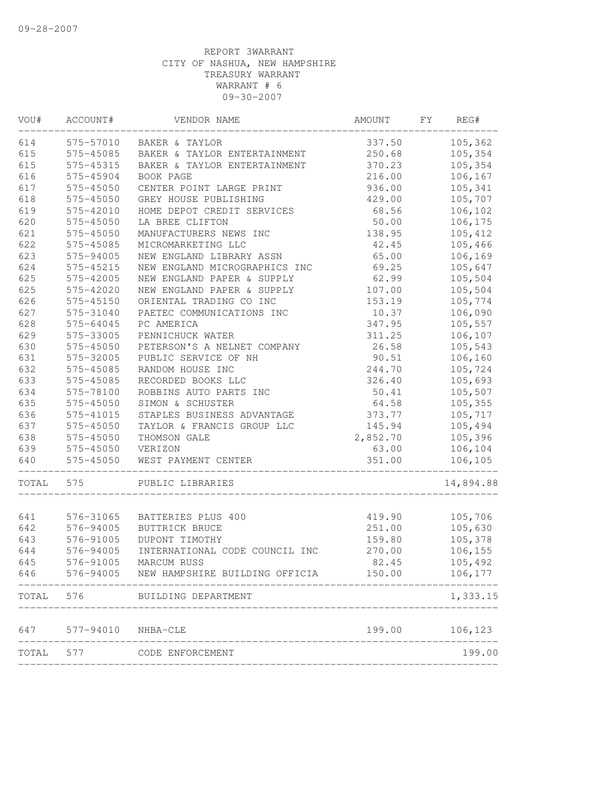| VOU#  | ACCOUNT#  | VENDOR NAME                    | AMOUNT          | FΥ | REG#      |
|-------|-----------|--------------------------------|-----------------|----|-----------|
| 614   | 575-57010 | BAKER & TAYLOR                 | 337.50          |    | 105,362   |
| 615   | 575-45085 | BAKER & TAYLOR ENTERTAINMENT   | 250.68          |    | 105,354   |
| 615   | 575-45315 | BAKER & TAYLOR ENTERTAINMENT   | 370.23          |    | 105,354   |
| 616   | 575-45904 | BOOK PAGE                      | 216.00          |    | 106,167   |
| 617   | 575-45050 | CENTER POINT LARGE PRINT       | 936.00          |    | 105,341   |
| 618   | 575-45050 | GREY HOUSE PUBLISHING          | 429.00          |    | 105,707   |
| 619   | 575-42010 | HOME DEPOT CREDIT SERVICES     | 68.56           |    | 106,102   |
| 620   | 575-45050 | LA BREE CLIFTON                | 50.00           |    | 106,175   |
| 621   | 575-45050 | MANUFACTURERS NEWS INC         | 138.95          |    | 105,412   |
| 622   | 575-45085 | MICROMARKETING LLC             | 42.45           |    | 105,466   |
| 623   | 575-94005 | NEW ENGLAND LIBRARY ASSN       | 65.00           |    | 106,169   |
| 624   | 575-45215 | NEW ENGLAND MICROGRAPHICS INC  | 69.25           |    | 105,647   |
| 625   | 575-42005 | NEW ENGLAND PAPER & SUPPLY     | 62.99           |    | 105,504   |
| 625   | 575-42020 | NEW ENGLAND PAPER & SUPPLY     | 107.00          |    | 105,504   |
| 626   | 575-45150 | ORIENTAL TRADING CO INC        | 153.19          |    | 105,774   |
| 627   | 575-31040 | PAETEC COMMUNICATIONS INC      | 10.37           |    | 106,090   |
| 628   | 575-64045 | PC AMERICA                     | 347.95          |    | 105,557   |
| 629   | 575-33005 | PENNICHUCK WATER               | 311.25          |    | 106,107   |
| 630   | 575-45050 | PETERSON'S A NELNET COMPANY    | 26.58           |    | 105,543   |
| 631   | 575-32005 | PUBLIC SERVICE OF NH           | 90.51           |    | 106,160   |
| 632   | 575-45085 | RANDOM HOUSE INC               | 244.70          |    | 105,724   |
| 633   | 575-45085 | RECORDED BOOKS LLC             | 326.40          |    | 105,693   |
| 634   | 575-78100 | ROBBINS AUTO PARTS INC         | 50.41           |    | 105,507   |
| 635   | 575-45050 | SIMON & SCHUSTER               | 64.58           |    | 105,355   |
| 636   | 575-41015 | STAPLES BUSINESS ADVANTAGE     | 373.77          |    | 105,717   |
| 637   | 575-45050 | TAYLOR & FRANCIS GROUP LLC     | 145.94          |    | 105,494   |
| 638   | 575-45050 | THOMSON GALE                   | 2,852.70        |    | 105,396   |
| 639   | 575-45050 | VERIZON                        | 63.00           |    | 106,104   |
| 640   | 575-45050 | WEST PAYMENT CENTER            | 351.00          |    | 106,105   |
| TOTAL | 575       | PUBLIC LIBRARIES               |                 |    | 14,894.88 |
|       |           |                                |                 |    |           |
| 641   | 576-31065 | BATTERIES PLUS 400             | 419.90          |    | 105,706   |
| 642   | 576-94005 | BUTTRICK BRUCE                 | 251.00          |    | 105,630   |
| 643   | 576-91005 | DUPONT TIMOTHY                 | 159.80          |    | 105,378   |
| 644   | 576-94005 | INTERNATIONAL CODE COUNCIL INC | 270.00<br>82.45 |    | 106,155   |
| 645   | 576-91005 | MARCUM RUSS                    |                 |    | 105,492   |
| 646   | 576-94005 | NEW HAMPSHIRE BUILDING OFFICIA | 150.00          |    | 106,177   |
| TOTAL | 576       | BUILDING DEPARTMENT            |                 |    | 1,333.15  |
| 647   | 577-94010 | NHBA-CLE                       | 199.00          |    | 106,123   |
| TOTAL | 577       | CODE ENFORCEMENT               |                 |    | 199.00    |
|       |           |                                |                 |    |           |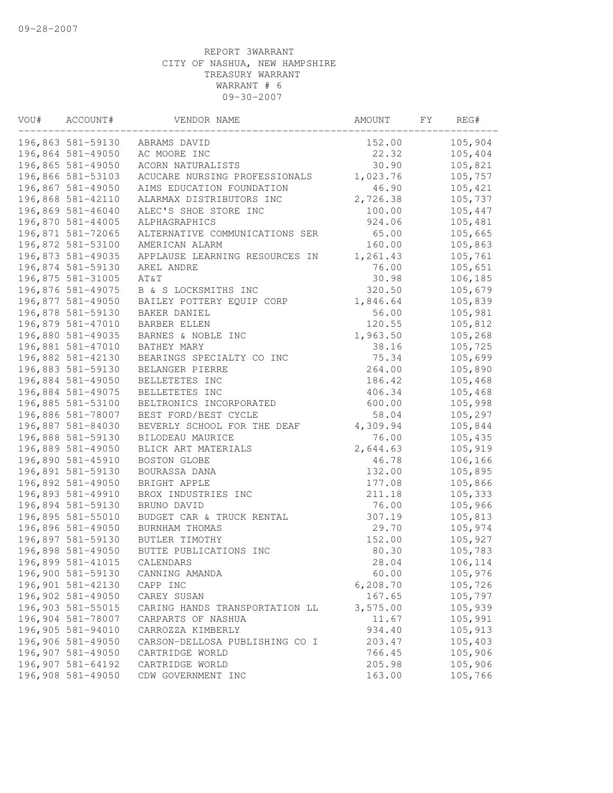| VOU# | ACCOUNT#          | VENDOR NAME                    | AMOUNT    | FY. | REG#    |
|------|-------------------|--------------------------------|-----------|-----|---------|
|      | 196,863 581-59130 | ABRAMS DAVID                   | 152.00    |     | 105,904 |
|      | 196,864 581-49050 | AC MOORE INC                   | 22.32     |     | 105,404 |
|      | 196,865 581-49050 | ACORN NATURALISTS              | 30.90     |     | 105,821 |
|      | 196,866 581-53103 | ACUCARE NURSING PROFESSIONALS  | 1,023.76  |     | 105,757 |
|      | 196,867 581-49050 | AIMS EDUCATION FOUNDATION      | 46.90     |     | 105,421 |
|      | 196,868 581-42110 | ALARMAX DISTRIBUTORS INC       | 2,726.38  |     | 105,737 |
|      | 196,869 581-46040 | ALEC'S SHOE STORE INC          | 100.00    |     | 105,447 |
|      | 196,870 581-44005 | ALPHAGRAPHICS                  | 924.06    |     | 105,481 |
|      | 196,871 581-72065 | ALTERNATIVE COMMUNICATIONS SER | 65.00     |     | 105,665 |
|      | 196,872 581-53100 | AMERICAN ALARM                 | 160.00    |     | 105,863 |
|      | 196,873 581-49035 | APPLAUSE LEARNING RESOURCES IN | 1,261.43  |     | 105,761 |
|      | 196,874 581-59130 | AREL ANDRE                     | 76.00     |     | 105,651 |
|      | 196,875 581-31005 | AT&T                           | 30.98     |     | 106,185 |
|      | 196,876 581-49075 | B & S LOCKSMITHS INC           | 320.50    |     | 105,679 |
|      | 196,877 581-49050 | BAILEY POTTERY EQUIP CORP      | 1,846.64  |     | 105,839 |
|      | 196,878 581-59130 | BAKER DANIEL                   | 56.00     |     | 105,981 |
|      | 196,879 581-47010 | <b>BARBER ELLEN</b>            | 120.55    |     | 105,812 |
|      | 196,880 581-49035 | BARNES & NOBLE INC             | 1,963.50  |     | 105,268 |
|      | 196,881 581-47010 | BATHEY MARY                    | 38.16     |     | 105,725 |
|      | 196,882 581-42130 | BEARINGS SPECIALTY CO INC      | 75.34     |     | 105,699 |
|      | 196,883 581-59130 | BELANGER PIERRE                | 264.00    |     | 105,890 |
|      | 196,884 581-49050 | BELLETETES INC                 | 186.42    |     | 105,468 |
|      | 196,884 581-49075 | BELLETETES INC                 | 406.34    |     | 105,468 |
|      | 196,885 581-53100 | BELTRONICS INCORPORATED        | 600.00    |     | 105,998 |
|      | 196,886 581-78007 | BEST FORD/BEST CYCLE           | 58.04     |     | 105,297 |
|      | 196,887 581-84030 | BEVERLY SCHOOL FOR THE DEAF    | 4,309.94  |     | 105,844 |
|      | 196,888 581-59130 | BILODEAU MAURICE               | 76.00     |     | 105,435 |
|      | 196,889 581-49050 | BLICK ART MATERIALS            | 2,644.63  |     | 105,919 |
|      | 196,890 581-45910 | BOSTON GLOBE                   | 46.78     |     | 106,166 |
|      | 196,891 581-59130 | BOURASSA DANA                  | 132.00    |     | 105,895 |
|      | 196,892 581-49050 | BRIGHT APPLE                   | 177.08    |     | 105,866 |
|      | 196,893 581-49910 | BROX INDUSTRIES INC            | 211.18    |     | 105,333 |
|      | 196,894 581-59130 | BRUNO DAVID                    | 76.00     |     | 105,966 |
|      | 196,895 581-55010 | BUDGET CAR & TRUCK RENTAL      | 307.19    |     | 105,813 |
|      | 196,896 581-49050 | BURNHAM THOMAS                 | 29.70     |     | 105,974 |
|      | 196,897 581-59130 | BUTLER TIMOTHY                 | 152.00    |     | 105,927 |
|      | 196,898 581-49050 | BUTTE PUBLICATIONS INC         | 80.30     |     | 105,783 |
|      | 196,899 581-41015 | CALENDARS                      | 28.04     |     | 106,114 |
|      | 196,900 581-59130 | CANNING AMANDA                 | 60.00     |     | 105,976 |
|      | 196,901 581-42130 | CAPP INC                       | 6, 208.70 |     | 105,726 |
|      | 196,902 581-49050 | CAREY SUSAN                    | 167.65    |     | 105,797 |
|      | 196,903 581-55015 | CARING HANDS TRANSPORTATION LL | 3,575.00  |     | 105,939 |
|      | 196,904 581-78007 | CARPARTS OF NASHUA             | 11.67     |     | 105,991 |
|      | 196,905 581-94010 | CARROZZA KIMBERLY              | 934.40    |     | 105,913 |
|      | 196,906 581-49050 | CARSON-DELLOSA PUBLISHING CO I | 203.47    |     | 105,403 |
|      | 196,907 581-49050 | CARTRIDGE WORLD                | 766.45    |     | 105,906 |
|      | 196,907 581-64192 | CARTRIDGE WORLD                | 205.98    |     | 105,906 |
|      | 196,908 581-49050 | CDW GOVERNMENT INC             | 163.00    |     | 105,766 |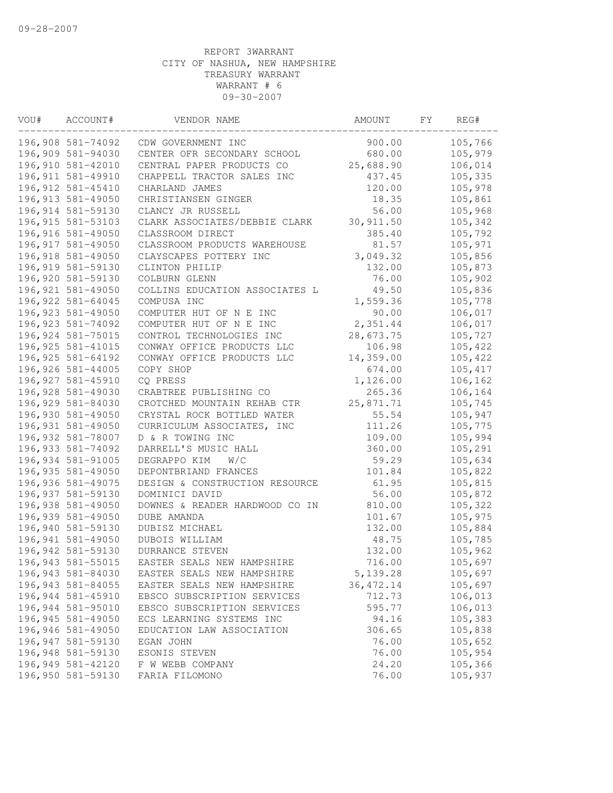| VOU# | ACCOUNT#           | VENDOR NAME                    | AMOUNT     | FΥ | REG#     |
|------|--------------------|--------------------------------|------------|----|----------|
|      | 196,908 581-74092  | CDW GOVERNMENT INC             | 900.00     |    | 105,766  |
|      | 196,909 581-94030  | CENTER OFR SECONDARY SCHOOL    | 680.00     |    | 105,979  |
|      | 196,910 581-42010  | CENTRAL PAPER PRODUCTS CO      | 25,688.90  |    | 106,014  |
|      | 196, 911 581-49910 | CHAPPELL TRACTOR SALES INC     | 437.45     |    | 105,335  |
|      | 196, 912 581-45410 | CHARLAND JAMES                 | 120.00     |    | 105,978  |
|      | 196, 913 581-49050 | CHRISTIANSEN GINGER            | 18.35      |    | 105,861  |
|      | 196, 914 581-59130 | CLANCY JR RUSSELL              | 56.00      |    | 105,968  |
|      | 196, 915 581-53103 | CLARK ASSOCIATES/DEBBIE CLARK  | 30, 911.50 |    | 105,342  |
|      | 196,916 581-49050  | CLASSROOM DIRECT               | 385.40     |    | 105,792  |
|      | 196, 917 581-49050 | CLASSROOM PRODUCTS WAREHOUSE   | 81.57      |    | 105,971  |
|      | 196,918 581-49050  | CLAYSCAPES POTTERY INC         | 3,049.32   |    | 105,856  |
|      | 196, 919 581-59130 | CLINTON PHILIP                 | 132.00     |    | 105,873  |
|      | 196,920 581-59130  | COLBURN GLENN                  | 76.00      |    | 105,902  |
|      | 196, 921 581-49050 | COLLINS EDUCATION ASSOCIATES L | 49.50      |    | 105,836  |
|      | 196, 922 581-64045 | COMPUSA INC                    | 1,559.36   |    | 105,778  |
|      | 196, 923 581-49050 | COMPUTER HUT OF N E INC        | 90.00      |    | 106,017  |
|      | 196, 923 581-74092 | COMPUTER HUT OF N E INC        | 2,351.44   |    | 106,017  |
|      | 196, 924 581-75015 | CONTROL TECHNOLOGIES INC       | 28,673.75  |    | 105,727  |
|      | 196, 925 581-41015 | CONWAY OFFICE PRODUCTS LLC     | 106.98     |    | 105,422  |
|      | 196, 925 581-64192 | CONWAY OFFICE PRODUCTS LLC     | 14,359.00  |    | 105,422  |
|      | 196,926 581-44005  | COPY SHOP                      | 674.00     |    | 105, 417 |
|      | 196, 927 581-45910 | CQ PRESS                       | 1,126.00   |    | 106,162  |
|      | 196,928 581-49030  | CRABTREE PUBLISHING CO         | 265.36     |    | 106,164  |
|      | 196,929 581-84030  | CROTCHED MOUNTAIN REHAB CTR    | 25,871.71  |    | 105,745  |
|      | 196,930 581-49050  | CRYSTAL ROCK BOTTLED WATER     | 55.54      |    | 105,947  |
|      | 196,931 581-49050  | CURRICULUM ASSOCIATES, INC     | 111.26     |    | 105,775  |
|      | 196,932 581-78007  | D & R TOWING INC               | 109.00     |    | 105,994  |
|      | 196, 933 581-74092 | DARRELL'S MUSIC HALL           | 360.00     |    | 105,291  |
|      | 196,934 581-91005  | DEGRAPPO KIM<br>W/C            | 59.29      |    | 105,634  |
|      | 196,935 581-49050  | DEPONTBRIAND FRANCES           | 101.84     |    | 105,822  |
|      | 196,936 581-49075  | DESIGN & CONSTRUCTION RESOURCE | 61.95      |    | 105,815  |
|      | 196, 937 581-59130 | DOMINICI DAVID                 | 56.00      |    | 105,872  |
|      | 196,938 581-49050  | DOWNES & READER HARDWOOD CO IN | 810.00     |    | 105,322  |
|      | 196,939 581-49050  | DUBE AMANDA                    | 101.67     |    | 105,975  |
|      | 196,940 581-59130  | DUBISZ MICHAEL                 | 132.00     |    | 105,884  |
|      | 196,941 581-49050  | DUBOIS WILLIAM                 | 48.75      |    | 105,785  |
|      | 196,942 581-59130  | DURRANCE STEVEN                | 132.00     |    | 105,962  |
|      | 196, 943 581-55015 | EASTER SEALS NEW HAMPSHIRE     | 716.00     |    | 105,697  |
|      | 196,943 581-84030  | EASTER SEALS NEW HAMPSHIRE     | 5, 139.28  |    | 105,697  |
|      | 196, 943 581-84055 | EASTER SEALS NEW HAMPSHIRE     | 36, 472.14 |    | 105,697  |
|      | 196,944 581-45910  | EBSCO SUBSCRIPTION SERVICES    | 712.73     |    | 106,013  |
|      | 196,944 581-95010  | EBSCO SUBSCRIPTION SERVICES    | 595.77     |    | 106,013  |
|      | 196,945 581-49050  | ECS LEARNING SYSTEMS INC       | 94.16      |    | 105,383  |
|      | 196,946 581-49050  | EDUCATION LAW ASSOCIATION      | 306.65     |    | 105,838  |
|      | 196,947 581-59130  | EGAN JOHN                      | 76.00      |    | 105,652  |
|      | 196,948 581-59130  | ESONIS STEVEN                  | 76.00      |    | 105,954  |
|      | 196,949 581-42120  | F W WEBB COMPANY               | 24.20      |    | 105,366  |
|      | 196,950 581-59130  | FARIA FILOMONO                 | 76.00      |    | 105,937  |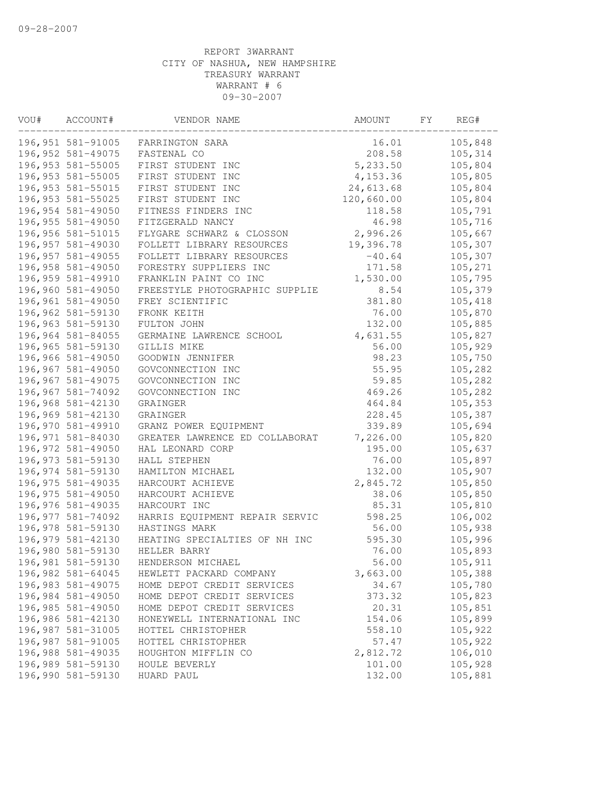| VOU# | ACCOUNT#           | VENDOR NAME                    | AMOUNT     | FY. | REG#    |
|------|--------------------|--------------------------------|------------|-----|---------|
|      | 196, 951 581-91005 | FARRINGTON SARA                | 16.01      |     | 105,848 |
|      | 196, 952 581-49075 | FASTENAL CO                    | 208.58     |     | 105,314 |
|      | 196, 953 581-55005 | FIRST STUDENT INC              | 5,233.50   |     | 105,804 |
|      | 196, 953 581-55005 | FIRST STUDENT INC              | 4,153.36   |     | 105,805 |
|      | 196, 953 581-55015 | FIRST STUDENT INC              | 24,613.68  |     | 105,804 |
|      | 196, 953 581-55025 | FIRST STUDENT INC              | 120,660.00 |     | 105,804 |
|      | 196,954 581-49050  | FITNESS FINDERS INC            | 118.58     |     | 105,791 |
|      | 196, 955 581-49050 | FITZGERALD NANCY               | 46.98      |     | 105,716 |
|      | 196,956 581-51015  | FLYGARE SCHWARZ & CLOSSON      | 2,996.26   |     | 105,667 |
|      | 196,957 581-49030  | FOLLETT LIBRARY RESOURCES      | 19,396.78  |     | 105,307 |
|      | 196,957 581-49055  | FOLLETT LIBRARY RESOURCES      | $-40.64$   |     | 105,307 |
|      | 196,958 581-49050  | FORESTRY SUPPLIERS INC         | 171.58     |     | 105,271 |
|      | 196,959 581-49910  | FRANKLIN PAINT CO INC          | 1,530.00   |     | 105,795 |
|      | 196,960 581-49050  | FREESTYLE PHOTOGRAPHIC SUPPLIE | 8.54       |     | 105,379 |
|      | 196,961 581-49050  | FREY SCIENTIFIC                | 381.80     |     | 105,418 |
|      | 196,962 581-59130  | FRONK KEITH                    | 76.00      |     | 105,870 |
|      | 196,963 581-59130  | FULTON JOHN                    | 132.00     |     | 105,885 |
|      | 196,964 581-84055  | GERMAINE LAWRENCE SCHOOL       | 4,631.55   |     | 105,827 |
|      | 196,965 581-59130  | GILLIS MIKE                    | 56.00      |     | 105,929 |
|      | 196,966 581-49050  | GOODWIN JENNIFER               | 98.23      |     | 105,750 |
|      | 196,967 581-49050  | GOVCONNECTION INC              | 55.95      |     | 105,282 |
|      | 196,967 581-49075  | GOVCONNECTION INC              | 59.85      |     | 105,282 |
|      | 196,967 581-74092  | GOVCONNECTION INC              | 469.26     |     | 105,282 |
|      | 196,968 581-42130  | GRAINGER                       | 464.84     |     | 105,353 |
|      | 196,969 581-42130  | GRAINGER                       | 228.45     |     | 105,387 |
|      | 196,970 581-49910  | GRANZ POWER EQUIPMENT          | 339.89     |     | 105,694 |
|      | 196,971 581-84030  | GREATER LAWRENCE ED COLLABORAT | 7,226.00   |     | 105,820 |
|      | 196,972 581-49050  | HAL LEONARD CORP               | 195.00     |     | 105,637 |
|      | 196, 973 581-59130 | HALL STEPHEN                   | 76.00      |     | 105,897 |
|      | 196,974 581-59130  | HAMILTON MICHAEL               | 132.00     |     | 105,907 |
|      | 196, 975 581-49035 | HARCOURT ACHIEVE               | 2,845.72   |     | 105,850 |
|      | 196, 975 581-49050 | HARCOURT ACHIEVE               | 38.06      |     | 105,850 |
|      | 196,976 581-49035  | HARCOURT INC                   | 85.31      |     | 105,810 |
|      | 196, 977 581-74092 | HARRIS EQUIPMENT REPAIR SERVIC | 598.25     |     | 106,002 |
|      | 196,978 581-59130  | HASTINGS MARK                  | 56.00      |     | 105,938 |
|      | 196,979 581-42130  | HEATING SPECIALTIES OF NH INC  | 595.30     |     | 105,996 |
|      | 196,980 581-59130  | HELLER BARRY                   | 76.00      |     | 105,893 |
|      | 196,981 581-59130  | HENDERSON MICHAEL              | 56.00      |     | 105,911 |
|      | 196,982 581-64045  | HEWLETT PACKARD COMPANY        | 3,663.00   |     | 105,388 |
|      | 196,983 581-49075  | HOME DEPOT CREDIT SERVICES     | 34.67      |     | 105,780 |
|      | 196,984 581-49050  | HOME DEPOT CREDIT SERVICES     | 373.32     |     | 105,823 |
|      | 196,985 581-49050  | HOME DEPOT CREDIT SERVICES     | 20.31      |     | 105,851 |
|      | 196,986 581-42130  | HONEYWELL INTERNATIONAL INC    | 154.06     |     | 105,899 |
|      | 196,987 581-31005  | HOTTEL CHRISTOPHER             | 558.10     |     | 105,922 |
|      | 196,987 581-91005  | HOTTEL CHRISTOPHER             | 57.47      |     | 105,922 |
|      | 196,988 581-49035  | HOUGHTON MIFFLIN CO            | 2,812.72   |     | 106,010 |
|      | 196,989 581-59130  | HOULE BEVERLY                  | 101.00     |     | 105,928 |
|      | 196,990 581-59130  | HUARD PAUL                     | 132.00     |     | 105,881 |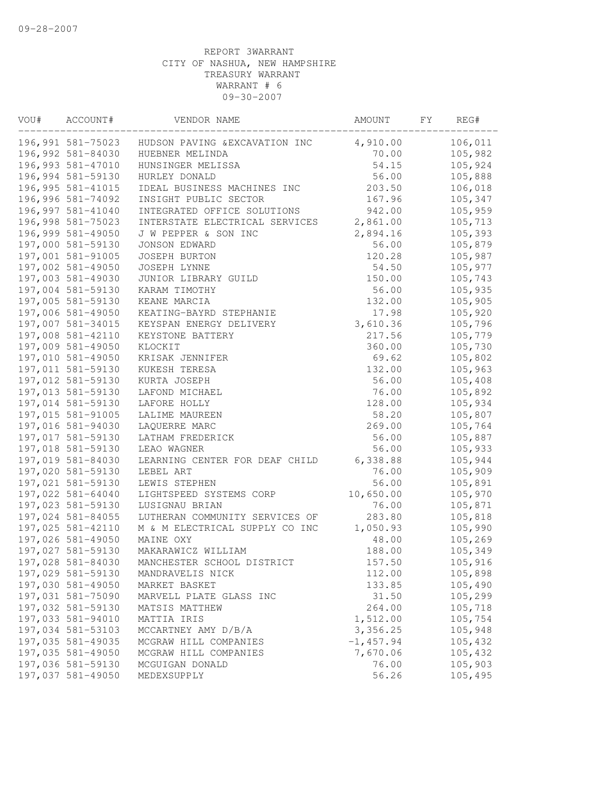| VOU# | ACCOUNT#           | VENDOR NAME                    | AMOUNT       | FΥ | REG#    |
|------|--------------------|--------------------------------|--------------|----|---------|
|      | 196,991 581-75023  | HUDSON PAVING & EXCAVATION INC | 4,910.00     |    | 106,011 |
|      | 196,992 581-84030  | HUEBNER MELINDA                | 70.00        |    | 105,982 |
|      | 196,993 581-47010  | HUNSINGER MELISSA              | 54.15        |    | 105,924 |
|      | 196,994 581-59130  | HURLEY DONALD                  | 56.00        |    | 105,888 |
|      | 196, 995 581-41015 | IDEAL BUSINESS MACHINES INC    | 203.50       |    | 106,018 |
|      | 196,996 581-74092  | INSIGHT PUBLIC SECTOR          | 167.96       |    | 105,347 |
|      | 196,997 581-41040  | INTEGRATED OFFICE SOLUTIONS    | 942.00       |    | 105,959 |
|      | 196,998 581-75023  | INTERSTATE ELECTRICAL SERVICES | 2,861.00     |    | 105,713 |
|      | 196,999 581-49050  | J W PEPPER & SON INC           | 2,894.16     |    | 105,393 |
|      | 197,000 581-59130  | JONSON EDWARD                  | 56.00        |    | 105,879 |
|      | 197,001 581-91005  | JOSEPH BURTON                  | 120.28       |    | 105,987 |
|      | 197,002 581-49050  | JOSEPH LYNNE                   | 54.50        |    | 105,977 |
|      | 197,003 581-49030  | JUNIOR LIBRARY GUILD           | 150.00       |    | 105,743 |
|      | 197,004 581-59130  | KARAM TIMOTHY                  | 56.00        |    | 105,935 |
|      | 197,005 581-59130  | KEANE MARCIA                   | 132.00       |    | 105,905 |
|      | 197,006 581-49050  | KEATING-BAYRD STEPHANIE        | 17.98        |    | 105,920 |
|      | 197,007 581-34015  | KEYSPAN ENERGY DELIVERY        | 3,610.36     |    | 105,796 |
|      | 197,008 581-42110  | KEYSTONE BATTERY               | 217.56       |    | 105,779 |
|      | 197,009 581-49050  | KLOCKIT                        | 360.00       |    | 105,730 |
|      | 197,010 581-49050  | KRISAK JENNIFER                | 69.62        |    | 105,802 |
|      | 197,011 581-59130  | KUKESH TERESA                  | 132.00       |    | 105,963 |
|      | 197,012 581-59130  | KURTA JOSEPH                   | 56.00        |    | 105,408 |
|      | 197,013 581-59130  | LAFOND MICHAEL                 | 76.00        |    | 105,892 |
|      | 197,014 581-59130  | LAFORE HOLLY                   | 128.00       |    | 105,934 |
|      | 197,015 581-91005  | LALIME MAUREEN                 | 58.20        |    | 105,807 |
|      | 197,016 581-94030  | LAQUERRE MARC                  | 269.00       |    | 105,764 |
|      | 197,017 581-59130  | LATHAM FREDERICK               | 56.00        |    | 105,887 |
|      | 197,018 581-59130  | LEAO WAGNER                    | 56.00        |    | 105,933 |
|      | 197,019 581-84030  | LEARNING CENTER FOR DEAF CHILD | 6,338.88     |    | 105,944 |
|      | 197,020 581-59130  | LEBEL ART                      | 76.00        |    | 105,909 |
|      | 197,021 581-59130  | LEWIS STEPHEN                  | 56.00        |    | 105,891 |
|      | 197,022 581-64040  | LIGHTSPEED SYSTEMS CORP        | 10,650.00    |    | 105,970 |
|      | 197,023 581-59130  | LUSIGNAU BRIAN                 | 76.00        |    | 105,871 |
|      | 197,024 581-84055  | LUTHERAN COMMUNITY SERVICES OF | 283.80       |    | 105,818 |
|      | 197,025 581-42110  | M & M ELECTRICAL SUPPLY CO INC | 1,050.93     |    | 105,990 |
|      | 197,026 581-49050  | MAINE OXY                      | 48.00        |    | 105,269 |
|      | 197,027 581-59130  | MAKARAWICZ WILLIAM             | 188.00       |    | 105,349 |
|      | 197,028 581-84030  | MANCHESTER SCHOOL DISTRICT     | 157.50       |    | 105,916 |
|      | 197,029 581-59130  | MANDRAVELIS NICK               | 112.00       |    | 105,898 |
|      | 197,030 581-49050  | MARKET BASKET                  | 133.85       |    | 105,490 |
|      | 197,031 581-75090  | MARVELL PLATE GLASS INC        | 31.50        |    | 105,299 |
|      | 197,032 581-59130  | MATSIS MATTHEW                 | 264.00       |    | 105,718 |
|      | 197,033 581-94010  | MATTIA IRIS                    | 1,512.00     |    | 105,754 |
|      | 197,034 581-53103  | MCCARTNEY AMY D/B/A            | 3,356.25     |    | 105,948 |
|      | 197,035 581-49035  | MCGRAW HILL COMPANIES          | $-1, 457.94$ |    | 105,432 |
|      | 197,035 581-49050  | MCGRAW HILL COMPANIES          | 7,670.06     |    | 105,432 |
|      | 197,036 581-59130  | MCGUIGAN DONALD                | 76.00        |    | 105,903 |
|      | 197,037 581-49050  | MEDEXSUPPLY                    | 56.26        |    | 105,495 |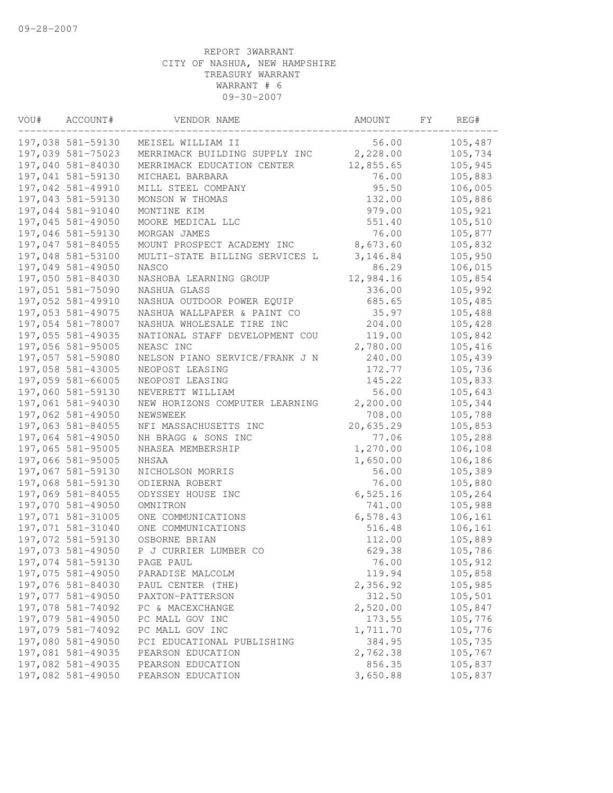| VOU# | ACCOUNT#          | VENDOR NAME                    | AMOUNT    | FY | REG#    |
|------|-------------------|--------------------------------|-----------|----|---------|
|      | 197,038 581-59130 | MEISEL WILLIAM II              | 56.00     |    | 105,487 |
|      | 197,039 581-75023 | MERRIMACK BUILDING SUPPLY INC  | 2,228.00  |    | 105,734 |
|      | 197,040 581-84030 | MERRIMACK EDUCATION CENTER     | 12,855.65 |    | 105,945 |
|      | 197,041 581-59130 | MICHAEL BARBARA                | 76.00     |    | 105,883 |
|      | 197,042 581-49910 | MILL STEEL COMPANY             | 95.50     |    | 106,005 |
|      | 197,043 581-59130 | MONSON W THOMAS                | 132.00    |    | 105,886 |
|      | 197,044 581-91040 | MONTINE KIM                    | 979.00    |    | 105,921 |
|      | 197,045 581-49050 | MOORE MEDICAL LLC              | 551.40    |    | 105,510 |
|      | 197,046 581-59130 | MORGAN JAMES                   | 76.00     |    | 105,877 |
|      | 197,047 581-84055 | MOUNT PROSPECT ACADEMY INC     | 8,673.60  |    | 105,832 |
|      | 197,048 581-53100 | MULTI-STATE BILLING SERVICES L | 3,146.84  |    | 105,950 |
|      | 197,049 581-49050 | <b>NASCO</b>                   | 86.29     |    | 106,015 |
|      | 197,050 581-84030 | NASHOBA LEARNING GROUP         | 12,984.16 |    | 105,854 |
|      | 197,051 581-75090 | NASHUA GLASS                   | 336.00    |    | 105,992 |
|      | 197,052 581-49910 | NASHUA OUTDOOR POWER EQUIP     | 685.65    |    | 105,485 |
|      | 197,053 581-49075 | NASHUA WALLPAPER & PAINT CO    | 35.97     |    | 105,488 |
|      | 197,054 581-78007 | NASHUA WHOLESALE TIRE INC      | 204.00    |    | 105,428 |
|      | 197,055 581-49035 | NATIONAL STAFF DEVELOPMENT COU | 119.00    |    | 105,842 |
|      | 197,056 581-95005 | NEASC INC                      | 2,780.00  |    | 105,416 |
|      | 197,057 581-59080 | NELSON PIANO SERVICE/FRANK J N | 240.00    |    | 105,439 |
|      | 197,058 581-43005 | NEOPOST LEASING                | 172.77    |    | 105,736 |
|      | 197,059 581-66005 | NEOPOST LEASING                | 145.22    |    | 105,833 |
|      | 197,060 581-59130 | NEVERETT WILLIAM               | 56.00     |    | 105,643 |
|      | 197,061 581-94030 | NEW HORIZONS COMPUTER LEARNING | 2,200.00  |    | 105,344 |
|      | 197,062 581-49050 | NEWSWEEK                       | 708.00    |    | 105,788 |
|      | 197,063 581-84055 | NFI MASSACHUSETTS INC          | 20,635.29 |    | 105,853 |
|      | 197,064 581-49050 | NH BRAGG & SONS INC            | 77.06     |    | 105,288 |
|      | 197,065 581-95005 | NHASEA MEMBERSHIP              | 1,270.00  |    | 106,108 |
|      | 197,066 581-95005 | NHSAA                          | 1,650.00  |    | 106,186 |
|      | 197,067 581-59130 | NICHOLSON MORRIS               | 56.00     |    | 105,389 |
|      | 197,068 581-59130 | ODIERNA ROBERT                 | 76.00     |    | 105,880 |
|      | 197,069 581-84055 | ODYSSEY HOUSE INC              | 6,525.16  |    | 105,264 |
|      | 197,070 581-49050 | OMNITRON                       | 741.00    |    | 105,988 |
|      | 197,071 581-31005 | ONE COMMUNICATIONS             | 6,578.43  |    | 106,161 |
|      | 197,071 581-31040 | ONE COMMUNICATIONS             | 516.48    |    | 106,161 |
|      | 197,072 581-59130 | OSBORNE BRIAN                  | 112.00    |    | 105,889 |
|      | 197,073 581-49050 | P J CURRIER LUMBER CO          | 629.38    |    | 105,786 |
|      | 197,074 581-59130 | PAGE PAUL                      | 76.00     |    | 105,912 |
|      | 197,075 581-49050 | PARADISE MALCOLM               | 119.94    |    | 105,858 |
|      | 197,076 581-84030 | PAUL CENTER (THE)              | 2,356.92  |    | 105,985 |
|      | 197,077 581-49050 | PAXTON-PATTERSON               | 312.50    |    | 105,501 |
|      | 197,078 581-74092 | PC & MACEXCHANGE               | 2,520.00  |    | 105,847 |
|      | 197,079 581-49050 | PC MALL GOV INC                | 173.55    |    | 105,776 |
|      | 197,079 581-74092 | PC MALL GOV INC                | 1,711.70  |    | 105,776 |
|      | 197,080 581-49050 | PCI EDUCATIONAL PUBLISHING     | 384.95    |    | 105,735 |
|      | 197,081 581-49035 | PEARSON EDUCATION              | 2,762.38  |    | 105,767 |
|      | 197,082 581-49035 | PEARSON EDUCATION              | 856.35    |    | 105,837 |
|      | 197,082 581-49050 | PEARSON EDUCATION              | 3,650.88  |    | 105,837 |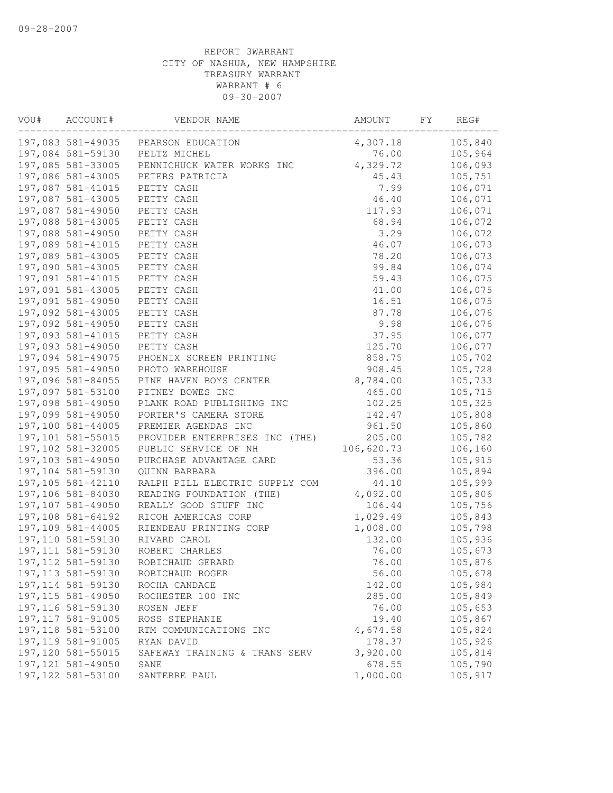| VOU# | ACCOUNT#           | VENDOR NAME                    | AMOUNT     | FY. | REG#    |
|------|--------------------|--------------------------------|------------|-----|---------|
|      | 197,083 581-49035  | PEARSON EDUCATION              | 4,307.18   |     | 105,840 |
|      | 197,084 581-59130  | PELTZ MICHEL                   | 76.00      |     | 105,964 |
|      | 197,085 581-33005  | PENNICHUCK WATER WORKS INC     | 4,329.72   |     | 106,093 |
|      | 197,086 581-43005  | PETERS PATRICIA                | 45.43      |     | 105,751 |
|      | 197,087 581-41015  | PETTY CASH                     | 7.99       |     | 106,071 |
|      | 197,087 581-43005  | PETTY CASH                     | 46.40      |     | 106,071 |
|      | 197,087 581-49050  | PETTY CASH                     | 117.93     |     | 106,071 |
|      | 197,088 581-43005  | PETTY CASH                     | 68.94      |     | 106,072 |
|      | 197,088 581-49050  | PETTY CASH                     | 3.29       |     | 106,072 |
|      | 197,089 581-41015  | PETTY CASH                     | 46.07      |     | 106,073 |
|      | 197,089 581-43005  | PETTY CASH                     | 78.20      |     | 106,073 |
|      | 197,090 581-43005  | PETTY CASH                     | 99.84      |     | 106,074 |
|      | 197,091 581-41015  | PETTY CASH                     | 59.43      |     | 106,075 |
|      | 197,091 581-43005  | PETTY CASH                     | 41.00      |     | 106,075 |
|      | 197,091 581-49050  | PETTY CASH                     | 16.51      |     | 106,075 |
|      | 197,092 581-43005  | PETTY CASH                     | 87.78      |     | 106,076 |
|      | 197,092 581-49050  | PETTY CASH                     | 9.98       |     | 106,076 |
|      | 197,093 581-41015  | PETTY CASH                     | 37.95      |     | 106,077 |
|      | 197,093 581-49050  | PETTY CASH                     | 125.70     |     | 106,077 |
|      | 197,094 581-49075  | PHOENIX SCREEN PRINTING        | 858.75     |     | 105,702 |
|      | 197,095 581-49050  | PHOTO WAREHOUSE                | 908.45     |     | 105,728 |
|      | 197,096 581-84055  | PINE HAVEN BOYS CENTER         | 8,784.00   |     | 105,733 |
|      | 197,097 581-53100  | PITNEY BOWES INC               | 465.00     |     | 105,715 |
|      | 197,098 581-49050  | PLANK ROAD PUBLISHING INC      | 102.25     |     | 105,325 |
|      | 197,099 581-49050  | PORTER'S CAMERA STORE          | 142.47     |     | 105,808 |
|      | 197,100 581-44005  | PREMIER AGENDAS INC            | 961.50     |     | 105,860 |
|      | 197,101 581-55015  | PROVIDER ENTERPRISES INC (THE) | 205.00     |     | 105,782 |
|      | 197,102 581-32005  | PUBLIC SERVICE OF NH           | 106,620.73 |     | 106,160 |
|      | 197,103 581-49050  | PURCHASE ADVANTAGE CARD        | 53.36      |     | 105,915 |
|      | 197,104 581-59130  | QUINN BARBARA                  | 396.00     |     | 105,894 |
|      | 197,105 581-42110  | RALPH PILL ELECTRIC SUPPLY COM | 44.10      |     | 105,999 |
|      | 197,106 581-84030  | READING FOUNDATION (THE)       | 4,092.00   |     | 105,806 |
|      | 197,107 581-49050  | REALLY GOOD STUFF INC          | 106.44     |     | 105,756 |
|      | 197,108 581-64192  | RICOH AMERICAS CORP            | 1,029.49   |     | 105,843 |
|      | 197,109 581-44005  | RIENDEAU PRINTING CORP         | 1,008.00   |     | 105,798 |
|      | 197,110 581-59130  | RIVARD CAROL                   | 132.00     |     | 105,936 |
|      | 197, 111 581-59130 | ROBERT CHARLES                 | 76.00      |     | 105,673 |
|      | 197, 112 581-59130 | ROBICHAUD GERARD               | 76.00      |     | 105,876 |
|      | 197, 113 581-59130 | ROBICHAUD ROGER                | 56.00      |     | 105,678 |
|      | 197, 114 581-59130 | ROCHA CANDACE                  | 142.00     |     | 105,984 |
|      | 197, 115 581-49050 | ROCHESTER 100 INC              | 285.00     |     | 105,849 |
|      | 197, 116 581-59130 | ROSEN JEFF                     | 76.00      |     | 105,653 |
|      | 197, 117 581-91005 | ROSS STEPHANIE                 | 19.40      |     | 105,867 |
|      | 197, 118 581-53100 | RTM COMMUNICATIONS INC         | 4,674.58   |     | 105,824 |
|      | 197,119 581-91005  | RYAN DAVID                     | 178.37     |     | 105,926 |
|      | 197,120 581-55015  | SAFEWAY TRAINING & TRANS SERV  | 3,920.00   |     | 105,814 |
|      | 197, 121 581-49050 | SANE                           | 678.55     |     | 105,790 |
|      | 197, 122 581-53100 | SANTERRE PAUL                  | 1,000.00   |     | 105,917 |
|      |                    |                                |            |     |         |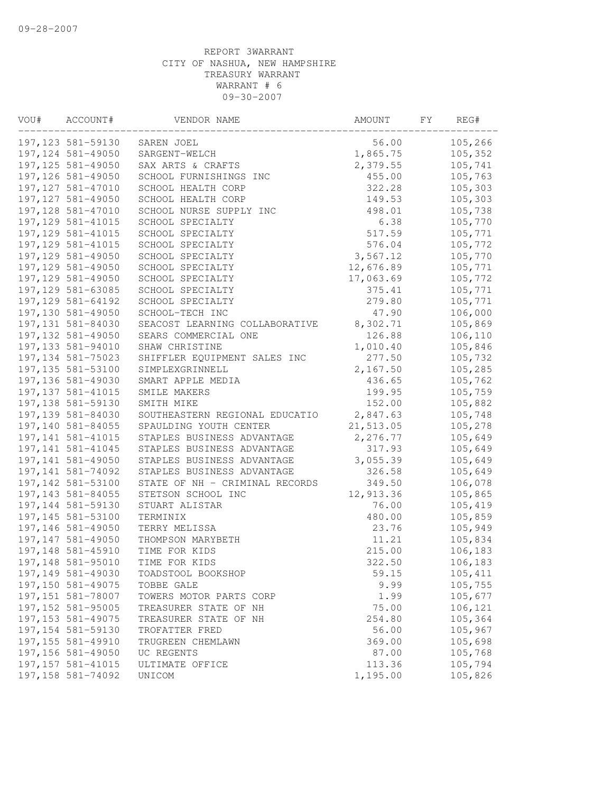| VOU# | ACCOUNT#           | VENDOR NAME                    | AMOUNT    | FΥ | REG#    |
|------|--------------------|--------------------------------|-----------|----|---------|
|      | 197, 123 581-59130 | SAREN JOEL                     | 56.00     |    | 105,266 |
|      | 197, 124 581-49050 | SARGENT-WELCH                  | 1,865.75  |    | 105,352 |
|      | 197, 125 581-49050 | SAX ARTS & CRAFTS              | 2,379.55  |    | 105,741 |
|      | 197, 126 581-49050 | SCHOOL FURNISHINGS INC         | 455.00    |    | 105,763 |
|      | 197, 127 581-47010 | SCHOOL HEALTH CORP             | 322.28    |    | 105,303 |
|      | 197, 127 581-49050 | SCHOOL HEALTH CORP             | 149.53    |    | 105,303 |
|      | 197, 128 581-47010 | SCHOOL NURSE SUPPLY INC        | 498.01    |    | 105,738 |
|      | 197, 129 581-41015 | SCHOOL SPECIALTY               | 6.38      |    | 105,770 |
|      | 197, 129 581-41015 | SCHOOL SPECIALTY               | 517.59    |    | 105,771 |
|      | 197, 129 581-41015 | SCHOOL SPECIALTY               | 576.04    |    | 105,772 |
|      | 197,129 581-49050  | SCHOOL SPECIALTY               | 3,567.12  |    | 105,770 |
|      | 197, 129 581-49050 | SCHOOL SPECIALTY               | 12,676.89 |    | 105,771 |
|      | 197, 129 581-49050 | SCHOOL SPECIALTY               | 17,063.69 |    | 105,772 |
|      | 197, 129 581-63085 | SCHOOL SPECIALTY               | 375.41    |    | 105,771 |
|      | 197, 129 581-64192 | SCHOOL SPECIALTY               | 279.80    |    | 105,771 |
|      | 197,130 581-49050  | SCHOOL-TECH INC                | 47.90     |    | 106,000 |
|      | 197,131 581-84030  | SEACOST LEARNING COLLABORATIVE | 8,302.71  |    | 105,869 |
|      | 197, 132 581-49050 | SEARS COMMERCIAL ONE           | 126.88    |    | 106,110 |
|      | 197,133 581-94010  | SHAW CHRISTINE                 | 1,010.40  |    | 105,846 |
|      | 197, 134 581-75023 | SHIFFLER EQUIPMENT SALES INC   | 277.50    |    | 105,732 |
|      | 197, 135 581-53100 | SIMPLEXGRINNELL                | 2,167.50  |    | 105,285 |
|      | 197,136 581-49030  | SMART APPLE MEDIA              | 436.65    |    | 105,762 |
|      | 197, 137 581-41015 | SMILE MAKERS                   | 199.95    |    | 105,759 |
|      | 197,138 581-59130  | SMITH MIKE                     | 152.00    |    | 105,882 |
|      | 197,139 581-84030  | SOUTHEASTERN REGIONAL EDUCATIO | 2,847.63  |    | 105,748 |
|      | 197,140 581-84055  | SPAULDING YOUTH CENTER         | 21,513.05 |    | 105,278 |
|      | 197, 141 581-41015 | STAPLES BUSINESS ADVANTAGE     | 2,276.77  |    | 105,649 |
|      | 197, 141 581-41045 | STAPLES BUSINESS ADVANTAGE     | 317.93    |    | 105,649 |
|      | 197,141 581-49050  | STAPLES BUSINESS ADVANTAGE     | 3,055.39  |    | 105,649 |
|      | 197, 141 581-74092 | STAPLES BUSINESS ADVANTAGE     | 326.58    |    | 105,649 |
|      | 197,142 581-53100  | STATE OF NH - CRIMINAL RECORDS | 349.50    |    | 106,078 |
|      | 197, 143 581-84055 | STETSON SCHOOL INC             | 12,913.36 |    | 105,865 |
|      | 197,144 581-59130  | STUART ALISTAR                 | 76.00     |    | 105,419 |
|      | 197,145 581-53100  | TERMINIX                       | 480.00    |    | 105,859 |
|      | 197,146 581-49050  | TERRY MELISSA                  | 23.76     |    | 105,949 |
|      | 197,147 581-49050  | THOMPSON MARYBETH              | 11.21     |    | 105,834 |
|      | 197,148 581-45910  | TIME FOR KIDS                  | 215.00    |    | 106,183 |
|      | 197,148 581-95010  | TIME FOR KIDS                  | 322.50    |    | 106,183 |
|      | 197,149 581-49030  | TOADSTOOL BOOKSHOP             | 59.15     |    | 105,411 |
|      | 197,150 581-49075  | TOBBE GALE                     | 9.99      |    | 105,755 |
|      | 197,151 581-78007  | TOWERS MOTOR PARTS CORP        | 1.99      |    | 105,677 |
|      | 197,152 581-95005  | TREASURER STATE OF NH          | 75.00     |    | 106,121 |
|      | 197, 153 581-49075 | TREASURER STATE OF NH          | 254.80    |    | 105,364 |
|      | 197, 154 581-59130 | TROFATTER FRED                 | 56.00     |    | 105,967 |
|      | 197,155 581-49910  | TRUGREEN CHEMLAWN              | 369.00    |    | 105,698 |
|      | 197,156 581-49050  | UC REGENTS                     | 87.00     |    | 105,768 |
|      | 197, 157 581-41015 | ULTIMATE OFFICE                | 113.36    |    | 105,794 |
|      | 197,158 581-74092  | UNICOM                         | 1,195.00  |    | 105,826 |
|      |                    |                                |           |    |         |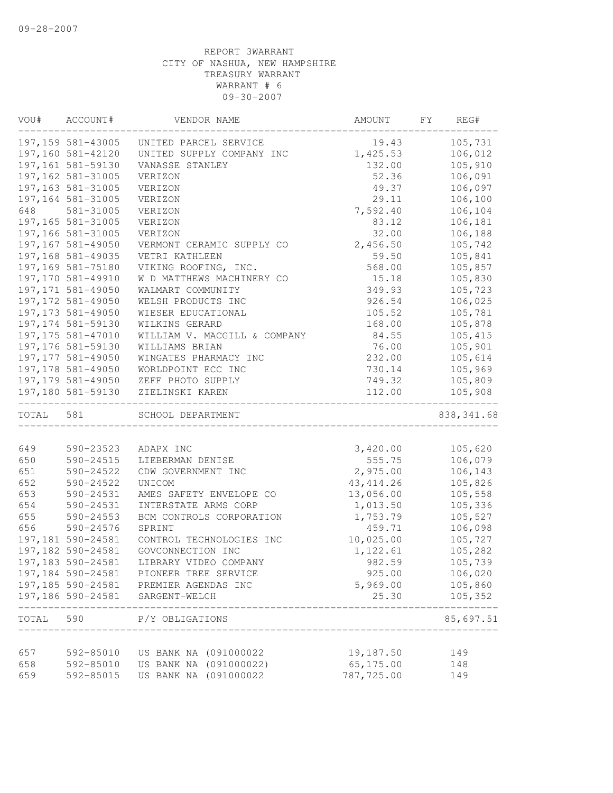| VOU#      | ACCOUNT#           | VENDOR NAME                                   | AMOUNT     | REG#<br>FY          |
|-----------|--------------------|-----------------------------------------------|------------|---------------------|
|           | 197,159 581-43005  | UNITED PARCEL SERVICE                         | 19.43      | 105,731             |
|           | 197,160 581-42120  | UNITED SUPPLY COMPANY INC                     | 1,425.53   | 106,012             |
|           | 197,161 581-59130  | VANASSE STANLEY                               | 132.00     | 105,910             |
|           | 197, 162 581-31005 | VERIZON                                       | 52.36      | 106,091             |
|           | 197, 163 581-31005 | VERIZON                                       | 49.37      | 106,097             |
|           | 197,164 581-31005  | VERIZON                                       | 29.11      | 106,100             |
| 648       | 581-31005          | VERIZON                                       | 7,592.40   | 106,104             |
|           | 197,165 581-31005  | VERIZON                                       | 83.12      | 106,181             |
|           | 197,166 581-31005  | VERIZON                                       | 32.00      | 106,188             |
|           | 197,167 581-49050  | VERMONT CERAMIC SUPPLY CO                     | 2,456.50   | 105,742             |
|           | 197,168 581-49035  | VETRI KATHLEEN                                | 59.50      | 105,841             |
|           | 197,169 581-75180  | VIKING ROOFING, INC.                          | 568.00     | 105,857             |
|           | 197,170 581-49910  | W D MATTHEWS MACHINERY CO                     | 15.18      | 105,830             |
|           | 197, 171 581-49050 | WALMART COMMUNITY                             | 349.93     | 105,723             |
|           | 197,172 581-49050  | WELSH PRODUCTS INC                            | 926.54     | 106,025             |
|           | 197, 173 581-49050 | WIESER EDUCATIONAL                            | 105.52     | 105,781             |
|           | 197, 174 581-59130 | WILKINS GERARD                                | 168.00     | 105,878             |
|           | 197, 175 581-47010 | WILLIAM V. MACGILL & COMPANY                  | 84.55      | 105,415             |
|           | 197,176 581-59130  | WILLIAMS BRIAN                                | 76.00      | 105,901             |
|           | 197, 177 581-49050 | WINGATES PHARMACY INC                         | 232.00     | 105,614             |
|           | 197, 178 581-49050 | WORLDPOINT ECC INC                            | 730.14     | 105,969             |
|           | 197,179 581-49050  | ZEFF PHOTO SUPPLY                             | 749.32     | 105,809             |
|           | 197,180 581-59130  | ZIELINSKI KAREN                               | 112.00     | 105,908             |
| TOTAL     | 581                | SCHOOL DEPARTMENT                             |            | 838, 341.68         |
|           |                    |                                               |            |                     |
| 649       | 590-23523          | ADAPX INC                                     | 3,420.00   | 105,620             |
| 650       | 590-24515          | LIEBERMAN DENISE                              | 555.75     | 106,079             |
| 651       | 590-24522          | CDW GOVERNMENT INC                            | 2,975.00   | 106,143             |
| 652       | 590-24522          | UNICOM                                        | 43, 414.26 | 105,826             |
| 653       | 590-24531          | AMES SAFETY ENVELOPE CO                       | 13,056.00  | 105,558             |
| 654       | 590-24531          | INTERSTATE ARMS CORP                          | 1,013.50   | 105,336             |
| 655       | 590-24553          | BCM CONTROLS CORPORATION                      | 1,753.79   | 105,527             |
| 656       | 590-24576          | SPRINT                                        | 459.71     | 106,098             |
|           | 197,181 590-24581  | CONTROL TECHNOLOGIES INC<br>GOVCONNECTION INC | 10,025.00  | 105,727             |
|           | 197,182 590-24581  |                                               | 1,122.61   | 105,282             |
|           | 197, 183 590-24581 | LIBRARY VIDEO COMPANY                         | 982.59     | 105,739             |
|           | 197,184 590-24581  | PIONEER TREE SERVICE                          | 925.00     | 106,020             |
|           |                    | 197,185 590-24581 PREMIER AGENDAS INC         | 5,969.00   | 105,860             |
|           | 197,186 590-24581  | SARGENT-WELCH                                 | 25.30      | 105,352<br>-------- |
| TOTAL 590 |                    | P/Y OBLIGATIONS                               |            | 85,697.51           |
| 657       | 592-85010          | US BANK NA (091000022                         | 19,187.50  | 149                 |
| 658       | 592-85010          | US BANK NA (091000022)                        | 65,175.00  | 148                 |
| 659       | 592-85015          | US BANK NA (091000022                         | 787,725.00 | 149                 |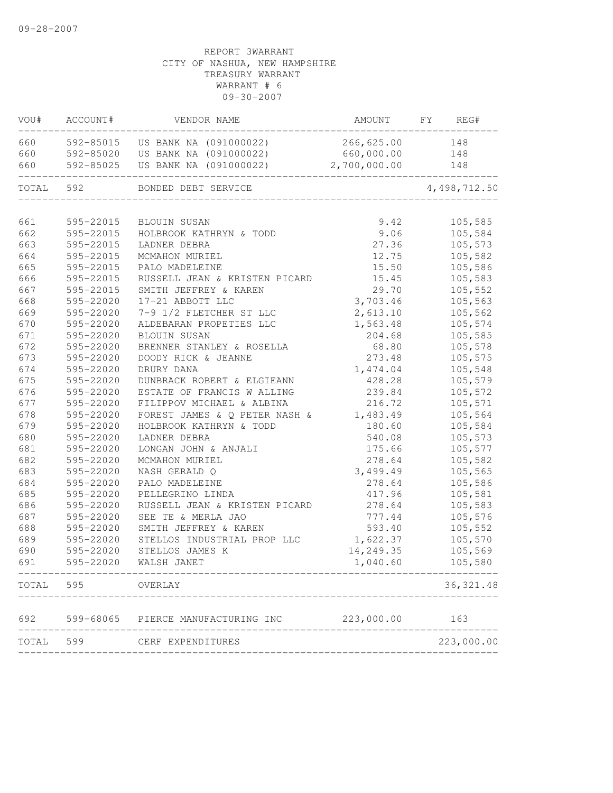| VOU#  | ACCOUNT#  | VENDOR NAME                        | AMOUNT       | FY<br>REG#   |
|-------|-----------|------------------------------------|--------------|--------------|
| 660   | 592-85015 | US BANK NA (091000022)             | 266,625.00   | 148          |
| 660   | 592-85020 | US BANK NA (091000022)             | 660,000.00   | 148          |
| 660   | 592-85025 | US BANK NA (091000022)             | 2,700,000.00 | 148          |
| TOTAL | 592       | BONDED DEBT SERVICE                |              | 4,498,712.50 |
|       |           |                                    |              |              |
| 661   | 595-22015 | <b>BLOUIN SUSAN</b>                | 9.42         | 105,585      |
| 662   | 595-22015 | HOLBROOK KATHRYN & TODD            | 9.06         | 105,584      |
| 663   | 595-22015 | LADNER DEBRA                       | 27.36        | 105,573      |
| 664   | 595-22015 | MCMAHON MURIEL                     | 12.75        | 105,582      |
| 665   | 595-22015 | PALO MADELEINE                     | 15.50        | 105,586      |
| 666   | 595-22015 | RUSSELL JEAN & KRISTEN PICARD      | 15.45        | 105,583      |
| 667   | 595-22015 | SMITH JEFFREY & KAREN              | 29.70        | 105,552      |
| 668   | 595-22020 | 17-21 ABBOTT LLC                   | 3,703.46     | 105,563      |
| 669   | 595-22020 | 7-9 1/2 FLETCHER ST LLC            | 2,613.10     | 105,562      |
| 670   | 595-22020 | ALDEBARAN PROPETIES LLC            | 1,563.48     | 105,574      |
| 671   | 595-22020 | <b>BLOUIN SUSAN</b>                | 204.68       | 105,585      |
| 672   | 595-22020 | BRENNER STANLEY & ROSELLA          | 68.80        | 105,578      |
| 673   | 595-22020 | DOODY RICK & JEANNE                | 273.48       | 105,575      |
| 674   | 595-22020 | DRURY DANA                         | 1,474.04     | 105,548      |
| 675   | 595-22020 | DUNBRACK ROBERT & ELGIEANN         | 428.28       | 105,579      |
| 676   | 595-22020 | ESTATE OF FRANCIS W ALLING         | 239.84       | 105,572      |
| 677   | 595-22020 | FILIPPOV MICHAEL & ALBINA          | 216.72       | 105,571      |
| 678   | 595-22020 | FOREST JAMES & Q PETER NASH &      | 1,483.49     | 105,564      |
| 679   | 595-22020 | HOLBROOK KATHRYN & TODD            | 180.60       | 105,584      |
| 680   | 595-22020 | LADNER DEBRA                       | 540.08       | 105,573      |
| 681   | 595-22020 | LONGAN JOHN & ANJALI               | 175.66       | 105,577      |
| 682   | 595-22020 | MCMAHON MURIEL                     | 278.64       | 105,582      |
| 683   | 595-22020 | NASH GERALD Q                      | 3,499.49     | 105,565      |
| 684   | 595-22020 | PALO MADELEINE                     | 278.64       | 105,586      |
| 685   | 595-22020 | PELLEGRINO LINDA                   | 417.96       | 105,581      |
| 686   | 595-22020 | RUSSELL JEAN & KRISTEN PICARD      | 278.64       | 105,583      |
| 687   | 595-22020 | SEE TE & MERLA JAO                 | 777.44       | 105,576      |
| 688   | 595-22020 | SMITH JEFFREY & KAREN              | 593.40       | 105,552      |
| 689   | 595-22020 | STELLOS INDUSTRIAL PROP LLC        | 1,622.37     | 105,570      |
| 690   | 595-22020 | STELLOS JAMES K                    | 14,249.35    | 105,569      |
| 691   | 595-22020 | WALSH JANET                        | 1,040.60     | 105,580      |
| TOTAL | 595       | OVERLAY                            |              | 36, 321.48   |
| 692   |           | 599-68065 PIERCE MANUFACTURING INC | 223,000.00   | 163          |
|       | TOTAL 599 | CERF EXPENDITURES                  |              | 223,000.00   |
|       |           |                                    |              |              |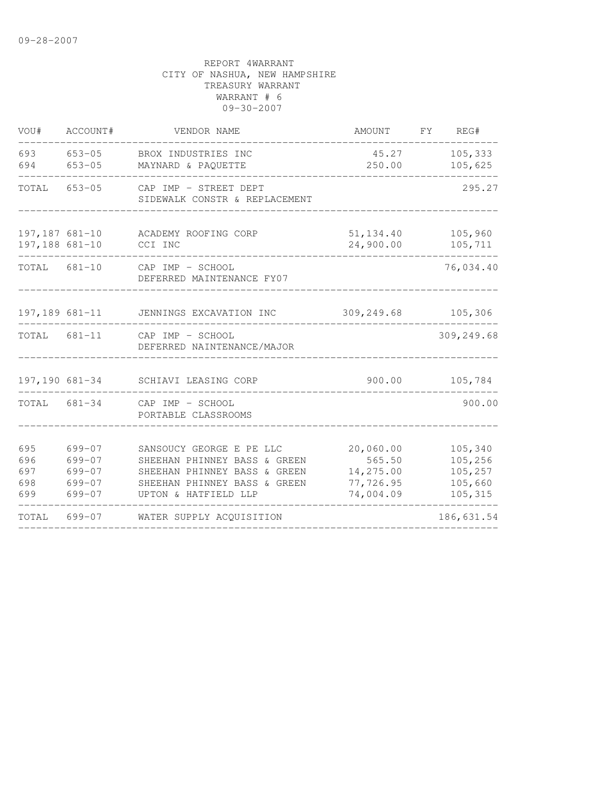| VOU#                            | ACCOUNT#                                               | VENDOR NAME                                                                                                                                      | AMOUNT                                                     | FY | REG#                                                |
|---------------------------------|--------------------------------------------------------|--------------------------------------------------------------------------------------------------------------------------------------------------|------------------------------------------------------------|----|-----------------------------------------------------|
| 693<br>694                      | $653 - 05$<br>$653 - 05$                               | BROX INDUSTRIES INC<br>MAYNARD & PAQUETTE                                                                                                        | 45.27<br>250.00                                            |    | 105,333<br>105,625                                  |
| TOTAL                           | $653 - 05$                                             | CAP IMP - STREET DEPT<br>SIDEWALK CONSTR & REPLACEMENT                                                                                           |                                                            |    | 295.27                                              |
| 197,188 681-10                  | 197,187 681-10                                         | ACADEMY ROOFING CORP<br>CCI INC                                                                                                                  | 51, 134.40<br>24,900.00                                    |    | 105,960<br>105,711                                  |
| TOTAL 681-10                    |                                                        | CAP IMP - SCHOOL<br>DEFERRED MAINTENANCE FY07                                                                                                    |                                                            |    | 76,034.40                                           |
|                                 | 197,189 681-11                                         | JENNINGS EXCAVATION INC                                                                                                                          | 309,249.68                                                 |    | 105,306                                             |
| TOTAL 681-11                    |                                                        | CAP IMP - SCHOOL<br>DEFERRED NAINTENANCE/MAJOR                                                                                                   |                                                            |    | 309,249.68                                          |
| 197,190 681-34                  |                                                        | SCHIAVI LEASING CORP                                                                                                                             | 900.00                                                     |    | 105,784                                             |
| TOTAL 681-34                    |                                                        | CAP IMP - SCHOOL<br>PORTABLE CLASSROOMS                                                                                                          |                                                            |    | 900.00                                              |
| 695<br>696<br>697<br>698<br>699 | $699 - 07$<br>$699 - 07$<br>699-07<br>699-07<br>699-07 | SANSOUCY GEORGE E PE LLC<br>SHEEHAN PHINNEY BASS & GREEN<br>SHEEHAN PHINNEY BASS & GREEN<br>SHEEHAN PHINNEY BASS & GREEN<br>UPTON & HATFIELD LLP | 20,060.00<br>565.50<br>14,275.00<br>77,726.95<br>74,004.09 |    | 105,340<br>105,256<br>105,257<br>105,660<br>105,315 |
| TOTAL                           | 699-07                                                 | WATER SUPPLY ACOUISITION                                                                                                                         |                                                            |    | 186,631.54                                          |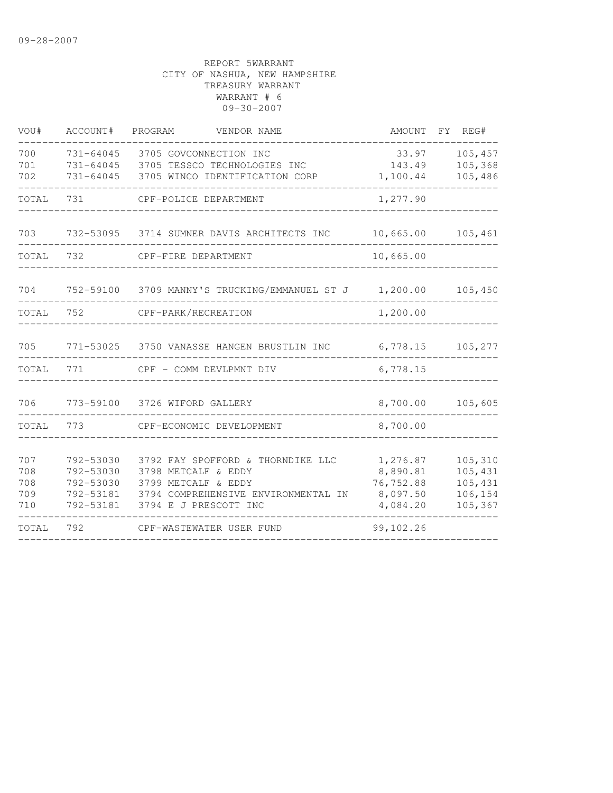| VOU#                            | ACCOUNT#                                                      | PROGRAM<br>VENDOR NAME                                                                                                                          | AMOUNT                                                    | FY. | REG#                                                |
|---------------------------------|---------------------------------------------------------------|-------------------------------------------------------------------------------------------------------------------------------------------------|-----------------------------------------------------------|-----|-----------------------------------------------------|
| 700<br>701<br>702               | 731-64045<br>731-64045<br>731-64045                           | 3705 GOVCONNECTION INC<br>3705 TESSCO TECHNOLOGIES INC<br>3705 WINCO IDENTIFICATION CORP                                                        | 33.97<br>143.49<br>1,100.44                               |     | 105,457<br>105,368<br>105,486                       |
| TOTAL                           | 731                                                           | CPF-POLICE DEPARTMENT                                                                                                                           | 1,277.90                                                  |     |                                                     |
| 703                             | 732-53095                                                     | 3714 SUMNER DAVIS ARCHITECTS INC                                                                                                                | 10,665.00                                                 |     | 105,461                                             |
| TOTAL                           | 732                                                           | CPF-FIRE DEPARTMENT                                                                                                                             | 10,665.00                                                 |     |                                                     |
| 704                             | 752-59100                                                     | 3709 MANNY'S TRUCKING/EMMANUEL ST J                                                                                                             | 1,200.00                                                  |     | 105,450                                             |
| TOTAL                           | 752                                                           | CPF-PARK/RECREATION                                                                                                                             | 1,200.00                                                  |     |                                                     |
| 705                             |                                                               | 771-53025 3750 VANASSE HANGEN BRUSTLIN INC                                                                                                      | 6,778.15                                                  |     | 105,277                                             |
| TOTAL                           | 771                                                           | CPF - COMM DEVLPMNT DIV                                                                                                                         | 6,778.15                                                  |     |                                                     |
| 706                             | 773-59100                                                     | 3726 WIFORD GALLERY                                                                                                                             | 8,700.00                                                  |     | 105,605                                             |
| TOTAL                           | 773                                                           | CPF-ECONOMIC DEVELOPMENT                                                                                                                        | 8,700.00                                                  |     |                                                     |
| 707<br>708<br>708<br>709<br>710 | 792-53030<br>792-53030<br>792-53030<br>792-53181<br>792-53181 | 3792 FAY SPOFFORD & THORNDIKE LLC<br>3798 METCALF & EDDY<br>3799 METCALF & EDDY<br>3794 COMPREHENSIVE ENVIRONMENTAL IN<br>3794 E J PRESCOTT INC | 1,276.87<br>8,890.81<br>76,752.88<br>8,097.50<br>4,084.20 |     | 105,310<br>105,431<br>105,431<br>106,154<br>105,367 |
| TOTAL                           | 792                                                           | CPF-WASTEWATER USER FUND                                                                                                                        | 99,102.26                                                 |     |                                                     |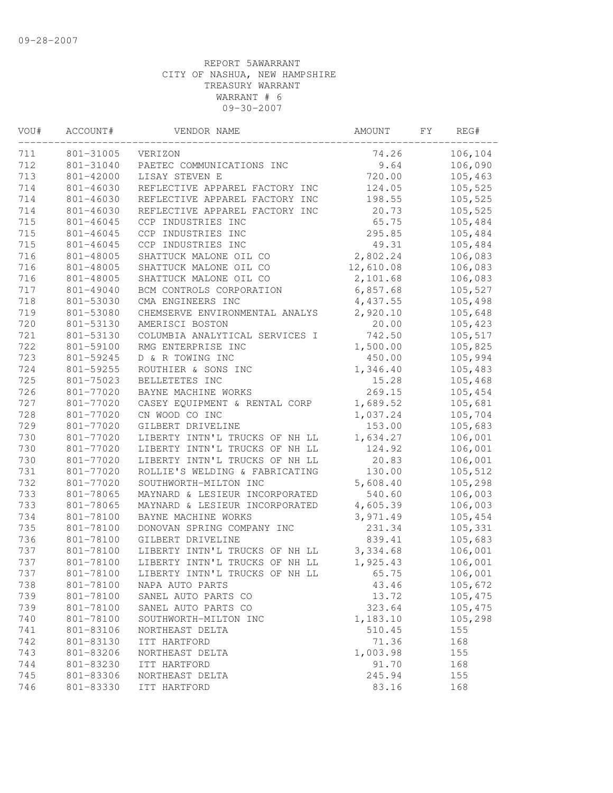| VOU# | ACCOUNT#  | VENDOR NAME                    | AMOUNT    | FΥ | REG#    |
|------|-----------|--------------------------------|-----------|----|---------|
| 711  | 801-31005 | VERIZON                        | 74.26     |    | 106,104 |
| 712  | 801-31040 | PAETEC COMMUNICATIONS INC      | 9.64      |    | 106,090 |
| 713  | 801-42000 | LISAY STEVEN E                 | 720.00    |    | 105,463 |
| 714  | 801-46030 | REFLECTIVE APPAREL FACTORY INC | 124.05    |    | 105,525 |
| 714  | 801-46030 | REFLECTIVE APPAREL FACTORY INC | 198.55    |    | 105,525 |
| 714  | 801-46030 | REFLECTIVE APPAREL FACTORY INC | 20.73     |    | 105,525 |
| 715  | 801-46045 | CCP INDUSTRIES INC             | 65.75     |    | 105,484 |
| 715  | 801-46045 | CCP INDUSTRIES INC             | 295.85    |    | 105,484 |
| 715  | 801-46045 | CCP INDUSTRIES INC             | 49.31     |    | 105,484 |
| 716  | 801-48005 | SHATTUCK MALONE OIL CO         | 2,802.24  |    | 106,083 |
| 716  | 801-48005 | SHATTUCK MALONE OIL CO         | 12,610.08 |    | 106,083 |
| 716  | 801-48005 | SHATTUCK MALONE OIL CO         | 2,101.68  |    | 106,083 |
| 717  | 801-49040 | BCM CONTROLS CORPORATION       | 6,857.68  |    | 105,527 |
| 718  | 801-53030 | CMA ENGINEERS INC              | 4,437.55  |    | 105,498 |
| 719  | 801-53080 | CHEMSERVE ENVIRONMENTAL ANALYS | 2,920.10  |    | 105,648 |
| 720  | 801-53130 | AMERISCI BOSTON                | 20.00     |    | 105,423 |
| 721  | 801-53130 | COLUMBIA ANALYTICAL SERVICES I | 742.50    |    | 105,517 |
| 722  | 801-59100 | RMG ENTERPRISE INC             | 1,500.00  |    | 105,825 |
| 723  | 801-59245 | D & R TOWING INC               | 450.00    |    | 105,994 |
| 724  | 801-59255 | ROUTHIER & SONS INC            | 1,346.40  |    | 105,483 |
| 725  | 801-75023 | BELLETETES INC                 | 15.28     |    | 105,468 |
| 726  | 801-77020 | BAYNE MACHINE WORKS            | 269.15    |    | 105,454 |
| 727  | 801-77020 | CASEY EQUIPMENT & RENTAL CORP  | 1,689.52  |    | 105,681 |
| 728  | 801-77020 | CN WOOD CO INC                 | 1,037.24  |    | 105,704 |
| 729  | 801-77020 | GILBERT DRIVELINE              | 153.00    |    | 105,683 |
| 730  | 801-77020 | LIBERTY INTN'L TRUCKS OF NH LL | 1,634.27  |    | 106,001 |
| 730  | 801-77020 | LIBERTY INTN'L TRUCKS OF NH LL | 124.92    |    | 106,001 |
| 730  | 801-77020 | LIBERTY INTN'L TRUCKS OF NH LL | 20.83     |    | 106,001 |
| 731  | 801-77020 | ROLLIE'S WELDING & FABRICATING | 130.00    |    | 105,512 |
| 732  | 801-77020 | SOUTHWORTH-MILTON INC          | 5,608.40  |    | 105,298 |
| 733  | 801-78065 | MAYNARD & LESIEUR INCORPORATED | 540.60    |    | 106,003 |
| 733  | 801-78065 | MAYNARD & LESIEUR INCORPORATED | 4,605.39  |    | 106,003 |
| 734  | 801-78100 | BAYNE MACHINE WORKS            | 3,971.49  |    | 105,454 |
| 735  | 801-78100 | DONOVAN SPRING COMPANY INC     | 231.34    |    | 105,331 |
| 736  | 801-78100 | GILBERT DRIVELINE              | 839.41    |    | 105,683 |
| 737  | 801-78100 | LIBERTY INTN'L TRUCKS OF NH LL | 3,334.68  |    | 106,001 |
| 737  | 801-78100 | LIBERTY INTN'L TRUCKS OF NH LL | 1,925.43  |    | 106,001 |
| 737  | 801-78100 | LIBERTY INTN'L TRUCKS OF NH LL | 65.75     |    | 106,001 |
| 738  | 801-78100 | NAPA AUTO PARTS                | 43.46     |    | 105,672 |
| 739  | 801-78100 | SANEL AUTO PARTS CO            | 13.72     |    | 105,475 |
| 739  | 801-78100 | SANEL AUTO PARTS CO            | 323.64    |    | 105,475 |
| 740  | 801-78100 | SOUTHWORTH-MILTON INC          | 1,183.10  |    | 105,298 |
| 741  | 801-83106 | NORTHEAST DELTA                | 510.45    |    | 155     |
| 742  | 801-83130 | ITT HARTFORD                   | 71.36     |    | 168     |
| 743  | 801-83206 | NORTHEAST DELTA                | 1,003.98  |    | 155     |
| 744  | 801-83230 | ITT HARTFORD                   | 91.70     |    | 168     |
| 745  | 801-83306 | NORTHEAST DELTA                | 245.94    |    | 155     |
| 746  | 801-83330 | ITT HARTFORD                   | 83.16     |    | 168     |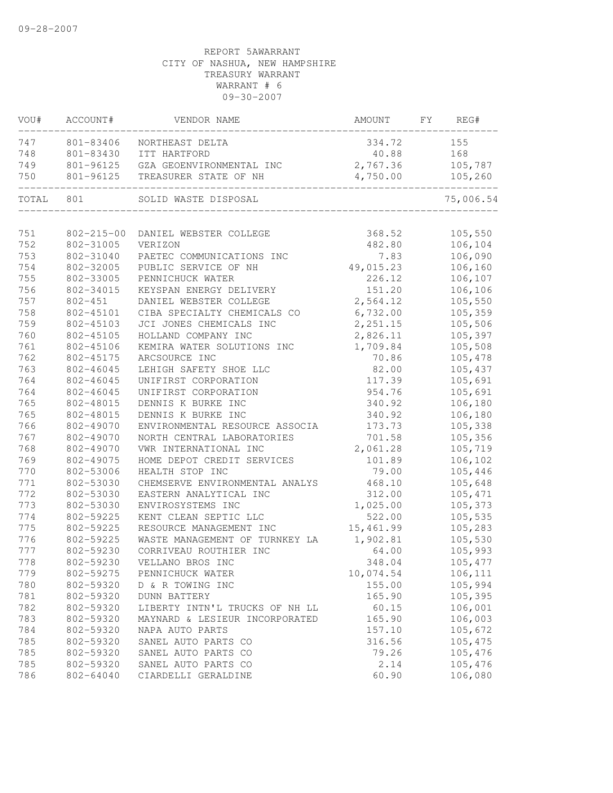| VOU#  | ACCOUNT#         | VENDOR NAME                    | AMOUNT    | FY | REG#      |
|-------|------------------|--------------------------------|-----------|----|-----------|
| 747   | 801-83406        | NORTHEAST DELTA                | 334.72    |    | 155       |
| 748   | 801-83430        | ITT HARTFORD                   | 40.88     |    | 168       |
| 749   | 801-96125        | GZA GEOENVIRONMENTAL INC       | 2,767.36  |    | 105,787   |
| 750   | 801-96125        | TREASURER STATE OF NH          | 4,750.00  |    | 105,260   |
| TOTAL | 801              | SOLID WASTE DISPOSAL           |           |    | 75,006.54 |
|       |                  |                                |           |    |           |
| 751   | $802 - 215 - 00$ | DANIEL WEBSTER COLLEGE         | 368.52    |    | 105,550   |
| 752   | 802-31005        | VERIZON                        | 482.80    |    | 106,104   |
| 753   | 802-31040        | PAETEC COMMUNICATIONS INC      | 7.83      |    | 106,090   |
| 754   | 802-32005        | PUBLIC SERVICE OF NH           | 49,015.23 |    | 106,160   |
| 755   | 802-33005        | PENNICHUCK WATER               | 226.12    |    | 106,107   |
| 756   | 802-34015        | KEYSPAN ENERGY DELIVERY        | 151.20    |    | 106,106   |
| 757   | $802 - 451$      | DANIEL WEBSTER COLLEGE         | 2,564.12  |    | 105,550   |
| 758   | 802-45101        | CIBA SPECIALTY CHEMICALS CO    | 6,732.00  |    | 105,359   |
| 759   | 802-45103        | JCI JONES CHEMICALS INC        | 2,251.15  |    | 105,506   |
| 760   | 802-45105        | HOLLAND COMPANY INC            | 2,826.11  |    | 105,397   |
| 761   | 802-45106        | KEMIRA WATER SOLUTIONS INC     | 1,709.84  |    | 105,508   |
| 762   | 802-45175        | ARCSOURCE INC                  | 70.86     |    | 105,478   |
| 763   | 802-46045        | LEHIGH SAFETY SHOE LLC         | 82.00     |    | 105,437   |
| 764   | 802-46045        | UNIFIRST CORPORATION           | 117.39    |    | 105,691   |
| 764   | 802-46045        | UNIFIRST CORPORATION           | 954.76    |    | 105,691   |
| 765   | 802-48015        | DENNIS K BURKE INC             | 340.92    |    | 106,180   |
| 765   | 802-48015        | DENNIS K BURKE INC             | 340.92    |    | 106,180   |
| 766   | 802-49070        | ENVIRONMENTAL RESOURCE ASSOCIA | 173.73    |    | 105,338   |
| 767   | 802-49070        | NORTH CENTRAL LABORATORIES     | 701.58    |    | 105,356   |
| 768   | 802-49070        | VWR INTERNATIONAL INC          | 2,061.28  |    | 105,719   |
| 769   | 802-49075        | HOME DEPOT CREDIT SERVICES     | 101.89    |    | 106,102   |
| 770   | 802-53006        | HEALTH STOP INC                | 79.00     |    | 105,446   |
| 771   | 802-53030        | CHEMSERVE ENVIRONMENTAL ANALYS | 468.10    |    | 105,648   |
| 772   | 802-53030        | EASTERN ANALYTICAL INC         | 312.00    |    | 105,471   |
| 773   | 802-53030        | ENVIROSYSTEMS INC              | 1,025.00  |    | 105,373   |
| 774   | 802-59225        | KENT CLEAN SEPTIC LLC          | 522.00    |    | 105,535   |
| 775   | 802-59225        | RESOURCE MANAGEMENT INC        | 15,461.99 |    | 105,283   |
| 776   | 802-59225        | WASTE MANAGEMENT OF TURNKEY LA | 1,902.81  |    | 105,530   |
| 777   | 802-59230        | CORRIVEAU ROUTHIER INC         | 64.00     |    | 105,993   |
| 778   | 802-59230        | VELLANO BROS INC               | 348.04    |    | 105,477   |
| 779   | 802-59275        | PENNICHUCK WATER               | 10,074.54 |    | 106,111   |
| 780   | 802-59320        | D & R TOWING INC               | 155.00    |    | 105,994   |
| 781   | 802-59320        | <b>DUNN BATTERY</b>            | 165.90    |    | 105,395   |
| 782   | 802-59320        | LIBERTY INTN'L TRUCKS OF NH LL | 60.15     |    | 106,001   |
| 783   | 802-59320        | MAYNARD & LESIEUR INCORPORATED | 165.90    |    | 106,003   |
| 784   | 802-59320        | NAPA AUTO PARTS                | 157.10    |    | 105,672   |
| 785   | 802-59320        | SANEL AUTO PARTS CO            | 316.56    |    | 105,475   |
| 785   | 802-59320        | SANEL AUTO PARTS CO            | 79.26     |    | 105,476   |
| 785   | 802-59320        | SANEL AUTO PARTS CO            | 2.14      |    | 105,476   |
| 786   | 802-64040        | CIARDELLI GERALDINE            | 60.90     |    | 106,080   |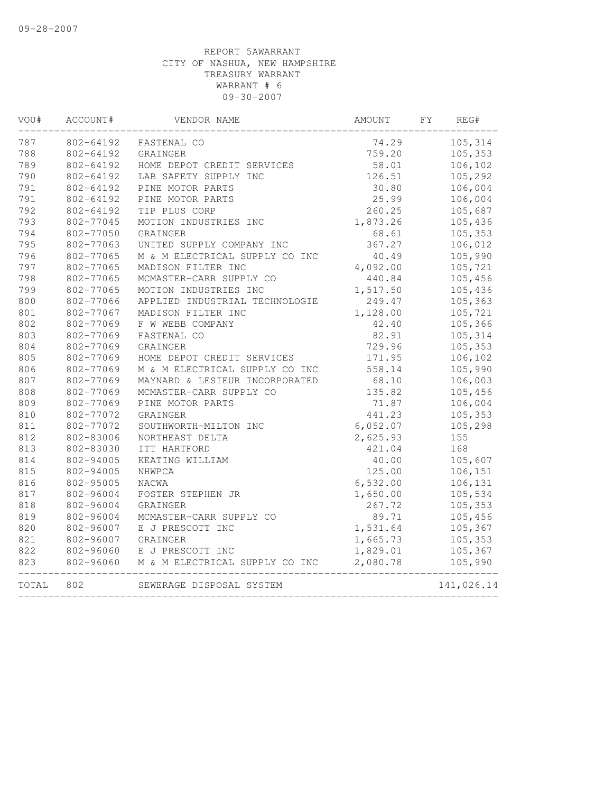| VOU#  | ACCOUNT#  | VENDOR NAME                    | AMOUNT   | FY. | REG#       |
|-------|-----------|--------------------------------|----------|-----|------------|
| 787   | 802-64192 | FASTENAL CO                    | 74.29    |     | 105,314    |
| 788   | 802-64192 | GRAINGER                       | 759.20   |     | 105,353    |
| 789   | 802-64192 | HOME DEPOT CREDIT SERVICES     | 58.01    |     | 106,102    |
| 790   | 802-64192 | LAB SAFETY SUPPLY INC          | 126.51   |     | 105,292    |
| 791   | 802-64192 | PINE MOTOR PARTS               | 30.80    |     | 106,004    |
| 791   | 802-64192 | PINE MOTOR PARTS               | 25.99    |     | 106,004    |
| 792   | 802-64192 | TIP PLUS CORP                  | 260.25   |     | 105,687    |
| 793   | 802-77045 | MOTION INDUSTRIES INC          | 1,873.26 |     | 105,436    |
| 794   | 802-77050 | GRAINGER                       | 68.61    |     | 105,353    |
| 795   | 802-77063 | UNITED SUPPLY COMPANY INC      | 367.27   |     | 106,012    |
| 796   | 802-77065 | M & M ELECTRICAL SUPPLY CO INC | 40.49    |     | 105,990    |
| 797   | 802-77065 | MADISON FILTER INC             | 4,092.00 |     | 105,721    |
| 798   | 802-77065 | MCMASTER-CARR SUPPLY CO        | 440.84   |     | 105,456    |
| 799   | 802-77065 | MOTION INDUSTRIES INC          | 1,517.50 |     | 105,436    |
| 800   | 802-77066 | APPLIED INDUSTRIAL TECHNOLOGIE | 249.47   |     | 105,363    |
| 801   | 802-77067 | MADISON FILTER INC             | 1,128.00 |     | 105,721    |
| 802   | 802-77069 | F W WEBB COMPANY               | 42.40    |     | 105,366    |
| 803   | 802-77069 | FASTENAL CO                    | 82.91    |     | 105,314    |
| 804   | 802-77069 | GRAINGER                       | 729.96   |     | 105,353    |
| 805   | 802-77069 | HOME DEPOT CREDIT SERVICES     | 171.95   |     | 106,102    |
| 806   | 802-77069 | M & M ELECTRICAL SUPPLY CO INC | 558.14   |     | 105,990    |
| 807   | 802-77069 | MAYNARD & LESIEUR INCORPORATED | 68.10    |     | 106,003    |
| 808   | 802-77069 | MCMASTER-CARR SUPPLY CO        | 135.82   |     | 105,456    |
| 809   | 802-77069 | PINE MOTOR PARTS               | 71.87    |     | 106,004    |
| 810   | 802-77072 | GRAINGER                       | 441.23   |     | 105,353    |
| 811   | 802-77072 | SOUTHWORTH-MILTON INC          | 6,052.07 |     | 105,298    |
| 812   | 802-83006 | NORTHEAST DELTA                | 2,625.93 |     | 155        |
| 813   | 802-83030 | ITT HARTFORD                   | 421.04   |     | 168        |
| 814   | 802-94005 | KEATING WILLIAM                | 40.00    |     | 105,607    |
| 815   | 802-94005 | NHWPCA                         | 125.00   |     | 106,151    |
| 816   | 802-95005 | <b>NACWA</b>                   | 6,532.00 |     | 106,131    |
| 817   | 802-96004 | FOSTER STEPHEN JR              | 1,650.00 |     | 105,534    |
| 818   | 802-96004 | GRAINGER                       | 267.72   |     | 105,353    |
| 819   | 802-96004 | MCMASTER-CARR SUPPLY CO        | 89.71    |     | 105,456    |
| 820   | 802-96007 | E J PRESCOTT INC               | 1,531.64 |     | 105,367    |
| 821   | 802-96007 | GRAINGER                       | 1,665.73 |     | 105,353    |
| 822   | 802-96060 | E J PRESCOTT INC               | 1,829.01 |     | 105,367    |
| 823   | 802-96060 | M & M ELECTRICAL SUPPLY CO INC | 2,080.78 |     | 105,990    |
| TOTAL | 802       | SEWERAGE DISPOSAL SYSTEM       |          |     | 141,026.14 |
|       |           |                                |          |     |            |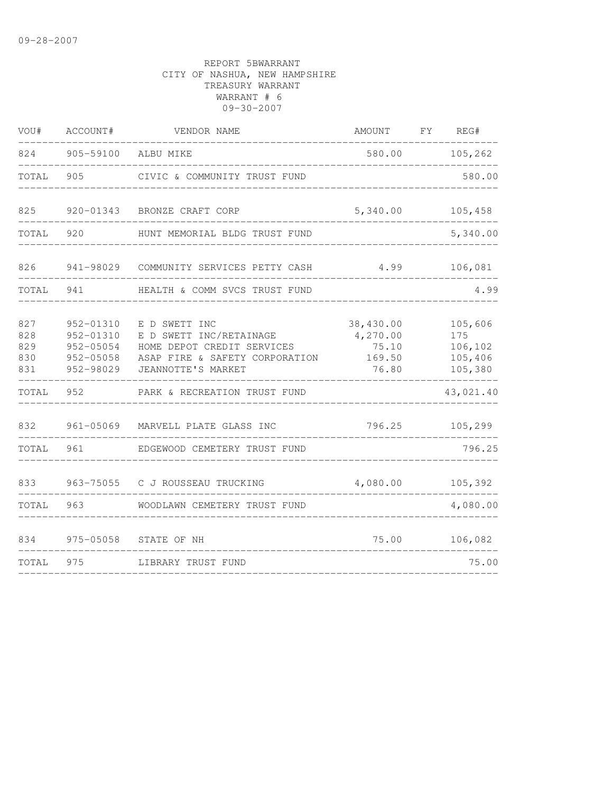| VOU#                            | ACCOUNT#                                                      | VENDOR NAME                                                                                                                    | AMOUNT                                            | FY REG#                                         |
|---------------------------------|---------------------------------------------------------------|--------------------------------------------------------------------------------------------------------------------------------|---------------------------------------------------|-------------------------------------------------|
| 824                             |                                                               | 905-59100 ALBU MIKE                                                                                                            | 580.00                                            | 105,262                                         |
| TOTAL                           | 905                                                           | CIVIC & COMMUNITY TRUST FUND                                                                                                   |                                                   | 580.00                                          |
| 825                             | 920-01343                                                     | BRONZE CRAFT CORP                                                                                                              | 5,340.00                                          | 105,458                                         |
| TOTAL                           | 920                                                           | HUNT MEMORIAL BLDG TRUST FUND                                                                                                  |                                                   | 5,340.00                                        |
| 826                             | 941-98029                                                     | COMMUNITY SERVICES PETTY CASH                                                                                                  | 4.99                                              | 106,081                                         |
| TOTAL                           | 941                                                           | HEALTH & COMM SVCS TRUST FUND                                                                                                  |                                                   | 4.99                                            |
| 827<br>828<br>829<br>830<br>831 | 952-01310<br>952-01310<br>952-05054<br>952-05058<br>952-98029 | E D SWETT INC<br>E D SWETT INC/RETAINAGE<br>HOME DEPOT CREDIT SERVICES<br>ASAP FIRE & SAFETY CORPORATION<br>JEANNOTTE'S MARKET | 38,430.00<br>4,270.00<br>75.10<br>169.50<br>76.80 | 105,606<br>175<br>106,102<br>105,406<br>105,380 |
| TOTAL                           | 952                                                           | PARK & RECREATION TRUST FUND                                                                                                   |                                                   | 43,021.40                                       |
| 832                             | $961 - 05069$                                                 | MARVELL PLATE GLASS INC                                                                                                        | 796.25                                            | 105,299                                         |
| TOTAL                           | 961                                                           | EDGEWOOD CEMETERY TRUST FUND                                                                                                   |                                                   | 796.25                                          |
| 833                             | 963-75055                                                     | C J ROUSSEAU TRUCKING                                                                                                          | 4,080.00                                          | 105,392                                         |
| TOTAL                           | 963                                                           | WOODLAWN CEMETERY TRUST FUND                                                                                                   |                                                   | 4,080.00                                        |
| 834                             | 975-05058                                                     | STATE OF NH                                                                                                                    | 75.00                                             | 106,082                                         |
| TOTAL                           | 975                                                           | LIBRARY TRUST FUND                                                                                                             |                                                   | 75.00                                           |
|                                 |                                                               |                                                                                                                                |                                                   |                                                 |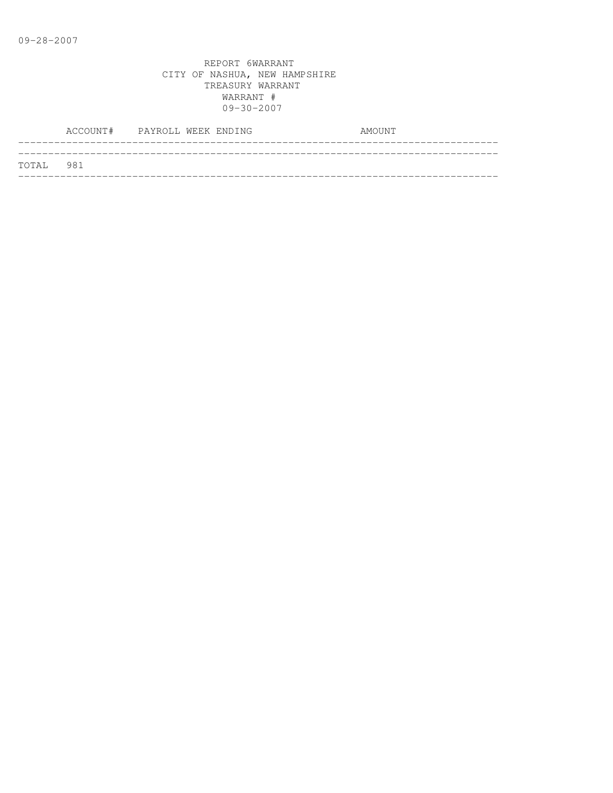|           | ACCOUNT# PAYROLL WEEK ENDING |  |  | AMOUNT |  |
|-----------|------------------------------|--|--|--------|--|
| TOTAL 981 |                              |  |  |        |  |
|           |                              |  |  |        |  |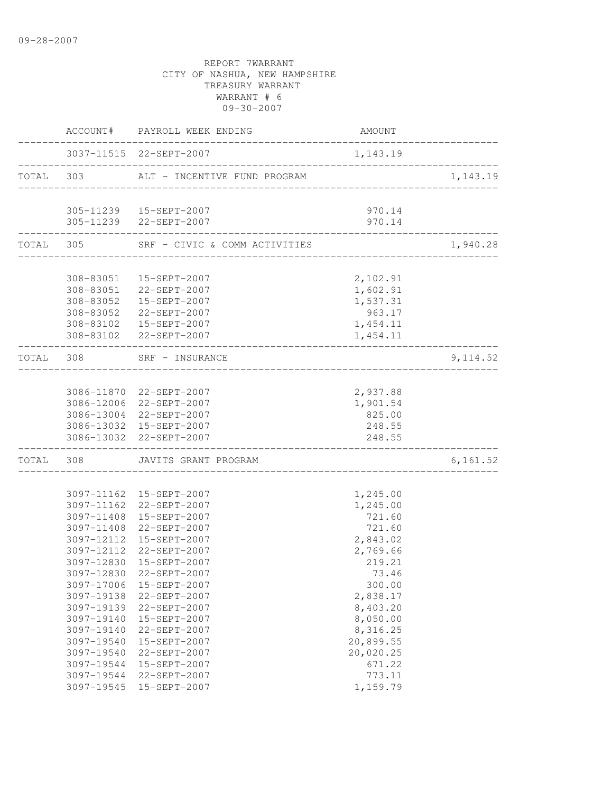REPORT 7WARRANT CITY OF NASHUA, NEW HAMPSHIRE TREASURY WARRANT WARRANT # 6 09-30-2007 ACCOUNT# PAYROLL WEEK ENDING COUNT -------------------------------------------------------------------------------- 3037-11515 22-SEPT-2007 1,143.19 -------------------------------------------------------------------------------- TOTAL 303 ALT - INCENTIVE FUND PROGRAM 1,143.19 -------------------------------------------------------------------------------- 305-11239 15-SEPT-2007 970.14 305-11239 22-SEPT-2007 970.14 -------------------------------------------------------------------------------- TOTAL 305 SRF - CIVIC & COMM ACTIVITIES 1,940.28 -------------------------------------------------------------------------------- 308-83051 15-SEPT-2007 2,102.91 308-83051 22-SEPT-2007 1,602.91 308-83052 15-SEPT-2007 1,537.31 308-83052 22-SEPT-2007 963.17 308-83102 15-SEPT-2007 1,454.11 308-83102 22-SEPT-2007 1,454.11 -------------------------------------------------------------------------------- TOTAL 308 SRF – INSURANCE 9,114.52 -------------------------------------------------------------------------------- 3086-11870 22-SEPT-2007 2,937.88 3086-12006 22-SEPT-2007 1,901.54 3086-13004 22-SEPT-2007 825.00 3086-13032 15-SEPT-2007 248.55 3086-13032 22-SEPT-2007 248.55 -------------------------------------------------------------------------------- TOTAL 308 JAVITS GRANT PROGRAM 6,161.52 -------------------------------------------------------------------------------- 3097-11162 15-SEPT-2007 1,245.00 3097-11162 22-SEPT-2007 1,245.00 3097-11408 15-SEPT-2007 721.60 3097-11408 22-SEPT-2007 3097-12112 15-SEPT-2007 2,843.02 3097-12112 22-SEPT-2007 2,769.66 3097-12830 15-SEPT-2007 219.21 3097-12830 22-SEPT-2007 73.46 3097-17006 15-SEPT-2007 300.00 3097-19138 22-SEPT-2007 2,838.17 3097-19139 22-SEPT-2007 8,403.20 3097-19140 15-SEPT-2007 8,050.00 3097-19140 22-SEPT-2007 8,316.25 3097-19540 15-SEPT-2007 20,899.55 3097-19540 22-SEPT-2007 20,020.25 3097-19544 15-SEPT-2007 671.22 3097-19544 22-SEPT-2007 773.11

3097-19545 15-SEPT-2007 1,159.79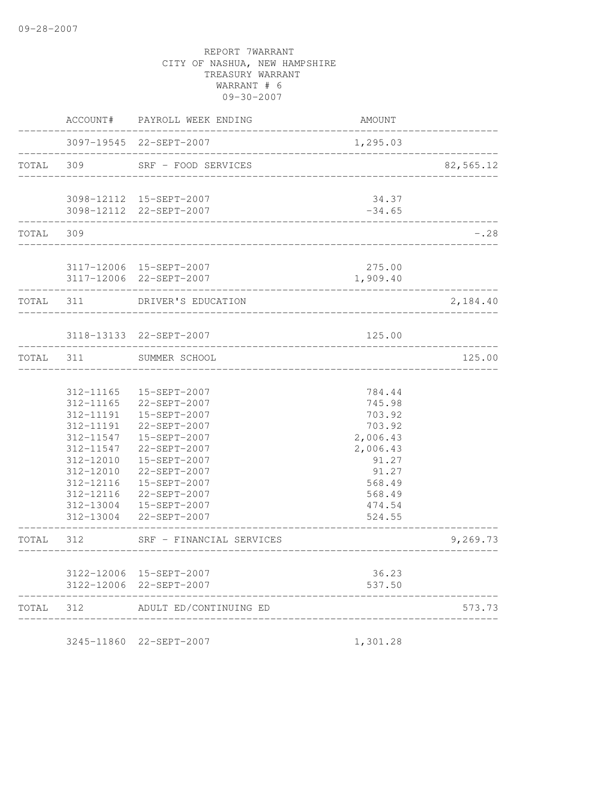|           | ACCOUNT#                                                                                                                                    | PAYROLL WEEK ENDING                                                                                                                                                                                     | AMOUNT                                                                                                                 |           |
|-----------|---------------------------------------------------------------------------------------------------------------------------------------------|---------------------------------------------------------------------------------------------------------------------------------------------------------------------------------------------------------|------------------------------------------------------------------------------------------------------------------------|-----------|
|           |                                                                                                                                             | 3097-19545 22-SEPT-2007                                                                                                                                                                                 | 1,295.03                                                                                                               |           |
| TOTAL 309 |                                                                                                                                             | SRF - FOOD SERVICES                                                                                                                                                                                     |                                                                                                                        | 82,565.12 |
|           |                                                                                                                                             | 3098-12112  15-SEPT-2007                                                                                                                                                                                | 34.37                                                                                                                  |           |
|           |                                                                                                                                             | 3098-12112 22-SEPT-2007                                                                                                                                                                                 | $-34.65$                                                                                                               |           |
| TOTAL     | 309                                                                                                                                         |                                                                                                                                                                                                         |                                                                                                                        | $-0.28$   |
|           | -----------                                                                                                                                 | 3117-12006 15-SEPT-2007<br>3117-12006 22-SEPT-2007                                                                                                                                                      | 275.00<br>1,909.40                                                                                                     |           |
| TOTAL     | 311                                                                                                                                         | DRIVER'S EDUCATION                                                                                                                                                                                      |                                                                                                                        | 2,184.40  |
|           |                                                                                                                                             | 3118-13133 22-SEPT-2007                                                                                                                                                                                 | 125.00                                                                                                                 |           |
| TOTAL     | 311                                                                                                                                         | SUMMER SCHOOL                                                                                                                                                                                           |                                                                                                                        | 125.00    |
|           | 312-11165<br>312-11165<br>312-11191<br>312-11191<br>312-11547<br>312-11547<br>312-12010<br>312-12010<br>312-12116<br>312-12116<br>312-13004 | 15-SEPT-2007<br>22-SEPT-2007<br>15-SEPT-2007<br>22-SEPT-2007<br>15-SEPT-2007<br>22-SEPT-2007<br>15-SEPT-2007<br>22-SEPT-2007<br>15-SEPT-2007<br>22-SEPT-2007<br>312-13004  15-SEPT-2007<br>22-SEPT-2007 | 784.44<br>745.98<br>703.92<br>703.92<br>2,006.43<br>2,006.43<br>91.27<br>91.27<br>568.49<br>568.49<br>474.54<br>524.55 |           |
| TOTAL     | 312                                                                                                                                         | SRF - FINANCIAL SERVICES                                                                                                                                                                                |                                                                                                                        | 9,269.73  |
|           |                                                                                                                                             | 3122-12006 15-SEPT-2007<br>3122-12006 22-SEPT-2007                                                                                                                                                      | 36.23<br>537.50                                                                                                        |           |
| TOTAL     | 312                                                                                                                                         | ADULT ED/CONTINUING ED                                                                                                                                                                                  | __________________                                                                                                     | 573.73    |
|           |                                                                                                                                             |                                                                                                                                                                                                         |                                                                                                                        |           |

3245-11860 22-SEPT-2007 1,301.28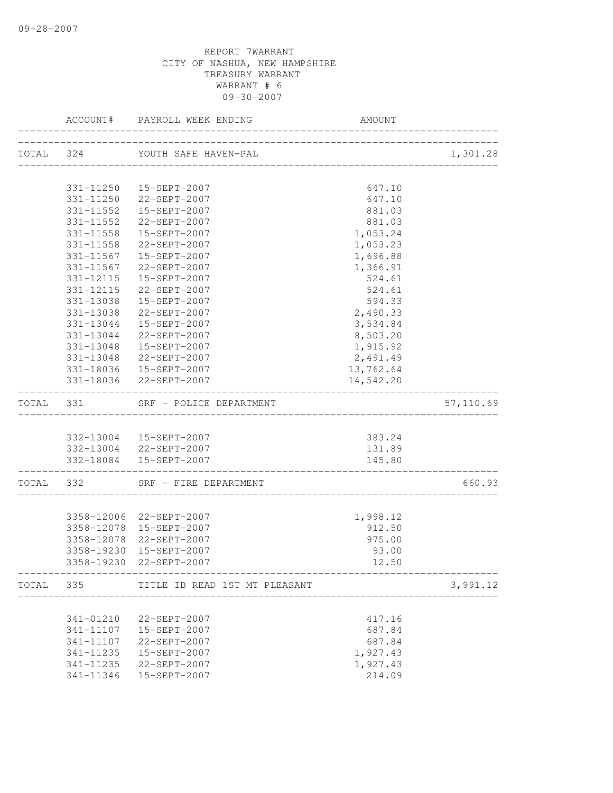|           |           | ACCOUNT# PAYROLL WEEK ENDING                      | AMOUNT    |           |
|-----------|-----------|---------------------------------------------------|-----------|-----------|
|           |           | TOTAL 324 YOUTH SAFE HAVEN-PAL                    |           | 1,301.28  |
|           |           |                                                   |           |           |
|           |           | 331-11250  15-SEPT-2007                           | 647.10    |           |
|           |           | 331-11250 22-SEPT-2007                            | 647.10    |           |
|           | 331-11552 | 15-SEPT-2007                                      | 881.03    |           |
|           | 331-11552 | 22-SEPT-2007                                      | 881.03    |           |
|           | 331-11558 | 15-SEPT-2007                                      | 1,053.24  |           |
|           |           | 331-11558 22-SEPT-2007                            | 1,053.23  |           |
|           |           | 331-11567    15-SEPT-2007                         | 1,696.88  |           |
|           |           | 331-11567 22-SEPT-2007                            | 1,366.91  |           |
|           |           | 331-12115  15-SEPT-2007                           | 524.61    |           |
|           |           | 331-12115 22-SEPT-2007                            | 524.61    |           |
|           | 331-13038 | 15-SEPT-2007                                      | 594.33    |           |
|           | 331-13038 | 22-SEPT-2007                                      | 2,490.33  |           |
|           | 331-13044 | 15-SEPT-2007                                      | 3,534.84  |           |
|           | 331-13044 | 22-SEPT-2007                                      | 8,503.20  |           |
|           | 331-13048 | 15-SEPT-2007                                      | 1,915.92  |           |
|           |           | 331-13048 22-SEPT-2007                            | 2,491.49  |           |
|           |           | 331-18036  15-SEPT-2007                           | 13,762.64 |           |
|           |           | 331-18036 22-SEPT-2007                            | 14,542.20 |           |
| TOTAL 331 |           | SRF - POLICE DEPARTMENT                           |           | 57,110.69 |
|           |           |                                                   |           |           |
|           |           | 332-13004 15-SEPT-2007                            | 383.24    |           |
|           |           | 332-13004 22-SEPT-2007                            | 131.89    |           |
|           |           | 332-18084  15-SEPT-2007<br>---------------------- | 145.80    |           |
| TOTAL 332 |           | SRF - FIRE DEPARTMENT                             |           | 660.93    |
|           |           |                                                   |           |           |
|           |           | 3358-12006 22-SEPT-2007                           | 1,998.12  |           |
|           |           | 3358-12078  15-SEPT-2007                          | 912.50    |           |
|           |           | 3358-12078 22-SEPT-2007                           | 975.00    |           |
|           |           | 3358-19230 15-SEPT-2007                           | 93.00     |           |
|           |           | 3358-19230 22-SEPT-2007                           | 12.50     |           |
| TOTAL 335 |           | TITLE IB READ 1ST MT PLEASANT                     |           | 3,991.12  |
|           |           |                                                   |           |           |
|           | 341-01210 | 22-SEPT-2007                                      | 417.16    |           |
|           | 341-11107 | 15-SEPT-2007                                      | 687.84    |           |
|           | 341-11107 | 22-SEPT-2007                                      | 687.84    |           |
|           | 341-11235 | 15-SEPT-2007                                      | 1,927.43  |           |
|           | 341-11235 | 22-SEPT-2007                                      | 1,927.43  |           |
|           | 341-11346 | 15-SEPT-2007                                      | 214.09    |           |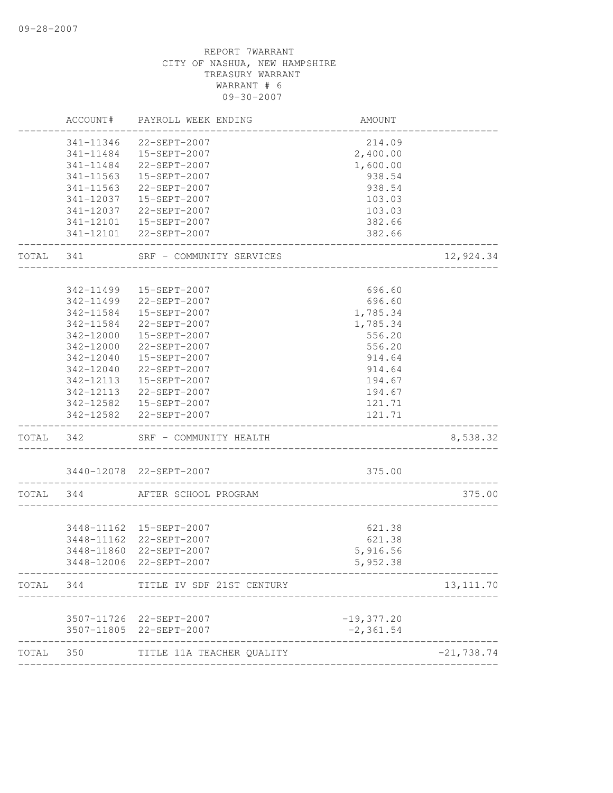|           | ACCOUNT#  | PAYROLL WEEK ENDING                                | AMOUNT                     |              |
|-----------|-----------|----------------------------------------------------|----------------------------|--------------|
|           |           | 341-11346 22-SEPT-2007                             | 214.09                     |              |
|           |           | 341-11484   15-SEPT-2007                           | 2,400.00                   |              |
|           |           | 341-11484 22-SEPT-2007                             | 1,600.00                   |              |
|           | 341-11563 | 15-SEPT-2007                                       | 938.54                     |              |
|           | 341-11563 | 22-SEPT-2007                                       | 938.54                     |              |
|           | 341-12037 | 15-SEPT-2007                                       | 103.03                     |              |
|           | 341-12037 | 22-SEPT-2007                                       | 103.03                     |              |
|           |           | 341-12101  15-SEPT-2007                            | 382.66                     |              |
|           |           | 341-12101 22-SEPT-2007                             | 382.66                     |              |
| TOTAL 341 |           | SRF - COMMUNITY SERVICES                           |                            | 12,924.34    |
|           |           |                                                    |                            |              |
|           | 342-11499 | 15-SEPT-2007                                       | 696.60                     |              |
|           | 342-11499 | 22-SEPT-2007                                       | 696.60                     |              |
|           | 342-11584 | 15-SEPT-2007                                       | 1,785.34                   |              |
|           | 342-11584 | 22-SEPT-2007                                       | 1,785.34                   |              |
|           |           | 342-12000  15-SEPT-2007                            | 556.20                     |              |
|           |           | 342-12000 22-SEPT-2007                             | 556.20                     |              |
|           |           | 342-12040  15-SEPT-2007                            | 914.64                     |              |
|           |           | 342-12040 22-SEPT-2007                             | 914.64                     |              |
|           |           | 342-12113  15-SEPT-2007                            | 194.67                     |              |
|           |           | 342-12113 22-SEPT-2007                             | 194.67                     |              |
|           |           | 342-12582    15-SEPT-2007                          | 121.71                     |              |
|           |           | 342-12582 22-SEPT-2007                             | 121.71<br>---------------- |              |
| TOTAL 342 |           | SRF - COMMUNITY HEALTH                             |                            | 8,538.32     |
|           |           | 3440-12078 22-SEPT-2007                            | 375.00                     |              |
| TOTAL 344 |           | AFTER SCHOOL PROGRAM                               |                            | 375.00       |
|           |           |                                                    |                            |              |
|           |           | 3448-11162  15-SEPT-2007                           | 621.38                     |              |
|           |           | 3448-11162 22-SEPT-2007                            | 621.38                     |              |
|           |           | 3448-11860 22-SEPT-2007                            | 5,916.56                   |              |
|           |           | 3448-12006 22-SEPT-2007                            | 5,952.38                   |              |
| TOTAL     | 344       | TITLE IV SDF 21ST CENTURY                          |                            | 13, 111.70   |
|           |           | 3507-11726 22-SEPT-2007                            | $-19,377.20$               |              |
|           |           | 3507-11805 22-SEPT-2007                            | $-2, 361.54$               |              |
| TOTAL     | 350       | _____________________<br>TITLE 11A TEACHER QUALITY |                            | $-21,738.74$ |
|           |           |                                                    |                            |              |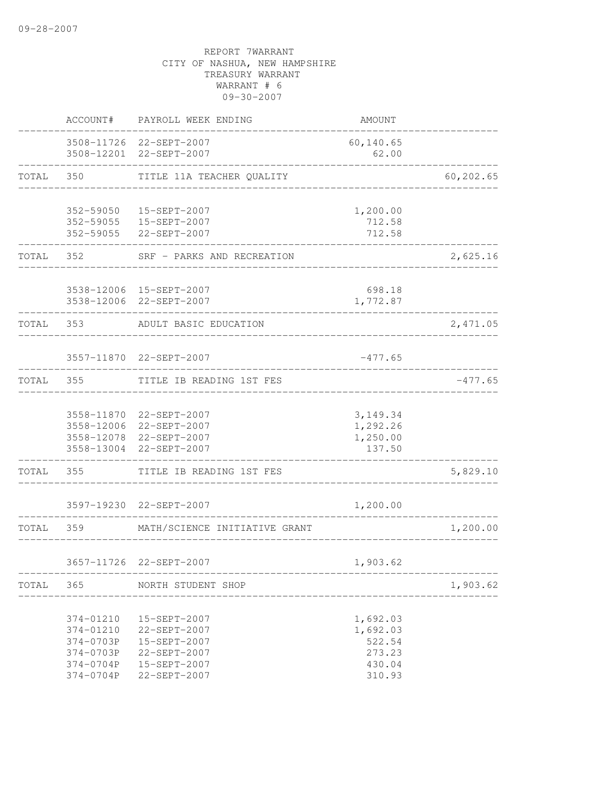|       | ACCOUNT#               | PAYROLL WEEK ENDING                                | AMOUNT             |                         |
|-------|------------------------|----------------------------------------------------|--------------------|-------------------------|
|       |                        | 3508-11726 22-SEPT-2007<br>3508-12201 22-SEPT-2007 | 60,140.65<br>62.00 |                         |
| TOTAL | 350                    | TITLE 11A TEACHER QUALITY                          |                    | 60,202.65               |
|       |                        |                                                    |                    |                         |
|       | 352-59050              | 15-SEPT-2007                                       | 1,200.00           |                         |
|       | 352-59055              | 352-59055   15-SEPT-2007<br>22-SEPT-2007           | 712.58<br>712.58   |                         |
| TOTAL | 352                    | SRF - PARKS AND RECREATION                         |                    | 2,625.16                |
|       |                        | 3538-12006 15-SEPT-2007                            | 698.18             |                         |
|       |                        | 3538-12006 22-SEPT-2007                            | 1,772.87           |                         |
| TOTAL | 353                    | ADULT BASIC EDUCATION                              |                    | 2,471.05                |
|       |                        | 3557-11870 22-SEPT-2007                            | $-477.65$          |                         |
|       |                        |                                                    |                    |                         |
| TOTAL | 355                    | TITLE IB READING 1ST FES                           |                    | $-477.65$               |
|       |                        | 3558-11870 22-SEPT-2007                            | 3, 149. 34         |                         |
|       |                        | 3558-12006 22-SEPT-2007                            | 1,292.26           |                         |
|       |                        | 3558-12078 22-SEPT-2007                            | 1,250.00           |                         |
|       | 3558-13004             | 22-SEPT-2007                                       | 137.50             |                         |
| TOTAL | 355                    | TITLE IB READING 1ST FES                           |                    | 5,829.10                |
|       |                        | 3597-19230 22-SEPT-2007                            | 1,200.00           |                         |
| TOTAL | 359                    | MATH/SCIENCE INITIATIVE GRANT                      |                    | 1,200.00                |
|       |                        | 3657-11726 22-SEPT-2007                            | 1,903.62           |                         |
|       |                        |                                                    |                    |                         |
|       | TOTAL 365              | NORTH STUDENT SHOP                                 |                    | 1,903.62<br>___________ |
|       | 374-01210              | 15-SEPT-2007                                       | 1,692.03           |                         |
|       | 374-01210              | 22-SEPT-2007                                       | 1,692.03           |                         |
|       | 374-0703P              | 15-SEPT-2007                                       | 522.54             |                         |
|       | 374-0703P<br>374-0704P | 22-SEPT-2007<br>15-SEPT-2007                       | 273.23<br>430.04   |                         |
|       | 374-0704P              | 22-SEPT-2007                                       | 310.93             |                         |
|       |                        |                                                    |                    |                         |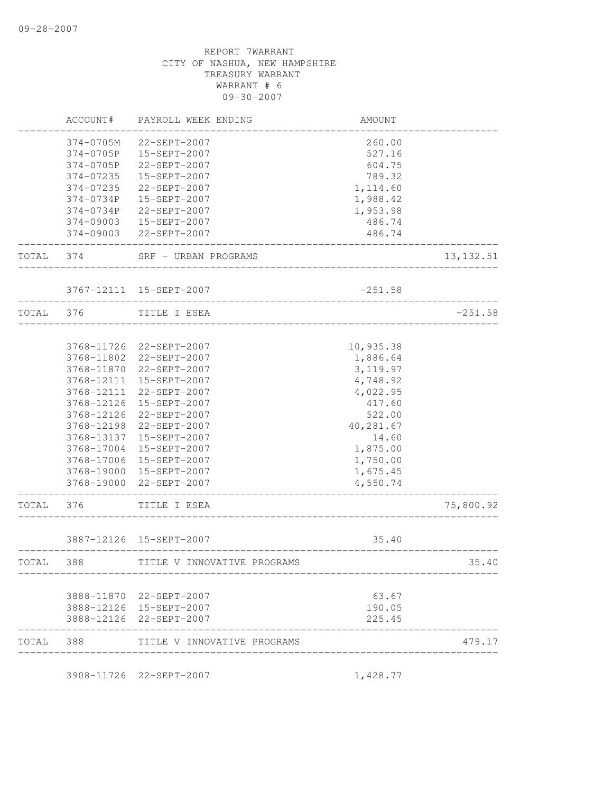|            | AMOUNT    | PAYROLL WEEK ENDING         | ACCOUNT#   |           |
|------------|-----------|-----------------------------|------------|-----------|
|            | 260.00    | 22-SEPT-2007                | 374-0705M  |           |
|            | 527.16    | 15-SEPT-2007                | 374-0705P  |           |
|            | 604.75    | 22-SEPT-2007                | 374-0705P  |           |
|            | 789.32    | 15-SEPT-2007                | 374-07235  |           |
|            | 1,114.60  | 22-SEPT-2007                | 374-07235  |           |
|            | 1,988.42  | 15-SEPT-2007                | 374-0734P  |           |
|            | 1,953.98  | 22-SEPT-2007                | 374-0734P  |           |
|            | 486.74    | 15-SEPT-2007                | 374-09003  |           |
|            | 486.74    | 22-SEPT-2007                | 374-09003  |           |
| 13, 132.51 |           | SRF - URBAN PROGRAMS        | 374        | TOTAL     |
|            | $-251.58$ | 3767-12111 15-SEPT-2007     |            |           |
| $-251.58$  |           | TITLE I ESEA                |            | TOTAL 376 |
|            |           |                             |            |           |
|            | 10,935.38 | 22-SEPT-2007                | 3768-11726 |           |
|            | 1,886.64  | 22-SEPT-2007                | 3768-11802 |           |
|            | 3, 119.97 | 22-SEPT-2007                | 3768-11870 |           |
|            | 4,748.92  | 15-SEPT-2007                | 3768-12111 |           |
|            | 4,022.95  | 22-SEPT-2007                | 3768-12111 |           |
|            | 417.60    | 15-SEPT-2007                | 3768-12126 |           |
|            | 522.00    | 22-SEPT-2007                | 3768-12126 |           |
|            | 40,281.67 | 22-SEPT-2007                | 3768-12198 |           |
|            | 14.60     | 15-SEPT-2007                | 3768-13137 |           |
|            | 1,875.00  | 15-SEPT-2007                | 3768-17004 |           |
|            | 1,750.00  | 15-SEPT-2007                | 3768-17006 |           |
|            | 1,675.45  | 3768-19000 15-SEPT-2007     |            |           |
|            | 4,550.74  | 22-SEPT-2007                | 3768-19000 |           |
| 75,800.92  |           | TITLE I ESEA                | 376        | TOTAL     |
|            | 35.40     | 3887-12126 15-SEPT-2007     |            |           |
| 35.40      |           | TITLE V INNOVATIVE PROGRAMS | 388        | TOTAL     |
|            |           |                             |            |           |
|            | 63.67     | 3888-11870 22-SEPT-2007     |            |           |
|            | 190.05    | 3888-12126 15-SEPT-2007     |            |           |
|            | 225.45    | 3888-12126 22-SEPT-2007     |            |           |
| 479.17     |           | TITLE V INNOVATIVE PROGRAMS | 388        | TOTAL     |

3908-11726 22-SEPT-2007 1,428.77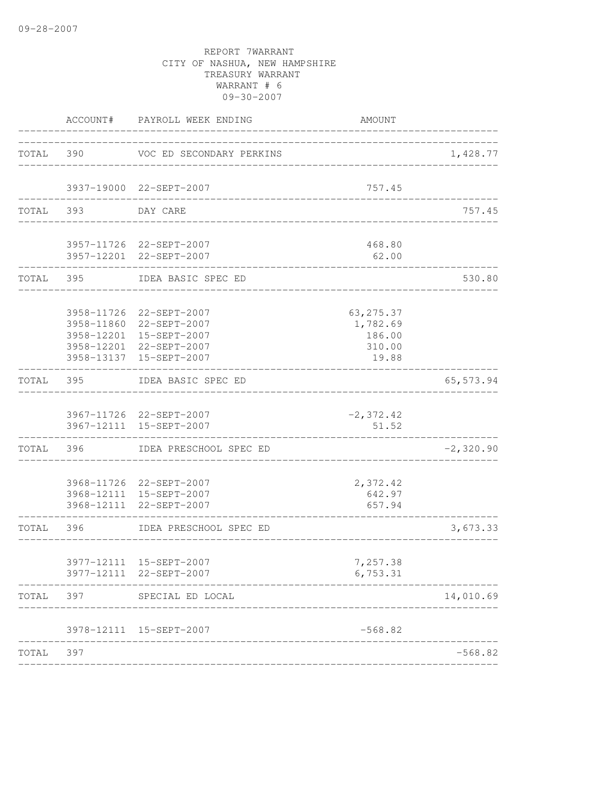|           | ACCOUNT#      | PAYROLL WEEK ENDING                                                                                                                 | AMOUNT                                              |             |
|-----------|---------------|-------------------------------------------------------------------------------------------------------------------------------------|-----------------------------------------------------|-------------|
| TOTAL 390 |               | VOC ED SECONDARY PERKINS                                                                                                            | ________________________________                    | 1,428.77    |
|           |               | 3937-19000 22-SEPT-2007                                                                                                             | 757.45                                              |             |
| TOTAL 393 |               | DAY CARE                                                                                                                            |                                                     | 757.45      |
|           | ------------- | 3957-11726 22-SEPT-2007<br>3957-12201 22-SEPT-2007                                                                                  | 468.80<br>62.00                                     |             |
|           | TOTAL 395     | IDEA BASIC SPEC ED                                                                                                                  |                                                     | 530.80      |
|           |               | 3958-11726 22-SEPT-2007<br>3958-11860 22-SEPT-2007<br>3958-12201 15-SEPT-2007<br>3958-12201 22-SEPT-2007<br>3958-13137 15-SEPT-2007 | 63, 275.37<br>1,782.69<br>186.00<br>310.00<br>19.88 |             |
| TOTAL 395 |               | IDEA BASIC SPEC ED                                                                                                                  |                                                     | 65, 573.94  |
|           |               | 3967-11726 22-SEPT-2007<br>3967-12111 15-SEPT-2007                                                                                  | $-2, 372.42$<br>51.52                               |             |
| TOTAL     | 396           | IDEA PRESCHOOL SPEC ED                                                                                                              |                                                     | $-2,320.90$ |
|           |               | 3968-11726 22-SEPT-2007<br>3968-12111 15-SEPT-2007<br>3968-12111 22-SEPT-2007                                                       | 2,372.42<br>642.97<br>657.94<br>_________________   |             |
| TOTAL 396 |               | IDEA PRESCHOOL SPEC ED                                                                                                              |                                                     | 3,673.33    |
|           |               | 3977-12111 15-SEPT-2007<br>3977-12111 22-SEPT-2007                                                                                  | 7,257.38<br>6,753.31                                |             |
| TOTAL     | 397           | SPECIAL ED LOCAL                                                                                                                    |                                                     | 14,010.69   |
|           |               | 3978-12111 15-SEPT-2007<br>----------------------                                                                                   | $-568.82$                                           |             |
| TOTAL     | 397           |                                                                                                                                     |                                                     | $-568.82$   |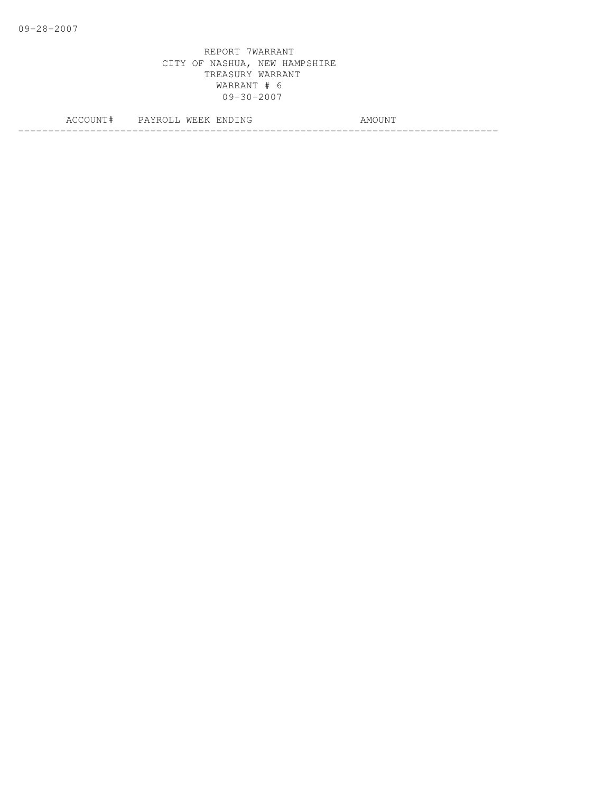|    | ALL. | ∵Ni | IVI ( |
|----|------|-----|-------|
|    |      | N   | l IXI |
|    |      |     |       |
| -- |      |     | ___   |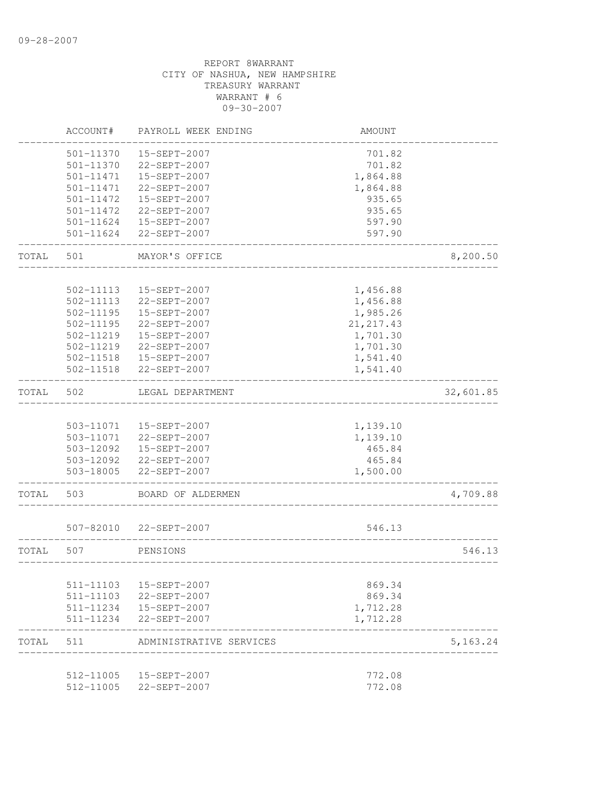|       | ACCOUNT#               | PAYROLL WEEK ENDING                     | <b>AMOUNT</b>                 |           |
|-------|------------------------|-----------------------------------------|-------------------------------|-----------|
|       | 501-11370              | 15-SEPT-2007                            | 701.82                        |           |
|       | 501-11370              | 22-SEPT-2007                            | 701.82                        |           |
|       | 501-11471              | 15-SEPT-2007                            | 1,864.88                      |           |
|       | 501-11471              | 22-SEPT-2007                            | 1,864.88                      |           |
|       | 501-11472              | 15-SEPT-2007                            | 935.65                        |           |
|       | 501-11472              | 22-SEPT-2007                            | 935.65                        |           |
|       | 501-11624              | 15-SEPT-2007                            | 597.90                        |           |
|       | 501-11624              | 22-SEPT-2007                            | 597.90                        |           |
| TOTAL | 501                    | MAYOR'S OFFICE                          |                               | 8,200.50  |
|       |                        |                                         |                               |           |
|       | 502-11113              | 15-SEPT-2007                            | 1,456.88                      |           |
|       | 502-11113              | 22-SEPT-2007                            | 1,456.88                      |           |
|       | $502 - 11195$          | 15-SEPT-2007                            | 1,985.26                      |           |
|       | 502-11195              | 22-SEPT-2007                            | 21, 217.43                    |           |
|       | 502-11219              | 15-SEPT-2007                            | 1,701.30                      |           |
|       | 502-11219              | 22-SEPT-2007                            | 1,701.30                      |           |
|       | 502-11518              | 15-SEPT-2007                            | 1,541.40                      |           |
|       | 502-11518              | 22-SEPT-2007                            | 1,541.40                      |           |
| TOTAL | 502                    | LEGAL DEPARTMENT                        |                               | 32,601.85 |
|       |                        |                                         |                               |           |
|       | 503-11071<br>503-11071 | 15-SEPT-2007<br>22-SEPT-2007            | 1,139.10                      |           |
|       |                        | 503-12092  15-SEPT-2007                 | 1,139.10<br>465.84            |           |
|       |                        | 503-12092 22-SEPT-2007                  | 465.84                        |           |
|       | 503-18005              | 22-SEPT-2007                            | 1,500.00                      |           |
| TOTAL | 503                    | BOARD OF ALDERMEN                       |                               | 4,709.88  |
|       |                        |                                         |                               |           |
|       | 507-82010              | 22-SEPT-2007                            | 546.13                        |           |
| TOTAL | 507                    | PENSIONS                                |                               | 546.13    |
|       |                        |                                         |                               |           |
|       | 511-11103              | 15-SEPT-2007                            | 869.34                        |           |
|       | 511-11103              | 22-SEPT-2007<br>511-11234  15-SEPT-2007 | 869.34<br>1,712.28            |           |
|       |                        |                                         |                               |           |
|       | 511-11234              | 22-SEPT-2007                            | 1,712.28                      |           |
| TOTAL | 511                    | ADMINISTRATIVE SERVICES                 | _____________________________ | 5,163.24  |
|       | 512-11005              | 15-SEPT-2007                            | 772.08                        |           |
|       | 512-11005              | 22-SEPT-2007                            | 772.08                        |           |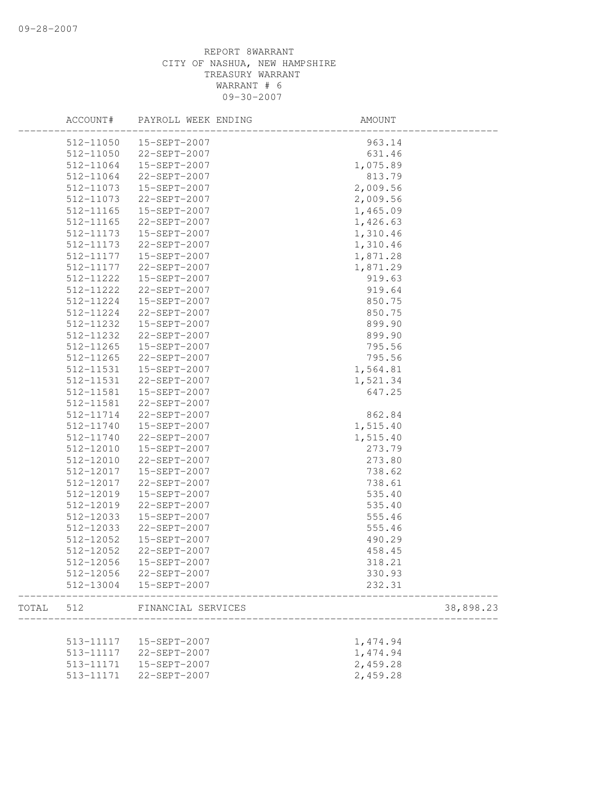|       | ACCOUNT#  | PAYROLL WEEK ENDING     | AMOUNT    |
|-------|-----------|-------------------------|-----------|
|       |           | 512-11050  15-SEPT-2007 | 963.14    |
|       | 512-11050 | 22-SEPT-2007            | 631.46    |
|       | 512-11064 | 15-SEPT-2007            | 1,075.89  |
|       | 512-11064 | 22-SEPT-2007            | 813.79    |
|       | 512-11073 | 15-SEPT-2007            | 2,009.56  |
|       | 512-11073 | 22-SEPT-2007            | 2,009.56  |
|       | 512-11165 | 15-SEPT-2007            | 1,465.09  |
|       | 512-11165 | 22-SEPT-2007            | 1,426.63  |
|       | 512-11173 | 15-SEPT-2007            | 1,310.46  |
|       | 512-11173 | 22-SEPT-2007            | 1,310.46  |
|       | 512-11177 | 15-SEPT-2007            | 1,871.28  |
|       | 512-11177 | 22-SEPT-2007            | 1,871.29  |
|       | 512-11222 | 15-SEPT-2007            | 919.63    |
|       | 512-11222 | 22-SEPT-2007            | 919.64    |
|       | 512-11224 | 15-SEPT-2007            | 850.75    |
|       | 512-11224 | 22-SEPT-2007            | 850.75    |
|       | 512-11232 | 15-SEPT-2007            | 899.90    |
|       | 512-11232 | 22-SEPT-2007            | 899.90    |
|       | 512-11265 | 15-SEPT-2007            | 795.56    |
|       | 512-11265 | 22-SEPT-2007            | 795.56    |
|       | 512-11531 | 15-SEPT-2007            | 1,564.81  |
|       | 512-11531 | 22-SEPT-2007            | 1,521.34  |
|       | 512-11581 | 15-SEPT-2007            | 647.25    |
|       | 512-11581 | 22-SEPT-2007            |           |
|       | 512-11714 | 22-SEPT-2007            |           |
|       |           |                         | 862.84    |
|       | 512-11740 | 15-SEPT-2007            | 1,515.40  |
|       | 512-11740 | 22-SEPT-2007            | 1,515.40  |
|       | 512-12010 | 15-SEPT-2007            | 273.79    |
|       | 512-12010 | 22-SEPT-2007            | 273.80    |
|       | 512-12017 | 15-SEPT-2007            | 738.62    |
|       | 512-12017 | 22-SEPT-2007            | 738.61    |
|       | 512-12019 | 15-SEPT-2007            | 535.40    |
|       | 512-12019 | 22-SEPT-2007            | 535.40    |
|       | 512-12033 | 15-SEPT-2007            | 555.46    |
|       | 512-12033 | 22-SEPT-2007            | 555.46    |
|       | 512-12052 | 15-SEPT-2007            | 490.29    |
|       | 512-12052 | 22-SEPT-2007            | 458.45    |
|       |           | 512-12056  15-SEPT-2007 | 318.21    |
|       | 512-12056 | 22-SEPT-2007            | 330.93    |
|       | 512-13004 | 15-SEPT-2007            | 232.31    |
| TOTAL | 512       | FINANCIAL SERVICES      | 38,898.23 |
|       |           |                         |           |
|       | 513-11117 | 15-SEPT-2007            | 1,474.94  |
|       | 513-11117 | 22-SEPT-2007            | 1,474.94  |
|       | 513-11171 | 15-SEPT-2007            | 2,459.28  |
|       | 513-11171 | 22-SEPT-2007            | 2,459.28  |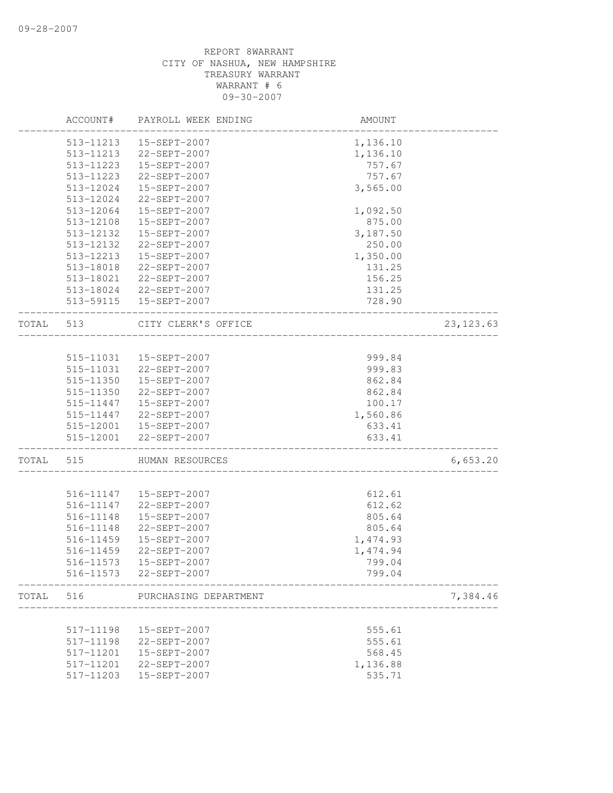|       | ACCOUNT#  | PAYROLL WEEK ENDING      | AMOUNT   |            |
|-------|-----------|--------------------------|----------|------------|
|       | 513-11213 | 15-SEPT-2007             | 1,136.10 |            |
|       | 513-11213 | 22-SEPT-2007             | 1,136.10 |            |
|       | 513-11223 | 15-SEPT-2007             | 757.67   |            |
|       | 513-11223 | 22-SEPT-2007             | 757.67   |            |
|       | 513-12024 | 15-SEPT-2007             | 3,565.00 |            |
|       | 513-12024 | 22-SEPT-2007             |          |            |
|       | 513-12064 | 15-SEPT-2007             | 1,092.50 |            |
|       | 513-12108 | 15-SEPT-2007             | 875.00   |            |
|       | 513-12132 | 15-SEPT-2007             | 3,187.50 |            |
|       | 513-12132 | 22-SEPT-2007             | 250.00   |            |
|       | 513-12213 | 15-SEPT-2007             | 1,350.00 |            |
|       | 513-18018 | 22-SEPT-2007             | 131.25   |            |
|       | 513-18021 | 22-SEPT-2007             | 156.25   |            |
|       | 513-18024 | 22-SEPT-2007             | 131.25   |            |
|       |           | 513-59115   15-SEPT-2007 | 728.90   |            |
| TOTAL | 513       | CITY CLERK'S OFFICE      |          | 23, 123.63 |
|       |           |                          |          |            |
|       | 515-11031 | 15-SEPT-2007             | 999.84   |            |
|       | 515-11031 | 22-SEPT-2007             | 999.83   |            |
|       | 515-11350 | 15-SEPT-2007             | 862.84   |            |
|       | 515-11350 | 22-SEPT-2007             | 862.84   |            |
|       | 515-11447 | 15-SEPT-2007             | 100.17   |            |
|       | 515-11447 | 22-SEPT-2007             | 1,560.86 |            |
|       |           | 515-12001  15-SEPT-2007  | 633.41   |            |
|       |           | 515-12001 22-SEPT-2007   | 633.41   |            |
| TOTAL | 515       | HUMAN RESOURCES          |          | 6,653.20   |
|       |           |                          |          |            |
|       | 516-11147 | 15-SEPT-2007             | 612.61   |            |
|       | 516-11147 | 22-SEPT-2007             | 612.62   |            |
|       | 516-11148 | 15-SEPT-2007             | 805.64   |            |
|       | 516-11148 | 22-SEPT-2007             | 805.64   |            |
|       | 516-11459 | 15-SEPT-2007             | 1,474.93 |            |
|       | 516-11459 | 22-SEPT-2007             | 1,474.94 |            |
|       | 516-11573 | 15-SEPT-2007             | 799.04   |            |
|       | 516-11573 | 22-SEPT-2007             | 799.04   |            |
| TOTAL | 516       | PURCHASING DEPARTMENT    |          | 7,384.46   |
|       |           |                          |          |            |
|       | 517-11198 | 15-SEPT-2007             | 555.61   |            |
|       | 517-11198 | 22-SEPT-2007             | 555.61   |            |
|       | 517-11201 | 15-SEPT-2007             | 568.45   |            |
|       | 517-11201 | 22-SEPT-2007             | 1,136.88 |            |
|       | 517-11203 | 15-SEPT-2007             | 535.71   |            |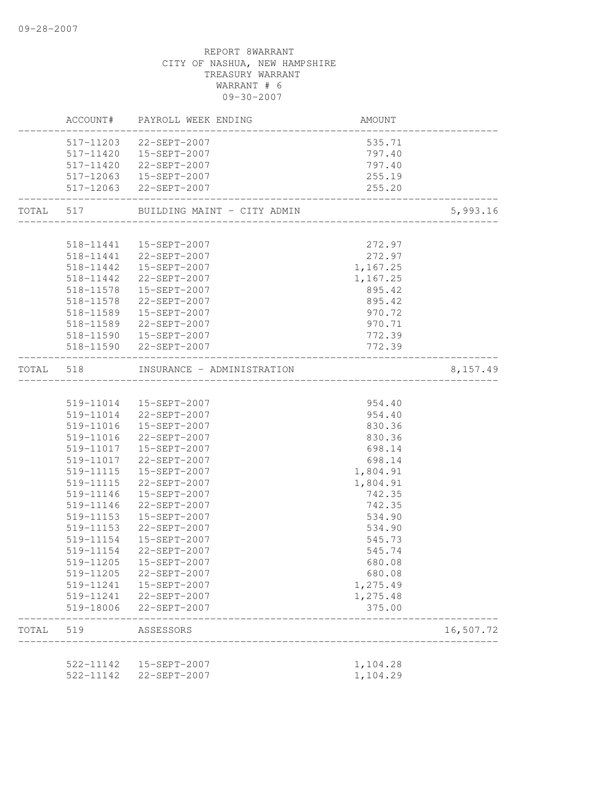|           |           | ACCOUNT# PAYROLL WEEK ENDING          | <b>AMOUNT</b>        |           |
|-----------|-----------|---------------------------------------|----------------------|-----------|
|           |           | 517-11203 22-SEPT-2007                | 535.71               |           |
|           |           | 517-11420  15-SEPT-2007               | 797.40               |           |
|           |           | 517-11420 22-SEPT-2007                | 797.40               |           |
|           |           | 517-12063  15-SEPT-2007               | 255.19               |           |
|           |           | 517-12063 22-SEPT-2007                | 255.20               |           |
|           |           | TOTAL 517 BUILDING MAINT - CITY ADMIN |                      | 5,993.16  |
|           |           |                                       |                      |           |
|           |           | 518-11441   15-SEPT-2007              | 272.97               |           |
|           |           | 518-11441 22-SEPT-2007                | 272.97               |           |
|           |           | 518-11442  15-SEPT-2007               | 1,167.25             |           |
|           |           | 518-11442 22-SEPT-2007                | 1,167.25             |           |
|           | 518-11578 | 15-SEPT-2007                          | 895.42               |           |
|           | 518-11578 | 22-SEPT-2007                          | 895.42               |           |
|           | 518-11589 | 15-SEPT-2007                          | 970.72               |           |
|           | 518-11589 | 22-SEPT-2007                          | 970.71               |           |
|           |           | 518-11590   15-SEPT-2007              | 772.39               |           |
|           |           | 518-11590 22-SEPT-2007                | 772.39               |           |
| TOTAL 518 |           | INSURANCE - ADMINISTRATION            |                      | 8,157.49  |
|           |           |                                       |                      |           |
|           |           | 519-11014  15-SEPT-2007               | 954.40               |           |
|           |           | 519-11014 22-SEPT-2007                | 954.40               |           |
|           |           | 519-11016  15-SEPT-2007               | 830.36               |           |
|           |           | 519-11016 22-SEPT-2007                | 830.36               |           |
|           |           | 519-11017  15-SEPT-2007               | 698.14               |           |
|           |           | 519-11017 22-SEPT-2007                | 698.14               |           |
|           | 519-11115 | 15-SEPT-2007                          | 1,804.91             |           |
|           | 519-11115 | 22-SEPT-2007                          | 1,804.91             |           |
|           | 519-11146 | 15-SEPT-2007                          | 742.35               |           |
|           | 519-11146 | 22-SEPT-2007                          | 742.35               |           |
|           | 519-11153 | 15-SEPT-2007                          | 534.90               |           |
|           | 519-11153 | 22-SEPT-2007                          | 534.90               |           |
|           | 519-11154 | 15-SEPT-2007                          | 545.73               |           |
|           | 519-11154 | 22-SEPT-2007                          | 545.74               |           |
|           |           | 519-11205  15-SEPT-2007               | 680.08               |           |
|           | 519-11205 | 22-SEPT-2007                          | 680.08               |           |
|           | 519-11241 | 15-SEPT-2007                          | 1,275.49             |           |
|           | 519-11241 | 22-SEPT-2007                          | 1,275.48             |           |
|           | 519-18006 | 22-SEPT-2007                          | 375.00               |           |
| TOTAL     | 519       | ASSESSORS                             |                      | 16,507.72 |
|           | 522-11142 | 15-SEPT-2007                          |                      |           |
|           | 522-11142 | 22-SEPT-2007                          | 1,104.28<br>1,104.29 |           |
|           |           |                                       |                      |           |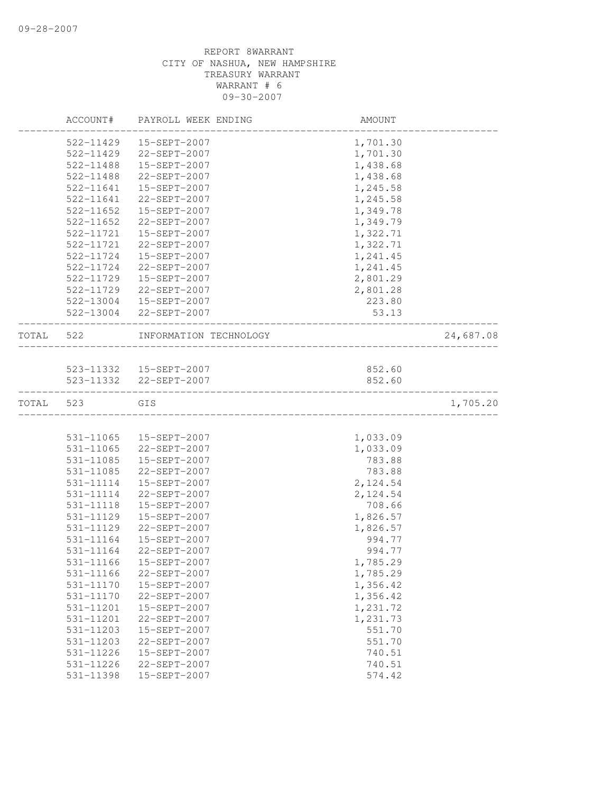|           | ACCOUNT#      | PAYROLL WEEK ENDING      | AMOUNT   |           |
|-----------|---------------|--------------------------|----------|-----------|
|           | 522-11429     | 15-SEPT-2007             | 1,701.30 |           |
|           | 522-11429     | 22-SEPT-2007             | 1,701.30 |           |
|           | 522-11488     | 15-SEPT-2007             | 1,438.68 |           |
|           | 522-11488     | 22-SEPT-2007             | 1,438.68 |           |
|           | 522-11641     | 15-SEPT-2007             | 1,245.58 |           |
|           | 522-11641     | 22-SEPT-2007             | 1,245.58 |           |
|           | 522-11652     | 15-SEPT-2007             | 1,349.78 |           |
|           | $522 - 11652$ | 22-SEPT-2007             | 1,349.79 |           |
|           | 522-11721     | 15-SEPT-2007             | 1,322.71 |           |
|           | 522-11721     | 22-SEPT-2007             | 1,322.71 |           |
|           | 522-11724     | 15-SEPT-2007             | 1,241.45 |           |
|           | 522-11724     | 22-SEPT-2007             | 1,241.45 |           |
|           | 522-11729     | 15-SEPT-2007             | 2,801.29 |           |
|           | 522-11729     | 22-SEPT-2007             | 2,801.28 |           |
|           | 522-13004     | 15-SEPT-2007             | 223.80   |           |
|           | 522-13004     | 22-SEPT-2007             | 53.13    |           |
| TOTAL     | 522           | INFORMATION TECHNOLOGY   |          | 24,687.08 |
|           |               |                          |          |           |
|           |               | 523-11332   15-SEPT-2007 | 852.60   |           |
|           |               | 523-11332 22-SEPT-2007   | 852.60   |           |
| TOTAL 523 |               | GIS                      |          | 1,705.20  |
|           |               |                          |          |           |
|           | 531-11065     | 15-SEPT-2007             | 1,033.09 |           |
|           | 531-11065     | 22-SEPT-2007             | 1,033.09 |           |
|           | 531-11085     | 15-SEPT-2007             | 783.88   |           |
|           | 531-11085     | 22-SEPT-2007             | 783.88   |           |
|           | 531-11114     | 15-SEPT-2007             | 2,124.54 |           |
|           | 531-11114     | 22-SEPT-2007             | 2,124.54 |           |
|           | 531-11118     | 15-SEPT-2007             | 708.66   |           |
|           | 531-11129     | 15-SEPT-2007             | 1,826.57 |           |
|           | 531-11129     | 22-SEPT-2007             | 1,826.57 |           |
|           | 531-11164     | 15-SEPT-2007             | 994.77   |           |
|           | 531-11164     | 22-SEPT-2007             | 994.77   |           |
|           |               | 531-11166   15-SEPT-2007 | 1,785.29 |           |
|           | 531-11166     | 22-SEPT-2007             | 1,785.29 |           |
|           | 531-11170     | 15-SEPT-2007             | 1,356.42 |           |
|           | 531-11170     | 22-SEPT-2007             | 1,356.42 |           |
|           | 531-11201     | 15-SEPT-2007             | 1,231.72 |           |
|           | 531-11201     | 22-SEPT-2007             | 1,231.73 |           |
|           | 531-11203     | 15-SEPT-2007             | 551.70   |           |
|           | 531-11203     | 22-SEPT-2007             | 551.70   |           |
|           | 531-11226     | 15-SEPT-2007             | 740.51   |           |
|           | 531-11226     | 22-SEPT-2007             | 740.51   |           |
|           | 531-11398     | 15-SEPT-2007             | 574.42   |           |
|           |               |                          |          |           |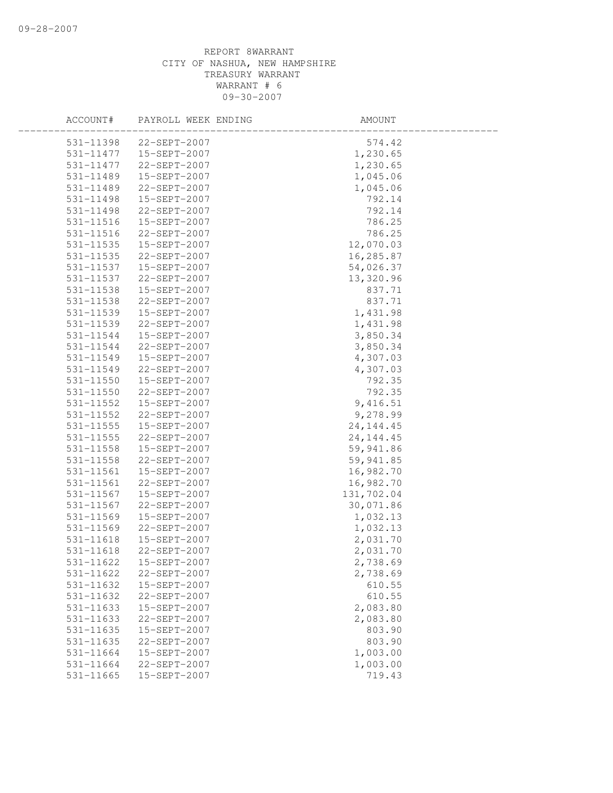| ACCOUNT#      | PAYROLL WEEK ENDING | AMOUNT      |  |
|---------------|---------------------|-------------|--|
| 531-11398     | 22-SEPT-2007        | 574.42      |  |
| 531-11477     | 15-SEPT-2007        | 1,230.65    |  |
| 531-11477     | 22-SEPT-2007        | 1,230.65    |  |
| 531-11489     | 15-SEPT-2007        | 1,045.06    |  |
| 531-11489     | 22-SEPT-2007        | 1,045.06    |  |
| 531-11498     | 15-SEPT-2007        | 792.14      |  |
| 531-11498     | 22-SEPT-2007        | 792.14      |  |
| 531-11516     | 15-SEPT-2007        | 786.25      |  |
| 531-11516     | 22-SEPT-2007        | 786.25      |  |
| 531-11535     | 15-SEPT-2007        | 12,070.03   |  |
| 531-11535     | 22-SEPT-2007        | 16,285.87   |  |
| 531-11537     | 15-SEPT-2007        | 54,026.37   |  |
| 531-11537     | 22-SEPT-2007        | 13,320.96   |  |
| 531-11538     | 15-SEPT-2007        | 837.71      |  |
| 531-11538     | 22-SEPT-2007        | 837.71      |  |
| 531-11539     | 15-SEPT-2007        | 1,431.98    |  |
| 531-11539     | 22-SEPT-2007        | 1,431.98    |  |
| 531-11544     | 15-SEPT-2007        | 3,850.34    |  |
| 531-11544     | 22-SEPT-2007        | 3,850.34    |  |
| 531-11549     | 15-SEPT-2007        | 4,307.03    |  |
| 531-11549     | 22-SEPT-2007        | 4,307.03    |  |
| 531-11550     | 15-SEPT-2007        | 792.35      |  |
| 531-11550     | 22-SEPT-2007        | 792.35      |  |
| 531-11552     | 15-SEPT-2007        | 9,416.51    |  |
| 531-11552     | 22-SEPT-2007        | 9,278.99    |  |
| 531-11555     | 15-SEPT-2007        | 24, 144. 45 |  |
| $531 - 11555$ | 22-SEPT-2007        | 24, 144. 45 |  |
| 531-11558     | 15-SEPT-2007        | 59,941.86   |  |
| 531-11558     | 22-SEPT-2007        | 59,941.85   |  |
| 531-11561     | 15-SEPT-2007        | 16,982.70   |  |
| 531-11561     | 22-SEPT-2007        | 16,982.70   |  |
| 531-11567     | 15-SEPT-2007        | 131,702.04  |  |
| 531-11567     | 22-SEPT-2007        | 30,071.86   |  |
| 531-11569     | 15-SEPT-2007        | 1,032.13    |  |
| 531-11569     | 22-SEPT-2007        | 1,032.13    |  |
| 531-11618     | 15-SEPT-2007        | 2,031.70    |  |
| 531-11618     | 22-SEPT-2007        | 2,031.70    |  |
| 531-11622     | 15-SEPT-2007        | 2,738.69    |  |
| 531-11622     | 22-SEPT-2007        | 2,738.69    |  |
| 531-11632     | 15-SEPT-2007        | 610.55      |  |
| 531-11632     | 22-SEPT-2007        | 610.55      |  |
| 531-11633     | 15-SEPT-2007        | 2,083.80    |  |
| 531-11633     | 22-SEPT-2007        | 2,083.80    |  |
| 531-11635     | 15-SEPT-2007        | 803.90      |  |
| 531-11635     | 22-SEPT-2007        | 803.90      |  |
| 531-11664     | 15-SEPT-2007        | 1,003.00    |  |
| 531-11664     | 22-SEPT-2007        | 1,003.00    |  |
| 531-11665     | 15-SEPT-2007        | 719.43      |  |
|               |                     |             |  |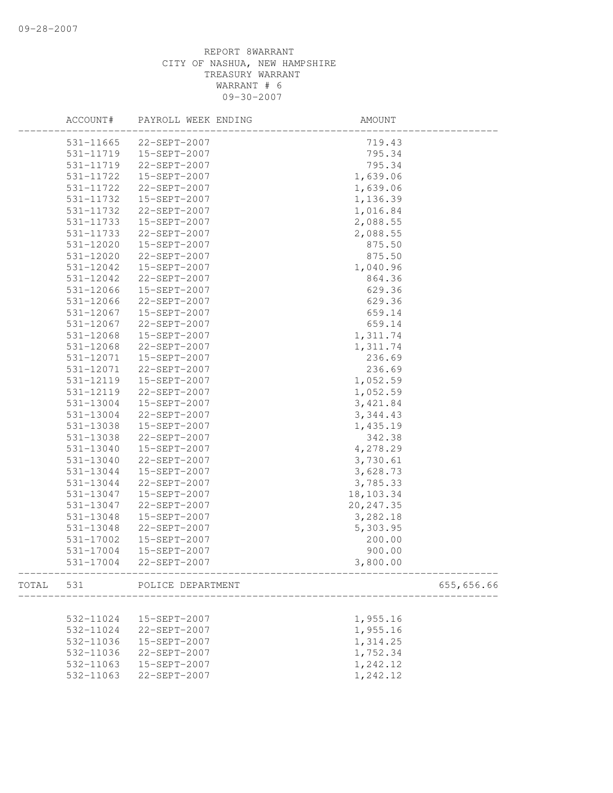|       | ACCOUNT#  | PAYROLL WEEK ENDING | AMOUNT     |            |
|-------|-----------|---------------------|------------|------------|
|       | 531-11665 | 22-SEPT-2007        | 719.43     |            |
|       | 531-11719 | 15-SEPT-2007        | 795.34     |            |
|       | 531-11719 | 22-SEPT-2007        | 795.34     |            |
|       | 531-11722 | 15-SEPT-2007        | 1,639.06   |            |
|       | 531-11722 | 22-SEPT-2007        | 1,639.06   |            |
|       | 531-11732 | 15-SEPT-2007        | 1,136.39   |            |
|       | 531-11732 | 22-SEPT-2007        | 1,016.84   |            |
|       | 531-11733 | 15-SEPT-2007        | 2,088.55   |            |
|       | 531-11733 | 22-SEPT-2007        | 2,088.55   |            |
|       | 531-12020 | 15-SEPT-2007        | 875.50     |            |
|       | 531-12020 | 22-SEPT-2007        | 875.50     |            |
|       | 531-12042 | 15-SEPT-2007        | 1,040.96   |            |
|       | 531-12042 | 22-SEPT-2007        | 864.36     |            |
|       | 531-12066 | 15-SEPT-2007        | 629.36     |            |
|       | 531-12066 | 22-SEPT-2007        | 629.36     |            |
|       | 531-12067 | 15-SEPT-2007        | 659.14     |            |
|       | 531-12067 | 22-SEPT-2007        | 659.14     |            |
|       | 531-12068 | 15-SEPT-2007        | 1,311.74   |            |
|       | 531-12068 | 22-SEPT-2007        | 1,311.74   |            |
|       | 531-12071 | 15-SEPT-2007        | 236.69     |            |
|       | 531-12071 | 22-SEPT-2007        | 236.69     |            |
|       | 531-12119 | 15-SEPT-2007        | 1,052.59   |            |
|       | 531-12119 | 22-SEPT-2007        | 1,052.59   |            |
|       | 531-13004 | 15-SEPT-2007        | 3,421.84   |            |
|       | 531-13004 | 22-SEPT-2007        | 3, 344.43  |            |
|       | 531-13038 | 15-SEPT-2007        | 1,435.19   |            |
|       | 531-13038 | 22-SEPT-2007        | 342.38     |            |
|       | 531-13040 | 15-SEPT-2007        | 4,278.29   |            |
|       | 531-13040 | 22-SEPT-2007        | 3,730.61   |            |
|       | 531-13044 | 15-SEPT-2007        | 3,628.73   |            |
|       | 531-13044 | 22-SEPT-2007        | 3,785.33   |            |
|       | 531-13047 | 15-SEPT-2007        | 18,103.34  |            |
|       | 531-13047 | 22-SEPT-2007        | 20, 247.35 |            |
|       | 531-13048 | 15-SEPT-2007        | 3,282.18   |            |
|       | 531-13048 | 22-SEPT-2007        | 5,303.95   |            |
|       | 531-17002 | 15-SEPT-2007        | 200.00     |            |
|       | 531-17004 | 15-SEPT-2007        | 900.00     |            |
|       | 531-17004 | 22-SEPT-2007        | 3,800.00   |            |
| TOTAL | 531       | POLICE DEPARTMENT   |            | 655,656.66 |
|       |           |                     |            |            |
|       | 532-11024 | 15-SEPT-2007        | 1,955.16   |            |
|       | 532-11024 | 22-SEPT-2007        | 1,955.16   |            |
|       | 532-11036 | 15-SEPT-2007        | 1,314.25   |            |
|       | 532-11036 | 22-SEPT-2007        | 1,752.34   |            |
|       | 532-11063 | 15-SEPT-2007        | 1,242.12   |            |
|       | 532-11063 | 22-SEPT-2007        | 1,242.12   |            |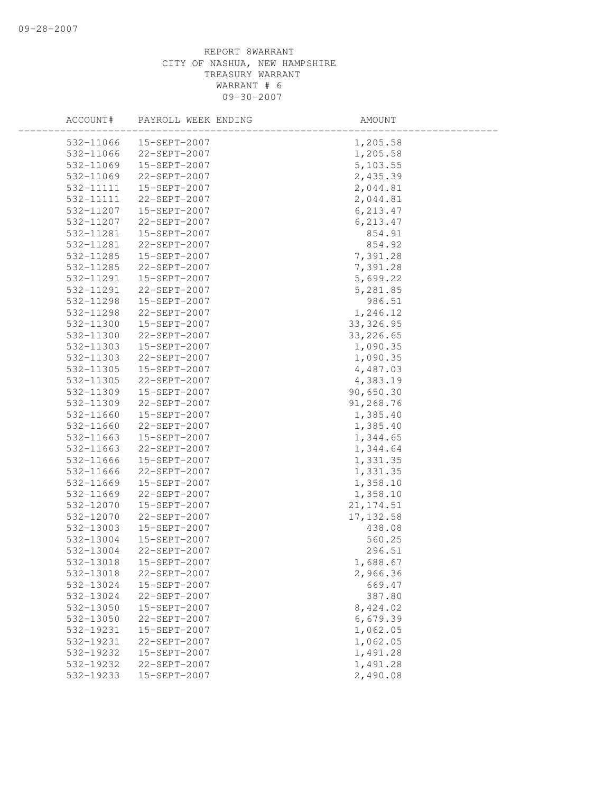| ACCOUNT#  | PAYROLL WEEK ENDING | AMOUNT     |  |
|-----------|---------------------|------------|--|
| 532-11066 | 15-SEPT-2007        | 1,205.58   |  |
| 532-11066 | 22-SEPT-2007        | 1,205.58   |  |
| 532-11069 | 15-SEPT-2007        | 5,103.55   |  |
| 532-11069 | 22-SEPT-2007        | 2,435.39   |  |
| 532-11111 | 15-SEPT-2007        | 2,044.81   |  |
| 532-11111 | 22-SEPT-2007        | 2,044.81   |  |
| 532-11207 | 15-SEPT-2007        | 6, 213.47  |  |
| 532-11207 | 22-SEPT-2007        | 6, 213.47  |  |
| 532-11281 | 15-SEPT-2007        | 854.91     |  |
| 532-11281 | 22-SEPT-2007        | 854.92     |  |
| 532-11285 | 15-SEPT-2007        | 7,391.28   |  |
| 532-11285 | 22-SEPT-2007        | 7,391.28   |  |
| 532-11291 | 15-SEPT-2007        | 5,699.22   |  |
| 532-11291 | 22-SEPT-2007        | 5,281.85   |  |
| 532-11298 | 15-SEPT-2007        | 986.51     |  |
| 532-11298 | 22-SEPT-2007        | 1,246.12   |  |
| 532-11300 | 15-SEPT-2007        | 33, 326.95 |  |
| 532-11300 | 22-SEPT-2007        | 33, 226.65 |  |
| 532-11303 | 15-SEPT-2007        | 1,090.35   |  |
| 532-11303 | 22-SEPT-2007        | 1,090.35   |  |
| 532-11305 | 15-SEPT-2007        | 4,487.03   |  |
| 532-11305 | 22-SEPT-2007        | 4,383.19   |  |
| 532-11309 | 15-SEPT-2007        | 90,650.30  |  |
| 532-11309 | 22-SEPT-2007        | 91,268.76  |  |
| 532-11660 | 15-SEPT-2007        | 1,385.40   |  |
| 532-11660 | 22-SEPT-2007        | 1,385.40   |  |
| 532-11663 | 15-SEPT-2007        | 1,344.65   |  |
| 532-11663 | 22-SEPT-2007        | 1,344.64   |  |
| 532-11666 | 15-SEPT-2007        | 1,331.35   |  |
| 532-11666 | 22-SEPT-2007        | 1,331.35   |  |
| 532-11669 | 15-SEPT-2007        | 1,358.10   |  |
| 532-11669 | 22-SEPT-2007        | 1,358.10   |  |
| 532-12070 | 15-SEPT-2007        | 21, 174.51 |  |
| 532-12070 | 22-SEPT-2007        | 17, 132.58 |  |
| 532-13003 | 15-SEPT-2007        | 438.08     |  |
| 532-13004 | 15-SEPT-2007        | 560.25     |  |
| 532-13004 | 22-SEPT-2007        | 296.51     |  |
| 532-13018 | 15-SEPT-2007        | 1,688.67   |  |
| 532-13018 | 22-SEPT-2007        | 2,966.36   |  |
| 532-13024 | 15-SEPT-2007        | 669.47     |  |
| 532-13024 | 22-SEPT-2007        | 387.80     |  |
| 532-13050 | 15-SEPT-2007        | 8,424.02   |  |
| 532-13050 | 22-SEPT-2007        | 6,679.39   |  |
| 532-19231 | 15-SEPT-2007        | 1,062.05   |  |
| 532-19231 | 22-SEPT-2007        | 1,062.05   |  |
| 532-19232 | 15-SEPT-2007        | 1,491.28   |  |
| 532-19232 | 22-SEPT-2007        | 1,491.28   |  |
| 532-19233 | 15-SEPT-2007        | 2,490.08   |  |
|           |                     |            |  |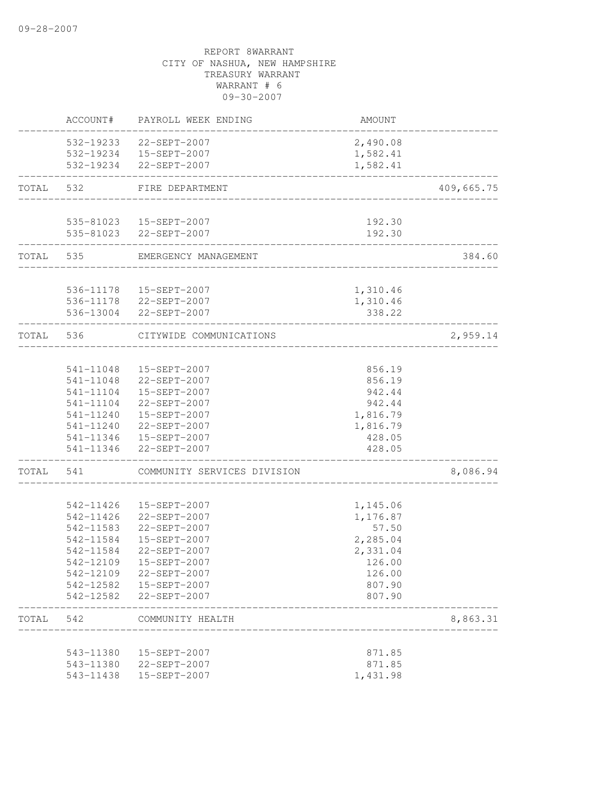|           |           | ACCOUNT# PAYROLL WEEK ENDING | AMOUNT   |            |
|-----------|-----------|------------------------------|----------|------------|
|           |           | 532-19233 22-SEPT-2007       | 2,490.08 |            |
|           |           | 532-19234  15-SEPT-2007      | 1,582.41 |            |
|           |           | 532-19234 22-SEPT-2007       | 1,582.41 |            |
| TOTAL 532 |           | FIRE DEPARTMENT              |          | 409,665.75 |
|           |           |                              |          |            |
|           |           | 535-81023   15-SEPT-2007     | 192.30   |            |
|           |           | 535-81023 22-SEPT-2007       | 192.30   |            |
|           | TOTAL 535 | EMERGENCY MANAGEMENT         |          | 384.60     |
|           |           | 536-11178  15-SEPT-2007      | 1,310.46 |            |
|           |           | 536-11178 22-SEPT-2007       | 1,310.46 |            |
|           |           | 536-13004 22-SEPT-2007       | 338.22   |            |
| TOTAL 536 |           | CITYWIDE COMMUNICATIONS      |          | 2,959.14   |
|           |           | _______________              |          |            |
|           |           | 541-11048  15-SEPT-2007      | 856.19   |            |
|           |           | 541-11048 22-SEPT-2007       | 856.19   |            |
|           |           | 541-11104  15-SEPT-2007      | 942.44   |            |
|           | 541-11104 | 22-SEPT-2007                 | 942.44   |            |
|           | 541-11240 | 15-SEPT-2007                 | 1,816.79 |            |
|           | 541-11240 | 22-SEPT-2007                 | 1,816.79 |            |
|           |           | 541-11346  15-SEPT-2007      | 428.05   |            |
|           |           | 541-11346 22-SEPT-2007       | 428.05   |            |
| TOTAL     | 541       | COMMUNITY SERVICES DIVISION  |          | 8,086.94   |
|           | 542-11426 | 15-SEPT-2007                 | 1,145.06 |            |
|           | 542-11426 | 22-SEPT-2007                 | 1,176.87 |            |
|           | 542-11583 | 22-SEPT-2007                 | 57.50    |            |
|           | 542-11584 | 15-SEPT-2007                 | 2,285.04 |            |
|           | 542-11584 | 22-SEPT-2007                 | 2,331.04 |            |
|           | 542-12109 | 15-SEPT-2007                 | 126.00   |            |
|           | 542-12109 | 22-SEPT-2007                 | 126.00   |            |
|           |           | 542-12582  15-SEPT-2007      | 807.90   |            |
|           |           | 542-12582 22-SEPT-2007       | 807.90   |            |
| TOTAL 542 |           | COMMUNITY HEALTH             |          | 8,863.31   |
|           |           |                              |          |            |
|           | 543-11380 | 15-SEPT-2007                 | 871.85   |            |
|           |           | 543-11380 22-SEPT-2007       | 871.85   |            |
|           | 543-11438 | 15-SEPT-2007                 | 1,431.98 |            |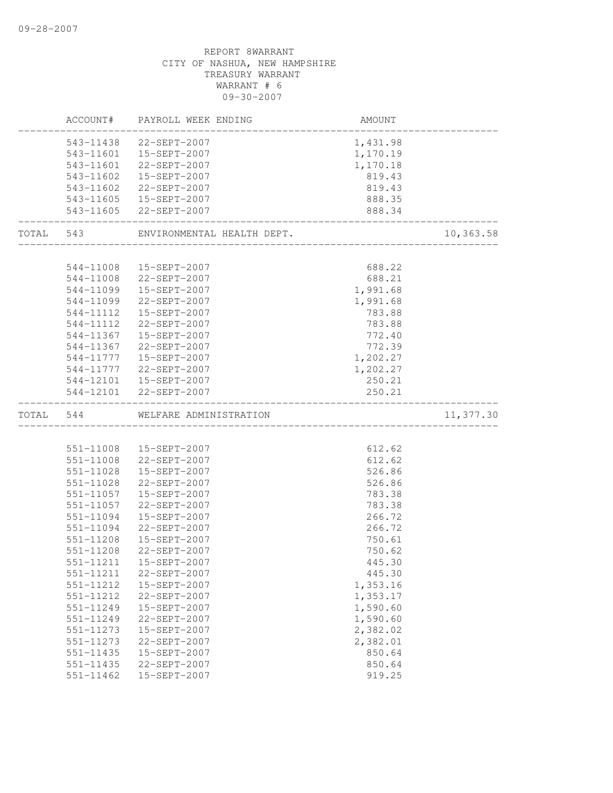|           | ACCOUNT#      | PAYROLL WEEK ENDING        | AMOUNT   |           |
|-----------|---------------|----------------------------|----------|-----------|
|           |               | 543-11438 22-SEPT-2007     | 1,431.98 |           |
|           |               | 543-11601  15-SEPT-2007    | 1,170.19 |           |
|           | 543-11601     | 22-SEPT-2007               | 1,170.18 |           |
|           | 543-11602     | 15-SEPT-2007               | 819.43   |           |
|           | 543-11602     | 22-SEPT-2007               | 819.43   |           |
|           |               | 543-11605  15-SEPT-2007    | 888.35   |           |
|           |               | 543-11605 22-SEPT-2007     | 888.34   |           |
| TOTAL 543 |               | ENVIRONMENTAL HEALTH DEPT. |          | 10,363.58 |
|           |               |                            |          |           |
|           | 544-11008     | 15-SEPT-2007               | 688.22   |           |
|           | 544-11008     | 22-SEPT-2007               | 688.21   |           |
|           | 544-11099     | 15-SEPT-2007               | 1,991.68 |           |
|           | 544-11099     | 22-SEPT-2007               | 1,991.68 |           |
|           | 544-11112     | 15-SEPT-2007               | 783.88   |           |
|           | 544-11112     | 22-SEPT-2007               | 783.88   |           |
|           | 544-11367     | 15-SEPT-2007               | 772.40   |           |
|           | 544-11367     | 22-SEPT-2007               | 772.39   |           |
|           |               | 544-11777   15-SEPT-2007   | 1,202.27 |           |
|           |               | 544-11777 22-SEPT-2007     | 1,202.27 |           |
|           |               | 544-12101  15-SEPT-2007    | 250.21   |           |
|           |               | 544-12101 22-SEPT-2007     | 250.21   |           |
| TOTAL 544 |               | WELFARE ADMINISTRATION     |          | 11,377.30 |
|           |               |                            |          |           |
|           |               | 551-11008  15-SEPT-2007    | 612.62   |           |
|           | $551 - 11008$ | 22-SEPT-2007               | 612.62   |           |
|           | 551-11028     | 15-SEPT-2007               | 526.86   |           |
|           | 551-11028     | 22-SEPT-2007               | 526.86   |           |
|           | 551-11057     | 15-SEPT-2007               | 783.38   |           |
|           | 551-11057     | 22-SEPT-2007               | 783.38   |           |
|           | 551-11094     | 15-SEPT-2007               | 266.72   |           |
|           | 551-11094     | 22-SEPT-2007               | 266.72   |           |
|           | 551-11208     | 15-SEPT-2007               | 750.61   |           |
|           | 551-11208     | 22-SEPT-2007               | 750.62   |           |
|           | 551-11211     | 15-SEPT-2007               | 445.30   |           |
|           | 551-11211     | 22-SEPT-2007               | 445.30   |           |
|           | 551-11212     | 15-SEPT-2007               | 1,353.16 |           |
|           | 551-11212     | 22-SEPT-2007               | 1,353.17 |           |
|           | 551-11249     | 15-SEPT-2007               | 1,590.60 |           |
|           | 551-11249     | 22-SEPT-2007               | 1,590.60 |           |
|           | 551-11273     | 15-SEPT-2007               | 2,382.02 |           |
|           | 551-11273     | 22-SEPT-2007               | 2,382.01 |           |
|           | 551-11435     | 15-SEPT-2007               | 850.64   |           |
|           | 551-11435     | 22-SEPT-2007               | 850.64   |           |
|           | $551 - 11462$ | 15-SEPT-2007               | 919.25   |           |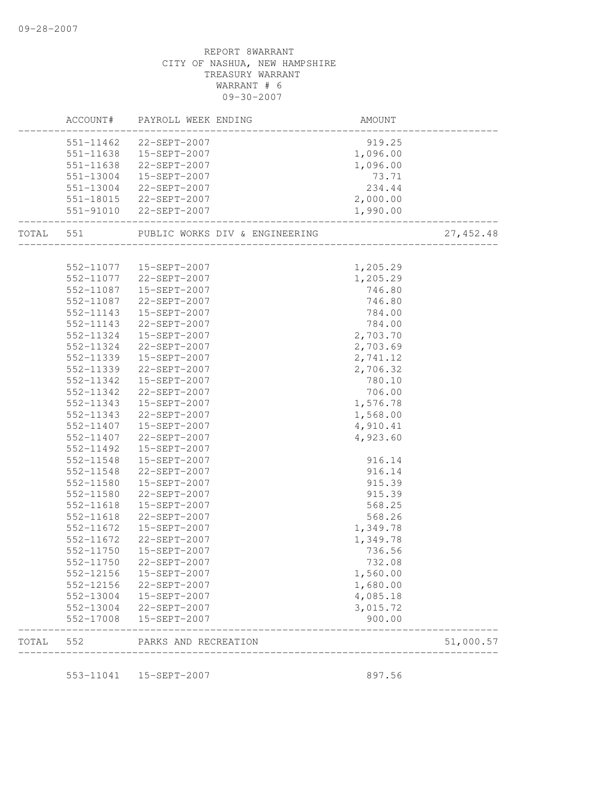|           | 551-11638              | 551-11638  15-SEPT-2007<br>22-SEPT-2007 | 1,096.00<br>1,096.00 |            |
|-----------|------------------------|-----------------------------------------|----------------------|------------|
|           | 551-13004              | 15-SEPT-2007                            | 73.71                |            |
|           | 551-13004              | 22-SEPT-2007                            | 234.44               |            |
|           |                        | 551-18015 22-SEPT-2007                  | 2,000.00             |            |
|           | _________________      | 551-91010 22-SEPT-2007                  | 1,990.00             |            |
| TOTAL 551 |                        | PUBLIC WORKS DIV & ENGINEERING          |                      | 27, 452.48 |
|           |                        | 552-11077  15-SEPT-2007                 | 1,205.29             |            |
|           |                        | 552-11077 22-SEPT-2007                  | 1,205.29             |            |
|           | 552-11087              | 15-SEPT-2007                            | 746.80               |            |
|           | 552-11087              | 22-SEPT-2007                            | 746.80               |            |
|           | 552-11143              | 15-SEPT-2007                            | 784.00               |            |
|           | 552-11143              | 22-SEPT-2007                            | 784.00               |            |
|           | 552-11324              | 15-SEPT-2007                            | 2,703.70             |            |
|           | 552-11324              | 22-SEPT-2007                            | 2,703.69             |            |
|           | 552-11339              | 15-SEPT-2007                            | 2,741.12             |            |
|           | 552-11339              | 22-SEPT-2007                            | 2,706.32             |            |
|           | 552-11342              | 15-SEPT-2007                            | 780.10               |            |
|           | 552-11342              | 22-SEPT-2007                            | 706.00               |            |
|           | 552-11343              | 15-SEPT-2007                            | 1,576.78             |            |
|           | 552-11343              | 22-SEPT-2007                            | 1,568.00             |            |
|           | 552-11407              | 15-SEPT-2007                            | 4,910.41             |            |
|           | 552-11407              | 22-SEPT-2007                            | 4,923.60             |            |
|           | 552-11492              | 15-SEPT-2007                            |                      |            |
|           | 552-11548              | 15-SEPT-2007                            | 916.14               |            |
|           | 552-11548              | 22-SEPT-2007                            | 916.14               |            |
|           | 552-11580              | 15-SEPT-2007                            | 915.39               |            |
|           | 552-11580              | 22-SEPT-2007<br>15-SEPT-2007            | 915.39               |            |
|           | 552-11618              |                                         | 568.25               |            |
|           | 552-11618<br>552-11672 | 22-SEPT-2007<br>15-SEPT-2007            | 568.26<br>1,349.78   |            |
|           | 552-11672              | 22-SEPT-2007                            | 1,349.78             |            |
|           | 552-11750              | 15-SEPT-2007                            | 736.56               |            |
|           | $552 - 11750$          | 22-SEPT-2007                            | 732.08               |            |
|           | 552-12156              | 15-SEPT-2007                            | 1,560.00             |            |
|           | 552-12156              | 22-SEPT-2007                            | 1,680.00             |            |
|           | 552-13004              | 15-SEPT-2007                            | 4,085.18             |            |
|           | 552-13004              | 22-SEPT-2007                            | 3,015.72             |            |
|           | 552-17008              | 15-SEPT-2007                            | 900.00               |            |
| TOTAL     | 552                    | PARKS AND RECREATION                    |                      | 51,000.57  |

553-11041 15-SEPT-2007 897.56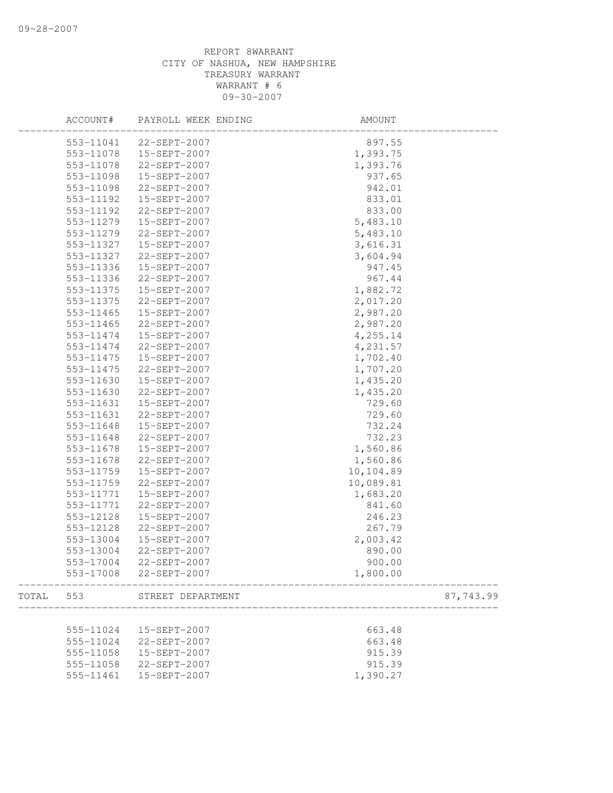|       | ACCOUNT#  | PAYROLL WEEK ENDING    | AMOUNT    |           |
|-------|-----------|------------------------|-----------|-----------|
|       | 553-11041 | 22-SEPT-2007           | 897.55    |           |
|       | 553-11078 | 15-SEPT-2007           | 1,393.75  |           |
|       | 553-11078 | 22-SEPT-2007           | 1,393.76  |           |
|       | 553-11098 | 15-SEPT-2007           | 937.65    |           |
|       | 553-11098 | 22-SEPT-2007           | 942.01    |           |
|       | 553-11192 | 15-SEPT-2007           | 833.01    |           |
|       | 553-11192 | 22-SEPT-2007           | 833.00    |           |
|       | 553-11279 | 15-SEPT-2007           | 5,483.10  |           |
|       | 553-11279 | 22-SEPT-2007           | 5,483.10  |           |
|       | 553-11327 | 15-SEPT-2007           | 3,616.31  |           |
|       | 553-11327 | 22-SEPT-2007           | 3,604.94  |           |
|       | 553-11336 | 15-SEPT-2007           | 947.45    |           |
|       | 553-11336 | 22-SEPT-2007           | 967.44    |           |
|       | 553-11375 | 15-SEPT-2007           | 1,882.72  |           |
|       | 553-11375 | 22-SEPT-2007           | 2,017.20  |           |
|       | 553-11465 | 15-SEPT-2007           | 2,987.20  |           |
|       | 553-11465 | 22-SEPT-2007           | 2,987.20  |           |
|       | 553-11474 | 15-SEPT-2007           | 4,255.14  |           |
|       | 553-11474 | 22-SEPT-2007           | 4,231.57  |           |
|       | 553-11475 | 15-SEPT-2007           | 1,702.40  |           |
|       | 553-11475 | 22-SEPT-2007           | 1,707.20  |           |
|       | 553-11630 | 15-SEPT-2007           | 1,435.20  |           |
|       | 553-11630 | 22-SEPT-2007           | 1,435.20  |           |
|       | 553-11631 | 15-SEPT-2007           | 729.60    |           |
|       | 553-11631 | 22-SEPT-2007           | 729.60    |           |
|       | 553-11648 | 15-SEPT-2007           | 732.24    |           |
|       | 553-11648 | 22-SEPT-2007           | 732.23    |           |
|       | 553-11678 |                        |           |           |
|       |           | 15-SEPT-2007           | 1,560.86  |           |
|       | 553-11678 | 22-SEPT-2007           | 1,560.86  |           |
|       | 553-11759 | 15-SEPT-2007           | 10,104.89 |           |
|       | 553-11759 | 22-SEPT-2007           | 10,089.81 |           |
|       | 553-11771 | 15-SEPT-2007           | 1,683.20  |           |
|       | 553-11771 | 22-SEPT-2007           | 841.60    |           |
|       | 553-12128 | 15-SEPT-2007           | 246.23    |           |
|       | 553-12128 | 22-SEPT-2007           | 267.79    |           |
|       | 553-13004 | 15-SEPT-2007           | 2,003.42  |           |
|       | 553-13004 | 22-SEPT-2007           | 890.00    |           |
|       | 553-17004 | $22-SEPT-2007$         | 900.00    |           |
|       |           | 553-17008 22-SEPT-2007 | 1,800.00  |           |
| TOTAL | 553       | STREET DEPARTMENT      |           | 87,743.99 |
|       |           |                        |           |           |
|       | 555-11024 | 15-SEPT-2007           | 663.48    |           |
|       | 555-11024 | 22-SEPT-2007           | 663.48    |           |
|       | 555-11058 | 15-SEPT-2007           | 915.39    |           |
|       | 555-11058 | 22-SEPT-2007           | 915.39    |           |
|       | 555-11461 | 15-SEPT-2007           | 1,390.27  |           |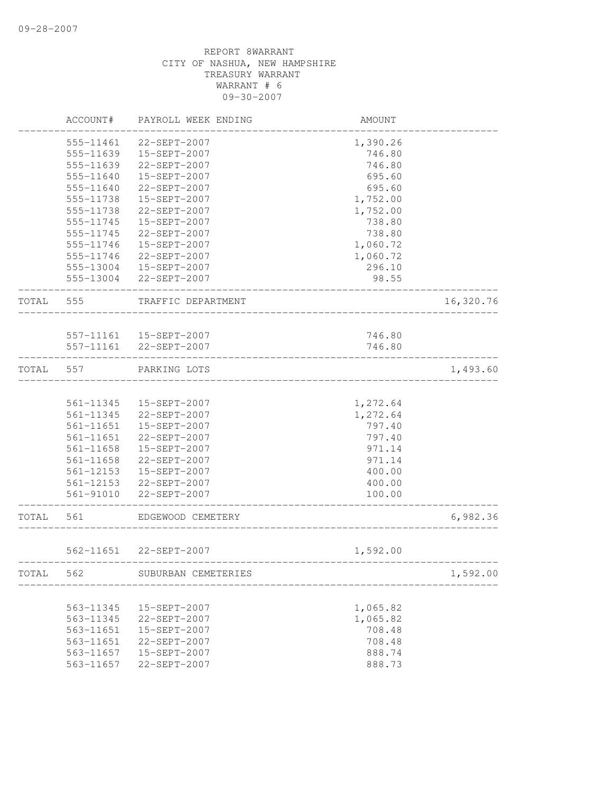|       | ACCOUNT#  | PAYROLL WEEK ENDING     | AMOUNT   |           |
|-------|-----------|-------------------------|----------|-----------|
|       | 555-11461 | 22-SEPT-2007            | 1,390.26 |           |
|       | 555-11639 | 15-SEPT-2007            | 746.80   |           |
|       | 555-11639 | 22-SEPT-2007            | 746.80   |           |
|       | 555-11640 | 15-SEPT-2007            | 695.60   |           |
|       | 555-11640 | 22-SEPT-2007            | 695.60   |           |
|       | 555-11738 | 15-SEPT-2007            | 1,752.00 |           |
|       | 555-11738 | 22-SEPT-2007            | 1,752.00 |           |
|       | 555-11745 | 15-SEPT-2007            | 738.80   |           |
|       | 555-11745 | 22-SEPT-2007            | 738.80   |           |
|       | 555-11746 | 15-SEPT-2007            | 1,060.72 |           |
|       | 555-11746 | 22-SEPT-2007            | 1,060.72 |           |
|       |           | 555-13004 15-SEPT-2007  | 296.10   |           |
|       |           | 555-13004 22-SEPT-2007  | 98.55    |           |
| TOTAL | 555       | TRAFFIC DEPARTMENT      |          | 16,320.76 |
|       |           |                         |          |           |
|       |           | 557-11161  15-SEPT-2007 | 746.80   |           |
|       |           | 557-11161 22-SEPT-2007  | 746.80   |           |
| TOTAL | 557       | PARKING LOTS            |          | 1,493.60  |
|       |           |                         |          |           |
|       | 561-11345 | 15-SEPT-2007            | 1,272.64 |           |
|       | 561-11345 | 22-SEPT-2007            | 1,272.64 |           |
|       | 561-11651 | 15-SEPT-2007            | 797.40   |           |
|       | 561-11651 | 22-SEPT-2007            | 797.40   |           |
|       | 561-11658 | 15-SEPT-2007            | 971.14   |           |
|       | 561-11658 | 22-SEPT-2007            | 971.14   |           |
|       | 561-12153 | 15-SEPT-2007            | 400.00   |           |
|       | 561-12153 | 22-SEPT-2007            | 400.00   |           |
|       | 561-91010 | 22-SEPT-2007            | 100.00   |           |
| TOTAL | 561       | EDGEWOOD CEMETERY       |          | 6,982.36  |
|       |           | 562-11651 22-SEPT-2007  | 1,592.00 |           |
| TOTAL | 562       | SUBURBAN CEMETERIES     |          | 1,592.00  |
|       |           |                         |          |           |
|       | 563-11345 | 15-SEPT-2007            | 1,065.82 |           |
|       | 563-11345 | 22-SEPT-2007            | 1,065.82 |           |
|       | 563-11651 | 15-SEPT-2007            | 708.48   |           |
|       | 563-11651 | 22-SEPT-2007            | 708.48   |           |
|       | 563-11657 | 15-SEPT-2007            | 888.74   |           |
|       | 563-11657 | 22-SEPT-2007            | 888.73   |           |
|       |           |                         |          |           |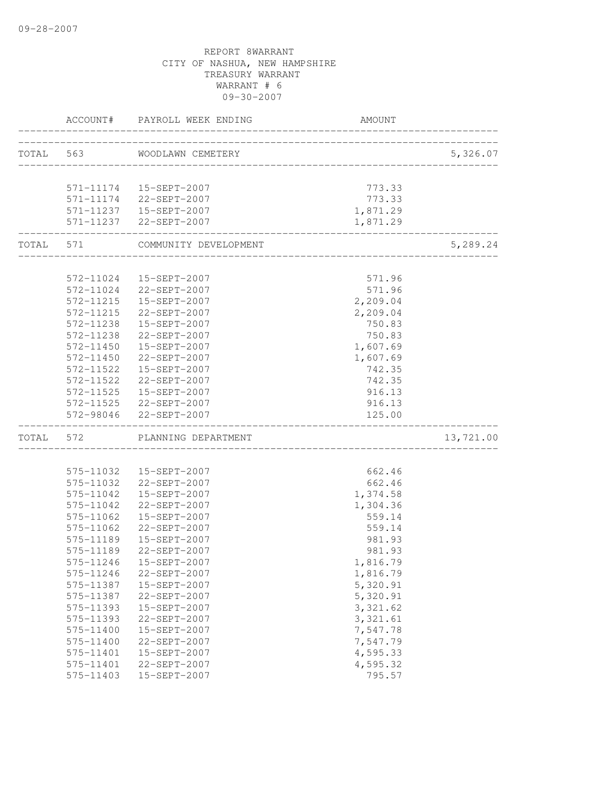|           |                        | ACCOUNT# PAYROLL WEEK ENDING                               | AMOUNT                              |           |
|-----------|------------------------|------------------------------------------------------------|-------------------------------------|-----------|
| TOTAL 563 |                        | WOODLAWN CEMETERY                                          |                                     | 5,326.07  |
|           |                        |                                                            | ___________________________________ |           |
|           |                        | 571-11174   15-SEPT-2007                                   | 773.33                              |           |
|           |                        | 571-11174 22-SEPT-2007                                     | 773.33                              |           |
|           |                        | 571-11237   15-SEPT-2007                                   | 1,871.29                            |           |
|           |                        | 571-11237 22-SEPT-2007                                     | 1,871.29                            |           |
| TOTAL 571 |                        | COMMUNITY DEVELOPMENT                                      | _______________________             | 5,289.24  |
|           |                        |                                                            |                                     |           |
|           |                        | 572-11024  15-SEPT-2007                                    | 571.96                              |           |
|           |                        | 572-11024 22-SEPT-2007                                     | 571.96                              |           |
|           | 572-11215              | 15-SEPT-2007                                               | 2,209.04                            |           |
|           | 572-11215<br>572-11238 | 22-SEPT-2007<br>15-SEPT-2007                               | 2,209.04<br>750.83                  |           |
|           | 572-11238              | 22-SEPT-2007                                               | 750.83                              |           |
|           | 572-11450              | 15-SEPT-2007                                               | 1,607.69                            |           |
|           | 572-11450              | 22-SEPT-2007                                               | 1,607.69                            |           |
|           | 572-11522              | 15-SEPT-2007                                               | 742.35                              |           |
|           |                        | 572-11522 22-SEPT-2007                                     | 742.35                              |           |
|           |                        | 572-11525  15-SEPT-2007                                    | 916.13                              |           |
|           |                        | 572-11525 22-SEPT-2007                                     | 916.13                              |           |
|           |                        | 572-98046 22-SEPT-2007                                     | 125.00                              |           |
| TOTAL 572 |                        | PLANNING DEPARTMENT<br>___________________________________ |                                     | 13,721.00 |
|           |                        |                                                            |                                     |           |
|           |                        | 575-11032  15-SEPT-2007                                    | 662.46                              |           |
|           |                        | 575-11032 22-SEPT-2007                                     | 662.46                              |           |
|           | 575-11042              | 15-SEPT-2007                                               | 1,374.58                            |           |
|           | 575-11042              | 22-SEPT-2007                                               | 1,304.36                            |           |
|           | 575-11062              | 15-SEPT-2007                                               | 559.14                              |           |
|           | 575-11062              | 22-SEPT-2007                                               | 559.14                              |           |
|           | 575-11189              | 15-SEPT-2007                                               | 981.93                              |           |
|           | 575-11189              | 22-SEPT-2007                                               | 981.93                              |           |
|           | 575-11246              | 15-SEPT-2007                                               | 1,816.79                            |           |
|           | 575-11246              | 22-SEPT-2007                                               | 1,816.79                            |           |
|           | 575-11387              | 15-SEPT-2007                                               | 5,320.91                            |           |
|           | 575-11387              | 22-SEPT-2007                                               | 5,320.91                            |           |
|           | 575-11393              | 15-SEPT-2007                                               | 3,321.62                            |           |
|           | 575-11393              | 22-SEPT-2007                                               | 3,321.61                            |           |
|           | 575-11400              | 15-SEPT-2007                                               | 7,547.78                            |           |
|           | 575-11400              | 22-SEPT-2007                                               | 7,547.79<br>4,595.33                |           |
|           | 575-11401<br>575-11401 | 15-SEPT-2007<br>22-SEPT-2007                               | 4,595.32                            |           |
|           | 575-11403              | 15-SEPT-2007                                               | 795.57                              |           |
|           |                        |                                                            |                                     |           |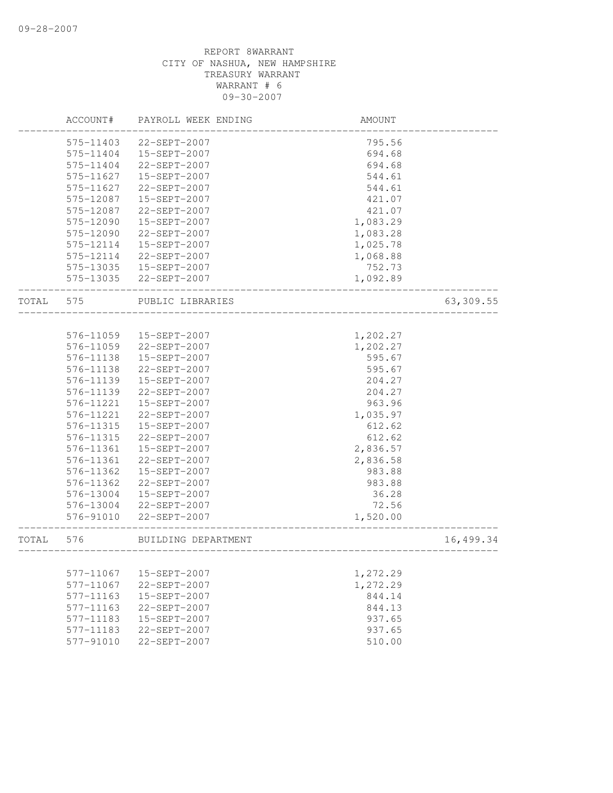|       | ACCOUNT#               | PAYROLL WEEK ENDING          | AMOUNT           |           |
|-------|------------------------|------------------------------|------------------|-----------|
|       | 575-11403              | 22-SEPT-2007                 | 795.56           |           |
|       | 575-11404              | 15-SEPT-2007                 | 694.68           |           |
|       | 575-11404              | 22-SEPT-2007                 | 694.68           |           |
|       | 575-11627              | 15-SEPT-2007                 | 544.61           |           |
|       | 575-11627              | 22-SEPT-2007                 | 544.61           |           |
|       | 575-12087              | 15-SEPT-2007                 | 421.07           |           |
|       | 575-12087              | 22-SEPT-2007                 | 421.07           |           |
|       | 575-12090              | 15-SEPT-2007                 | 1,083.29         |           |
|       | 575-12090              | 22-SEPT-2007                 | 1,083.28         |           |
|       | 575-12114              | 15-SEPT-2007                 | 1,025.78         |           |
|       | 575-12114              | 22-SEPT-2007                 | 1,068.88         |           |
|       | 575-13035              | 15-SEPT-2007                 | 752.73           |           |
|       | 575-13035              | 22-SEPT-2007                 | 1,092.89         |           |
| TOTAL | 575                    | PUBLIC LIBRARIES             |                  | 63,309.55 |
|       |                        |                              |                  |           |
|       | 576-11059              | 15-SEPT-2007                 | 1,202.27         |           |
|       | 576-11059              | 22-SEPT-2007                 | 1,202.27         |           |
|       | 576-11138<br>576-11138 | 15-SEPT-2007                 | 595.67           |           |
|       | 576-11139              | 22-SEPT-2007                 | 595.67           |           |
|       | 576-11139              | 15-SEPT-2007<br>22-SEPT-2007 | 204.27<br>204.27 |           |
|       | 576-11221              | 15-SEPT-2007                 | 963.96           |           |
|       | 576-11221              | 22-SEPT-2007                 | 1,035.97         |           |
|       | 576-11315              | 15-SEPT-2007                 | 612.62           |           |
|       | 576-11315              | 22-SEPT-2007                 | 612.62           |           |
|       | 576-11361              | 15-SEPT-2007                 | 2,836.57         |           |
|       | 576-11361              | 22-SEPT-2007                 | 2,836.58         |           |
|       | 576-11362              | 15-SEPT-2007                 | 983.88           |           |
|       | 576-11362              | 22-SEPT-2007                 | 983.88           |           |
|       | 576-13004              | 15-SEPT-2007                 | 36.28            |           |
|       | 576-13004              | 22-SEPT-2007                 | 72.56            |           |
|       | 576-91010              | $22 - SEPT - 2007$           | 1,520.00         |           |
| TOTAL | 576                    | BUILDING DEPARTMENT          |                  | 16,499.34 |
|       |                        |                              |                  |           |
|       | 577-11067              | 15-SEPT-2007                 | 1,272.29         |           |
|       | 577-11067              | 22-SEPT-2007                 | 1,272.29         |           |
|       | 577-11163              | 15-SEPT-2007                 | 844.14           |           |
|       | 577-11163              | 22-SEPT-2007                 | 844.13           |           |
|       | 577-11183              | 15-SEPT-2007                 | 937.65           |           |
|       | 577-11183              | 22-SEPT-2007                 | 937.65           |           |
|       | 577-91010              | 22-SEPT-2007                 | 510.00           |           |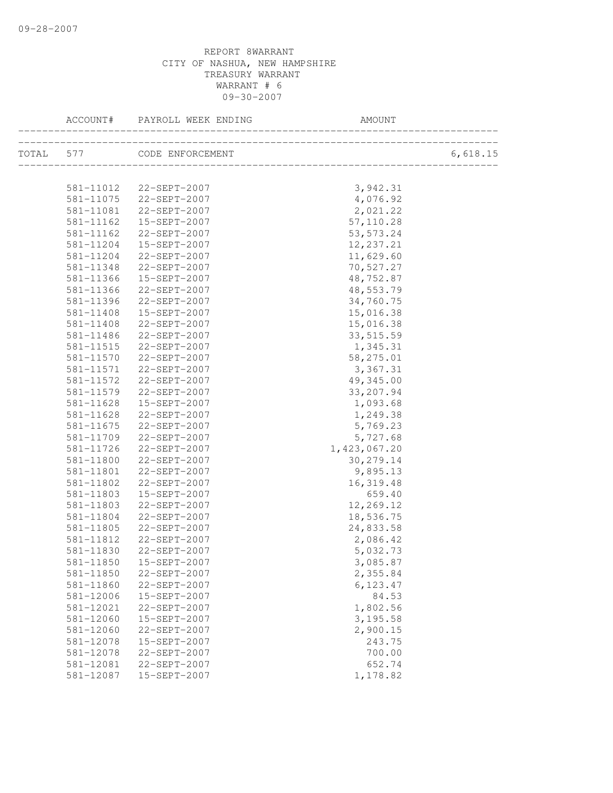| ACCOUNT#               | PAYROLL WEEK ENDING          | AMOUNT               |          |
|------------------------|------------------------------|----------------------|----------|
|                        | TOTAL 577 CODE ENFORCEMENT   |                      | 6,618.15 |
|                        |                              |                      |          |
|                        | 581-11012 22-SEPT-2007       | 3,942.31             |          |
|                        | 581-11075 22-SEPT-2007       | 4,076.92             |          |
| 581-11081              | 22-SEPT-2007                 | 2,021.22             |          |
| 581-11162              | 15-SEPT-2007                 | 57,110.28            |          |
| 581-11162              | 22-SEPT-2007                 | 53, 573.24           |          |
| 581-11204              | 15-SEPT-2007                 | 12,237.21            |          |
| 581-11204              | 22-SEPT-2007                 | 11,629.60            |          |
| 581-11348              | 22-SEPT-2007                 | 70,527.27            |          |
| 581-11366              | 15-SEPT-2007                 | 48,752.87            |          |
| 581-11366              | 22-SEPT-2007                 | 48,553.79            |          |
| 581-11396              | 22-SEPT-2007                 | 34,760.75            |          |
| 581-11408              | 15-SEPT-2007                 | 15,016.38            |          |
| 581-11408              | 22-SEPT-2007                 | 15,016.38            |          |
| 581-11486              | 22-SEPT-2007                 | 33, 515.59           |          |
| 581-11515              | 22-SEPT-2007                 | 1,345.31             |          |
| 581-11570              | 22-SEPT-2007                 | 58,275.01            |          |
| 581-11571              | 22-SEPT-2007                 | 3,367.31             |          |
| 581-11572              | 22-SEPT-2007                 | 49,345.00            |          |
| 581-11579              | 22-SEPT-2007                 | 33, 207.94           |          |
| 581-11628              | 15-SEPT-2007                 | 1,093.68             |          |
| 581-11628              | 22-SEPT-2007                 | 1,249.38             |          |
| 581-11675              | 22-SEPT-2007                 | 5,769.23             |          |
| 581-11709              | 22-SEPT-2007                 | 5,727.68             |          |
| 581-11726              | 22-SEPT-2007                 | 1,423,067.20         |          |
| 581-11800              | 22-SEPT-2007                 | 30, 279.14           |          |
| 581-11801              | 22-SEPT-2007<br>22-SEPT-2007 | 9,895.13             |          |
| 581-11802              |                              | 16, 319.48<br>659.40 |          |
| 581-11803<br>581-11803 | 15-SEPT-2007<br>22-SEPT-2007 | 12,269.12            |          |
| 581-11804              | 22-SEPT-2007                 | 18,536.75            |          |
| 581-11805              | 22-SEPT-2007                 | 24,833.58            |          |
| 581-11812              | 22-SEPT-2007                 | 2,086.42             |          |
| 581-11830              | 22-SEPT-2007                 | 5,032.73             |          |
| 581-11850              | 15-SEPT-2007                 | 3,085.87             |          |
| 581-11850              | 22-SEPT-2007                 | 2,355.84             |          |
| 581-11860              | 22-SEPT-2007                 | 6,123.47             |          |
| 581-12006              | 15-SEPT-2007                 | 84.53                |          |
| 581-12021              | 22-SEPT-2007                 | 1,802.56             |          |
| 581-12060              | 15-SEPT-2007                 | 3,195.58             |          |
| 581-12060              | 22-SEPT-2007                 | 2,900.15             |          |
| 581-12078              | 15-SEPT-2007                 | 243.75               |          |
| 581-12078              | 22-SEPT-2007                 | 700.00               |          |
| 581-12081              | 22-SEPT-2007                 | 652.74               |          |
| 581-12087              | 15-SEPT-2007                 | 1,178.82             |          |
|                        |                              |                      |          |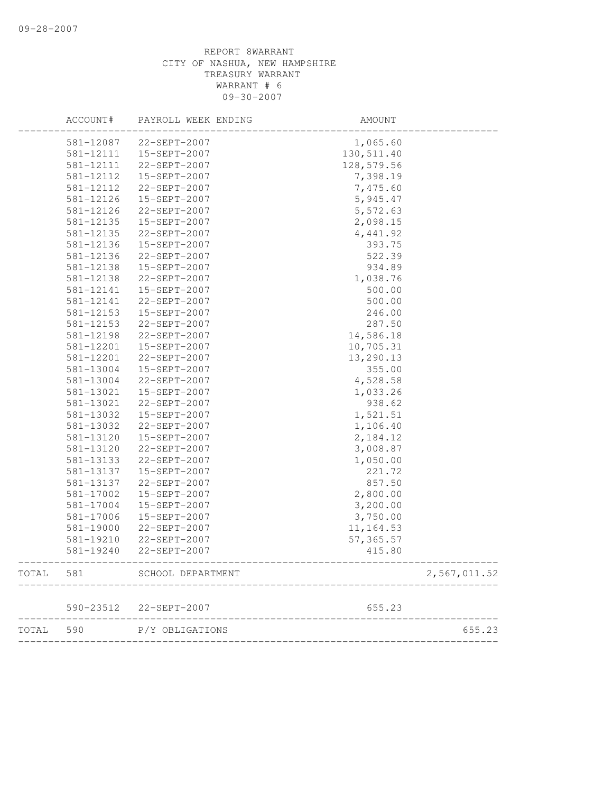|       | ACCOUNT#  | PAYROLL WEEK ENDING    | AMOUNT     |              |
|-------|-----------|------------------------|------------|--------------|
|       | 581-12087 | 22-SEPT-2007           | 1,065.60   |              |
|       | 581-12111 | 15-SEPT-2007           | 130,511.40 |              |
|       | 581-12111 | 22-SEPT-2007           | 128,579.56 |              |
|       | 581-12112 | 15-SEPT-2007           | 7,398.19   |              |
|       | 581-12112 | 22-SEPT-2007           | 7,475.60   |              |
|       | 581-12126 | 15-SEPT-2007           | 5,945.47   |              |
|       | 581-12126 | 22-SEPT-2007           | 5,572.63   |              |
|       | 581-12135 | 15-SEPT-2007           | 2,098.15   |              |
|       | 581-12135 | 22-SEPT-2007           | 4,441.92   |              |
|       | 581-12136 | 15-SEPT-2007           | 393.75     |              |
|       | 581-12136 | 22-SEPT-2007           | 522.39     |              |
|       | 581-12138 | 15-SEPT-2007           | 934.89     |              |
|       | 581-12138 | 22-SEPT-2007           | 1,038.76   |              |
|       | 581-12141 | 15-SEPT-2007           | 500.00     |              |
|       | 581-12141 | 22-SEPT-2007           | 500.00     |              |
|       | 581-12153 | 15-SEPT-2007           | 246.00     |              |
|       | 581-12153 | 22-SEPT-2007           | 287.50     |              |
|       | 581-12198 | 22-SEPT-2007           | 14,586.18  |              |
|       | 581-12201 | 15-SEPT-2007           | 10,705.31  |              |
|       | 581-12201 | 22-SEPT-2007           | 13,290.13  |              |
|       | 581-13004 | 15-SEPT-2007           | 355.00     |              |
|       | 581-13004 | 22-SEPT-2007           | 4,528.58   |              |
|       | 581-13021 | 15-SEPT-2007           | 1,033.26   |              |
|       | 581-13021 | 22-SEPT-2007           | 938.62     |              |
|       | 581-13032 | 15-SEPT-2007           | 1,521.51   |              |
|       | 581-13032 | 22-SEPT-2007           | 1,106.40   |              |
|       | 581-13120 | 15-SEPT-2007           | 2,184.12   |              |
|       | 581-13120 | 22-SEPT-2007           | 3,008.87   |              |
|       | 581-13133 | 22-SEPT-2007           | 1,050.00   |              |
|       | 581-13137 | 15-SEPT-2007           | 221.72     |              |
|       | 581-13137 | 22-SEPT-2007           | 857.50     |              |
|       | 581-17002 | 15-SEPT-2007           | 2,800.00   |              |
|       | 581-17004 | 15-SEPT-2007           | 3,200.00   |              |
|       | 581-17006 | 15-SEPT-2007           | 3,750.00   |              |
|       | 581-19000 | 22-SEPT-2007           | 11, 164.53 |              |
|       | 581-19210 | 22-SEPT-2007           | 57, 365.57 |              |
|       | 581-19240 | 22-SEPT-2007           | 415.80     |              |
| TOTAL | 581       | SCHOOL DEPARTMENT      |            | 2,567,011.52 |
|       |           | 590-23512 22-SEPT-2007 | 655.23     |              |
| TOTAL | 590       | P/Y OBLIGATIONS        |            | 655.23       |
|       |           |                        |            |              |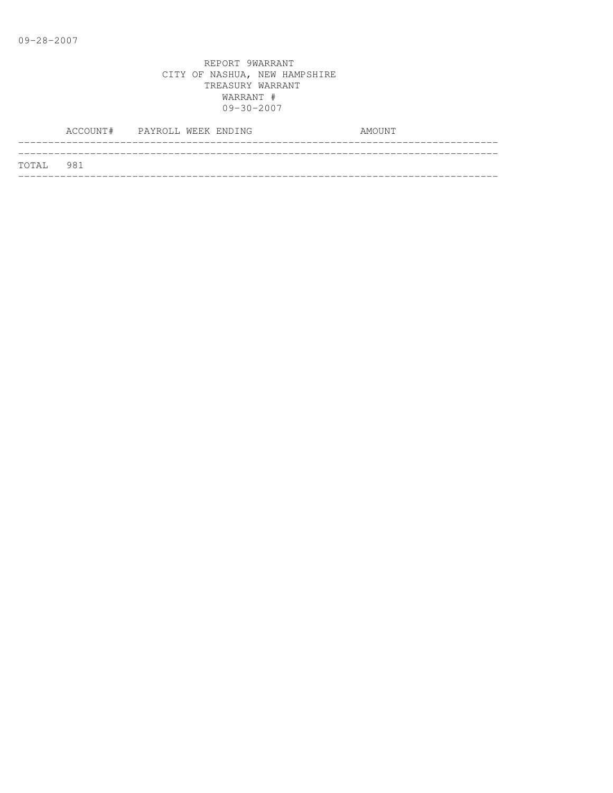|           | ACCOUNT# PAYROLL WEEK ENDING |  |  | AMOUNT |  |
|-----------|------------------------------|--|--|--------|--|
| TOTAL 981 |                              |  |  |        |  |
|           |                              |  |  |        |  |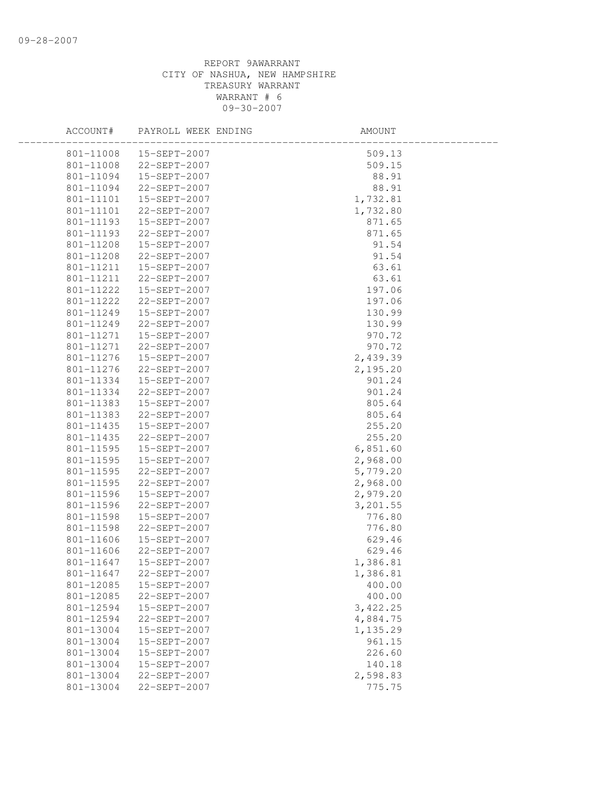| ACCOUNT#  | PAYROLL WEEK ENDING     | AMOUNT   |  |
|-----------|-------------------------|----------|--|
| 801-11008 | 15-SEPT-2007            | 509.13   |  |
| 801-11008 | 22-SEPT-2007            | 509.15   |  |
| 801-11094 | 15-SEPT-2007            | 88.91    |  |
| 801-11094 | 22-SEPT-2007            | 88.91    |  |
| 801-11101 | 15-SEPT-2007            | 1,732.81 |  |
| 801-11101 | 22-SEPT-2007            | 1,732.80 |  |
| 801-11193 | 15-SEPT-2007            | 871.65   |  |
| 801-11193 | 22-SEPT-2007            | 871.65   |  |
| 801-11208 | 15-SEPT-2007            | 91.54    |  |
| 801-11208 | 22-SEPT-2007            | 91.54    |  |
|           | 801-11211  15-SEPT-2007 | 63.61    |  |
| 801-11211 | 22-SEPT-2007            | 63.61    |  |
| 801-11222 | 15-SEPT-2007            | 197.06   |  |
| 801-11222 | 22-SEPT-2007            | 197.06   |  |
| 801-11249 | 15-SEPT-2007            | 130.99   |  |
| 801-11249 | 22-SEPT-2007            | 130.99   |  |
| 801-11271 | 15-SEPT-2007            | 970.72   |  |
| 801-11271 | 22-SEPT-2007            | 970.72   |  |
| 801-11276 | 15-SEPT-2007            | 2,439.39 |  |
| 801-11276 | 22-SEPT-2007            | 2,195.20 |  |
| 801-11334 | 15-SEPT-2007            | 901.24   |  |
| 801-11334 | 22-SEPT-2007            | 901.24   |  |
| 801-11383 | 15-SEPT-2007            | 805.64   |  |
| 801-11383 | 22-SEPT-2007            | 805.64   |  |
| 801-11435 | 15-SEPT-2007            | 255.20   |  |
| 801-11435 | 22-SEPT-2007            | 255.20   |  |
| 801-11595 | 15-SEPT-2007            | 6,851.60 |  |
| 801-11595 | 15-SEPT-2007            | 2,968.00 |  |
| 801-11595 | 22-SEPT-2007            | 5,779.20 |  |
| 801-11595 | 22-SEPT-2007            | 2,968.00 |  |
| 801-11596 | 15-SEPT-2007            | 2,979.20 |  |
| 801-11596 | 22-SEPT-2007            | 3,201.55 |  |
| 801-11598 | 15-SEPT-2007            | 776.80   |  |
| 801-11598 | 22-SEPT-2007            | 776.80   |  |
| 801-11606 | 15-SEPT-2007            | 629.46   |  |
| 801-11606 | 22-SEPT-2007            | 629.46   |  |
| 801-11647 | 15-SEPT-2007            | 1,386.81 |  |
|           | 801-11647 22-SEPT-2007  | 1,386.81 |  |
| 801-12085 | 15-SEPT-2007            | 400.00   |  |
| 801-12085 | 22-SEPT-2007            | 400.00   |  |
| 801-12594 | 15-SEPT-2007            | 3,422.25 |  |
| 801-12594 | 22-SEPT-2007            | 4,884.75 |  |
| 801-13004 | 15-SEPT-2007            | 1,135.29 |  |
| 801-13004 | 15-SEPT-2007            | 961.15   |  |
| 801-13004 | 15-SEPT-2007            | 226.60   |  |
| 801-13004 | 15-SEPT-2007            | 140.18   |  |
| 801-13004 | 22-SEPT-2007            | 2,598.83 |  |
| 801-13004 | 22-SEPT-2007            | 775.75   |  |
|           |                         |          |  |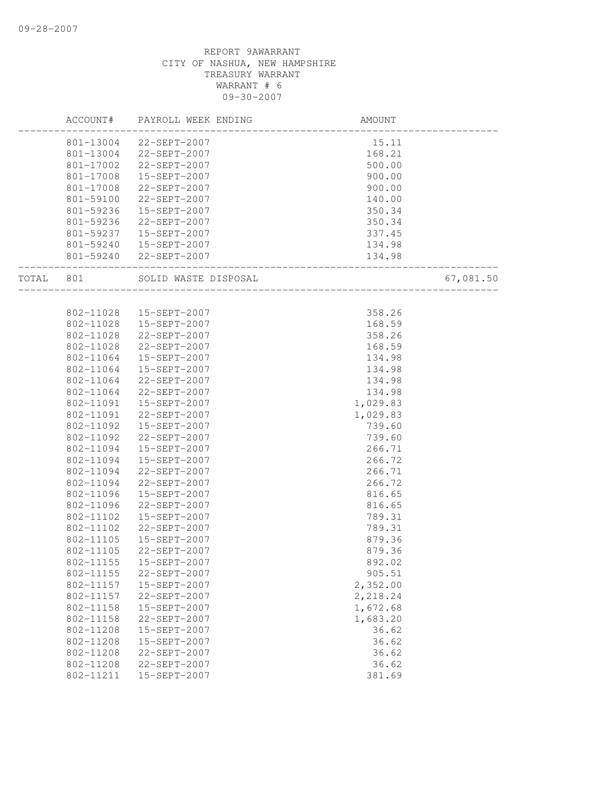|       | ACCOUNT#  | PAYROLL WEEK ENDING     | AMOUNT                            |           |
|-------|-----------|-------------------------|-----------------------------------|-----------|
|       |           | 801-13004 22-SEPT-2007  | 15.11                             |           |
|       | 801-13004 | 22-SEPT-2007            | 168.21                            |           |
|       | 801-17002 | 22-SEPT-2007            | 500.00                            |           |
|       | 801-17008 | 15-SEPT-2007            | 900.00                            |           |
|       | 801-17008 | 22-SEPT-2007            | 900.00                            |           |
|       | 801-59100 | 22-SEPT-2007            | 140.00                            |           |
|       | 801-59236 | 15-SEPT-2007            | 350.34                            |           |
|       | 801-59236 | 22-SEPT-2007            | 350.34                            |           |
|       | 801-59237 | 15-SEPT-2007            | 337.45                            |           |
|       |           | 801-59240  15-SEPT-2007 | 134.98                            |           |
|       |           | 801-59240 22-SEPT-2007  | 134.98<br>_______________________ |           |
| TOTAL | 801       | SOLID WASTE DISPOSAL    |                                   | 67,081.50 |
|       |           |                         |                                   |           |
|       | 802-11028 | 15-SEPT-2007            | 358.26                            |           |
|       | 802-11028 | 15-SEPT-2007            | 168.59                            |           |
|       | 802-11028 | 22-SEPT-2007            | 358.26                            |           |
|       | 802-11028 | 22-SEPT-2007            | 168.59                            |           |
|       | 802-11064 | 15-SEPT-2007            | 134.98                            |           |
|       | 802-11064 | 15-SEPT-2007            | 134.98                            |           |
|       | 802-11064 | 22-SEPT-2007            | 134.98                            |           |
|       | 802-11064 | 22-SEPT-2007            | 134.98                            |           |
|       | 802-11091 | 15-SEPT-2007            | 1,029.83                          |           |
|       | 802-11091 | 22-SEPT-2007            | 1,029.83                          |           |
|       | 802-11092 | 15-SEPT-2007            | 739.60                            |           |
|       | 802-11092 | 22-SEPT-2007            | 739.60                            |           |
|       | 802-11094 | 15-SEPT-2007            | 266.71                            |           |
|       | 802-11094 | 15-SEPT-2007            | 266.72                            |           |
|       | 802-11094 | 22-SEPT-2007            | 266.71                            |           |
|       | 802-11094 | 22-SEPT-2007            | 266.72                            |           |
|       | 802-11096 | 15-SEPT-2007            | 816.65                            |           |
|       | 802-11096 | 22-SEPT-2007            | 816.65                            |           |
|       | 802-11102 | 15-SEPT-2007            | 789.31                            |           |
|       | 802-11102 | 22-SEPT-2007            | 789.31                            |           |
|       | 802-11105 | 15-SEPT-2007            | 879.36                            |           |
|       | 802-11105 | 22-SEPT-2007            | 879.36                            |           |
|       | 802-11155 | 15-SEPT-2007            | 892.02                            |           |
|       | 802-11155 | 22-SEPT-2007            | 905.51                            |           |
|       | 802-11157 | 15-SEPT-2007            | 2,352.00                          |           |
|       | 802-11157 | 22-SEPT-2007            | 2,218.24                          |           |
|       | 802-11158 | 15-SEPT-2007            | 1,672.68                          |           |
|       | 802-11158 | 22-SEPT-2007            | 1,683.20                          |           |
|       | 802-11208 | 15-SEPT-2007            | 36.62                             |           |
|       | 802-11208 | 15-SEPT-2007            | 36.62                             |           |
|       | 802-11208 | 22-SEPT-2007            | 36.62                             |           |
|       | 802-11208 | 22-SEPT-2007            | 36.62                             |           |
|       | 802-11211 | 15-SEPT-2007            | 381.69                            |           |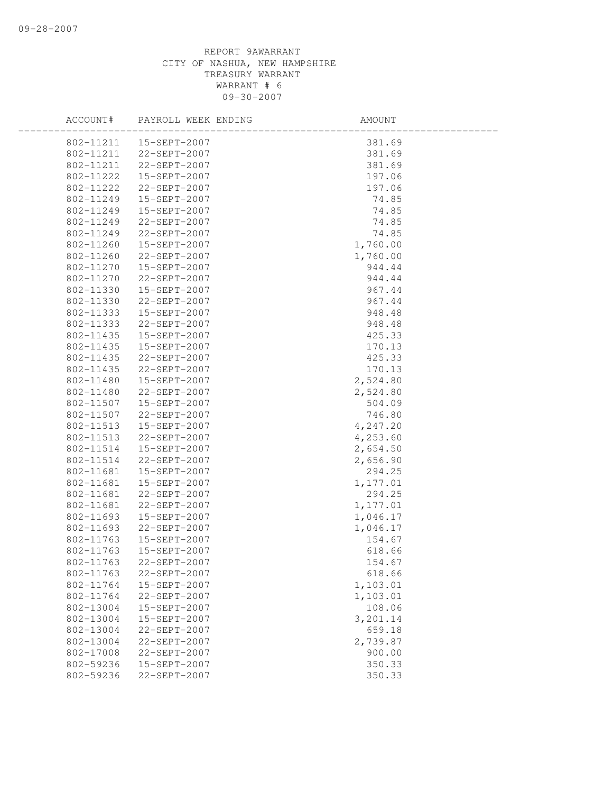## REPORT 9AWARRANT CITY OF NASHUA, NEW HAMPSHIRE TREASURY WARRANT WARRANT # 6 09-30-2007

| ACCOUNT#  | PAYROLL WEEK ENDING     | AMOUNT   |  |
|-----------|-------------------------|----------|--|
|           | 802-11211  15-SEPT-2007 | 381.69   |  |
|           | 802-11211 22-SEPT-2007  | 381.69   |  |
| 802-11211 | 22-SEPT-2007            | 381.69   |  |
| 802-11222 | 15-SEPT-2007            | 197.06   |  |
| 802-11222 | 22-SEPT-2007            | 197.06   |  |
| 802-11249 | 15-SEPT-2007            | 74.85    |  |
| 802-11249 | 15-SEPT-2007            | 74.85    |  |
| 802-11249 | 22-SEPT-2007            | 74.85    |  |
| 802-11249 | 22-SEPT-2007            | 74.85    |  |
| 802-11260 | 15-SEPT-2007            | 1,760.00 |  |
| 802-11260 | 22-SEPT-2007            | 1,760.00 |  |
| 802-11270 | 15-SEPT-2007            | 944.44   |  |
| 802-11270 | 22-SEPT-2007            | 944.44   |  |
| 802-11330 | 15-SEPT-2007            | 967.44   |  |
| 802-11330 | 22-SEPT-2007            | 967.44   |  |
| 802-11333 | 15-SEPT-2007            | 948.48   |  |
| 802-11333 | 22-SEPT-2007            | 948.48   |  |
| 802-11435 | 15-SEPT-2007            | 425.33   |  |
| 802-11435 | 15-SEPT-2007            | 170.13   |  |
| 802-11435 | 22-SEPT-2007            | 425.33   |  |
| 802-11435 | 22-SEPT-2007            | 170.13   |  |
| 802-11480 | 15-SEPT-2007            | 2,524.80 |  |
| 802-11480 | 22-SEPT-2007            | 2,524.80 |  |
| 802-11507 | 15-SEPT-2007            | 504.09   |  |
| 802-11507 | 22-SEPT-2007            | 746.80   |  |
| 802-11513 | 15-SEPT-2007            | 4,247.20 |  |
| 802-11513 | 22-SEPT-2007            | 4,253.60 |  |
| 802-11514 | 15-SEPT-2007            | 2,654.50 |  |
| 802-11514 | 22-SEPT-2007            | 2,656.90 |  |
| 802-11681 | 15-SEPT-2007            | 294.25   |  |
| 802-11681 | 15-SEPT-2007            | 1,177.01 |  |
| 802-11681 | 22-SEPT-2007            | 294.25   |  |
| 802-11681 | 22-SEPT-2007            | 1,177.01 |  |
| 802-11693 | 15-SEPT-2007            | 1,046.17 |  |
| 802-11693 | 22-SEPT-2007            | 1,046.17 |  |
| 802-11763 | 15-SEPT-2007            | 154.67   |  |
| 802-11763 | 15-SEPT-2007            | 618.66   |  |
| 802-11763 | 22-SEPT-2007            | 154.67   |  |
| 802-11763 | 22-SEPT-2007            | 618.66   |  |
| 802-11764 | 15-SEPT-2007            | 1,103.01 |  |
| 802-11764 | 22-SEPT-2007            | 1,103.01 |  |
| 802-13004 | 15-SEPT-2007            | 108.06   |  |
| 802-13004 | 15-SEPT-2007            | 3,201.14 |  |
| 802-13004 | 22-SEPT-2007            | 659.18   |  |
| 802-13004 | $22 - SEPT - 2007$      | 2,739.87 |  |
| 802-17008 | 22-SEPT-2007            | 900.00   |  |
| 802-59236 | 15-SEPT-2007            | 350.33   |  |
| 802-59236 | 22-SEPT-2007            | 350.33   |  |
|           |                         |          |  |